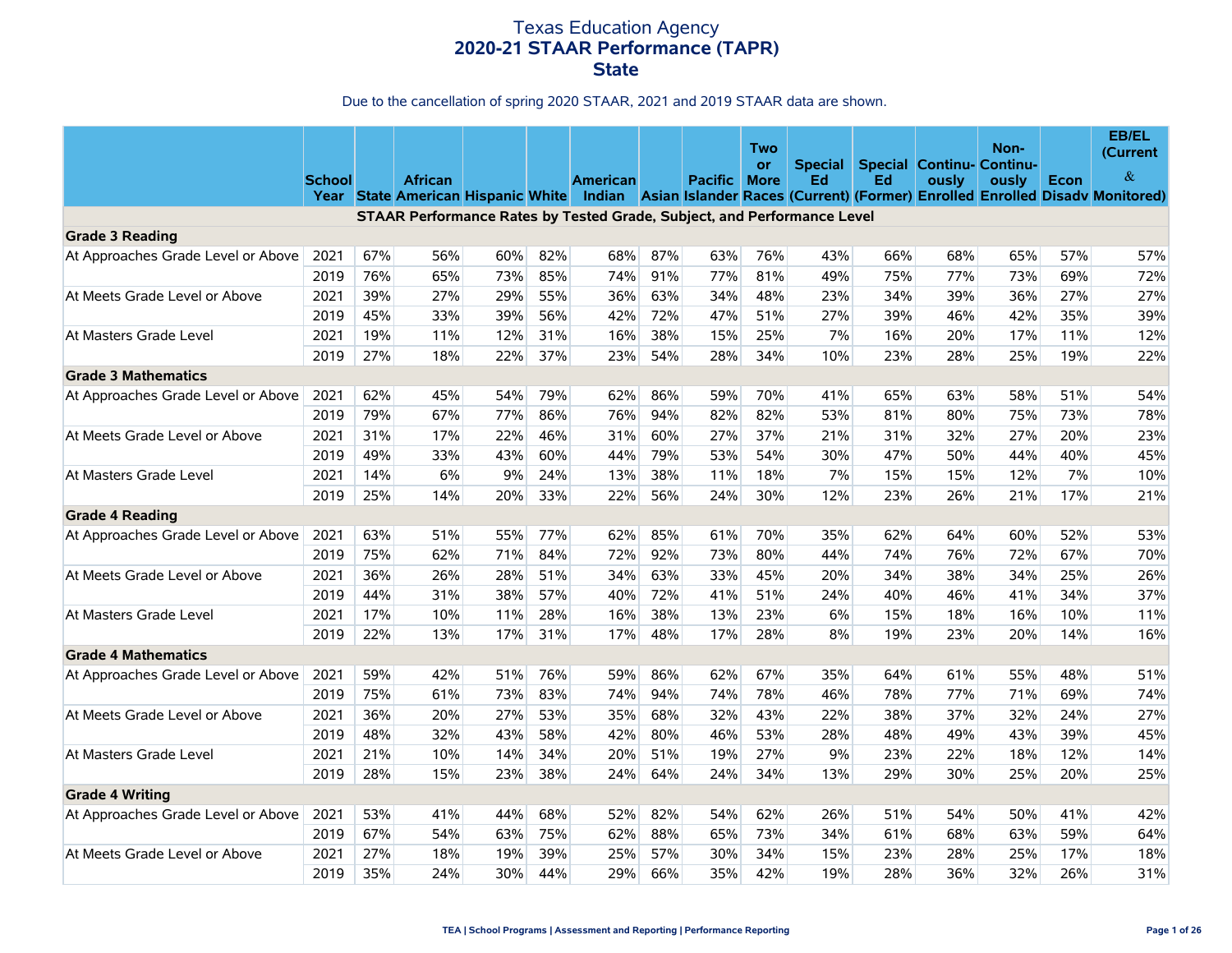|                                    | <b>School</b> |     | <b>African</b>                                                          |     |     | <b>American</b> |     | Pacific | Two<br><b>or</b><br><b>More</b> | Special<br>Ed | Ed  | <b>Special Continu- Continu-</b><br>ously | Non-<br>ously | <b>Econ</b> | EB/EL<br>(Current<br>&<br>Year State American Hispanic White Indian Asian Islander Races (Current) (Former) Enrolled Enrolled Disady Monitored) |
|------------------------------------|---------------|-----|-------------------------------------------------------------------------|-----|-----|-----------------|-----|---------|---------------------------------|---------------|-----|-------------------------------------------|---------------|-------------|-------------------------------------------------------------------------------------------------------------------------------------------------|
|                                    |               |     | STAAR Performance Rates by Tested Grade, Subject, and Performance Level |     |     |                 |     |         |                                 |               |     |                                           |               |             |                                                                                                                                                 |
| <b>Grade 3 Reading</b>             |               |     |                                                                         |     |     |                 |     |         |                                 |               |     |                                           |               |             |                                                                                                                                                 |
| At Approaches Grade Level or Above | 2021          | 67% | 56%                                                                     | 60% | 82% | 68%             | 87% | 63%     | 76%                             | 43%           | 66% | 68%                                       | 65%           | 57%         | 57%                                                                                                                                             |
|                                    | 2019          | 76% | 65%                                                                     | 73% | 85% | 74%             | 91% | 77%     | 81%                             | 49%           | 75% | 77%                                       | 73%           | 69%         | 72%                                                                                                                                             |
| At Meets Grade Level or Above      | 2021          | 39% | 27%                                                                     | 29% | 55% | 36%             | 63% | 34%     | 48%                             | 23%           | 34% | 39%                                       | 36%           | 27%         | 27%                                                                                                                                             |
|                                    | 2019          | 45% | 33%                                                                     | 39% | 56% | 42%             | 72% | 47%     | 51%                             | 27%           | 39% | 46%                                       | 42%           | 35%         | 39%                                                                                                                                             |
| At Masters Grade Level             | 2021          | 19% | 11%                                                                     | 12% | 31% | 16%             | 38% | 15%     | 25%                             | 7%            | 16% | 20%                                       | 17%           | 11%         | 12%                                                                                                                                             |
|                                    | 2019          | 27% | 18%                                                                     | 22% | 37% | 23%             | 54% | 28%     | 34%                             | 10%           | 23% | 28%                                       | 25%           | 19%         | 22%                                                                                                                                             |
| <b>Grade 3 Mathematics</b>         |               |     |                                                                         |     |     |                 |     |         |                                 |               |     |                                           |               |             |                                                                                                                                                 |
| At Approaches Grade Level or Above | 2021          | 62% | 45%                                                                     | 54% | 79% | 62%             | 86% | 59%     | 70%                             | 41%           | 65% | 63%                                       | 58%           | 51%         | 54%                                                                                                                                             |
|                                    | 2019          | 79% | 67%                                                                     | 77% | 86% | 76%             | 94% | 82%     | 82%                             | 53%           | 81% | 80%                                       | 75%           | 73%         | 78%                                                                                                                                             |
| At Meets Grade Level or Above      | 2021          | 31% | 17%                                                                     | 22% | 46% | 31%             | 60% | 27%     | 37%                             | 21%           | 31% | 32%                                       | 27%           | 20%         | 23%                                                                                                                                             |
|                                    | 2019          | 49% | 33%                                                                     | 43% | 60% | 44%             | 79% | 53%     | 54%                             | 30%           | 47% | 50%                                       | 44%           | 40%         | 45%                                                                                                                                             |
| At Masters Grade Level             | 2021          | 14% | $6\%$                                                                   | 9%  | 24% | 13%             | 38% | 11%     | 18%                             | 7%            | 15% | 15%                                       | 12%           | 7%          | 10%                                                                                                                                             |
|                                    | 2019          | 25% | 14%                                                                     | 20% | 33% | 22%             | 56% | 24%     | 30%                             | 12%           | 23% | 26%                                       | 21%           | 17%         | 21%                                                                                                                                             |
| <b>Grade 4 Reading</b>             |               |     |                                                                         |     |     |                 |     |         |                                 |               |     |                                           |               |             |                                                                                                                                                 |
| At Approaches Grade Level or Above | 2021          | 63% | 51%                                                                     | 55% | 77% | 62%             | 85% | 61%     | 70%                             | 35%           | 62% | 64%                                       | 60%           | 52%         | 53%                                                                                                                                             |
|                                    | 2019          | 75% | 62%                                                                     | 71% | 84% | 72%             | 92% | 73%     | 80%                             | 44%           | 74% | 76%                                       | 72%           | 67%         | 70%                                                                                                                                             |
| At Meets Grade Level or Above      | 2021          | 36% | 26%                                                                     | 28% | 51% | 34%             | 63% | 33%     | 45%                             | 20%           | 34% | 38%                                       | 34%           | 25%         | 26%                                                                                                                                             |
|                                    | 2019          | 44% | 31%                                                                     | 38% | 57% | 40%             | 72% | 41%     | 51%                             | 24%           | 40% | 46%                                       | 41%           | 34%         | 37%                                                                                                                                             |
| At Masters Grade Level             | 2021          | 17% | 10%                                                                     | 11% | 28% | 16%             | 38% | 13%     | 23%                             | $6\%$         | 15% | 18%                                       | 16%           | 10%         | 11%                                                                                                                                             |
|                                    | 2019          | 22% | 13%                                                                     | 17% | 31% | 17%             | 48% | 17%     | 28%                             | 8%            | 19% | 23%                                       | 20%           | 14%         | 16%                                                                                                                                             |
| <b>Grade 4 Mathematics</b>         |               |     |                                                                         |     |     |                 |     |         |                                 |               |     |                                           |               |             |                                                                                                                                                 |
| At Approaches Grade Level or Above | 2021          | 59% | 42%                                                                     | 51% | 76% | 59%             | 86% | 62%     | 67%                             | 35%           | 64% | 61%                                       | 55%           | 48%         | 51%                                                                                                                                             |
|                                    | 2019          | 75% | 61%                                                                     | 73% | 83% | 74%             | 94% | 74%     | 78%                             | 46%           | 78% | 77%                                       | 71%           | 69%         | 74%                                                                                                                                             |
| At Meets Grade Level or Above      | 2021          | 36% | 20%                                                                     | 27% | 53% | 35%             | 68% | 32%     | 43%                             | 22%           | 38% | 37%                                       | 32%           | 24%         | 27%                                                                                                                                             |
|                                    | 2019          | 48% | 32%                                                                     | 43% | 58% | 42%             | 80% | 46%     | 53%                             | 28%           | 48% | 49%                                       | 43%           | 39%         | 45%                                                                                                                                             |
| At Masters Grade Level             | 2021          | 21% | 10%                                                                     | 14% | 34% | 20%             | 51% | 19%     | 27%                             | 9%            | 23% | 22%                                       | 18%           | 12%         | 14%                                                                                                                                             |
|                                    | 2019          | 28% | 15%                                                                     | 23% | 38% | 24%             | 64% | 24%     | 34%                             | 13%           | 29% | 30%                                       | 25%           | 20%         | 25%                                                                                                                                             |
| <b>Grade 4 Writing</b>             |               |     |                                                                         |     |     |                 |     |         |                                 |               |     |                                           |               |             |                                                                                                                                                 |
| At Approaches Grade Level or Above | 2021          | 53% | 41%                                                                     | 44% | 68% | 52%             | 82% | 54%     | 62%                             | 26%           | 51% | 54%                                       | 50%           | 41%         | 42%                                                                                                                                             |
|                                    | 2019          | 67% | 54%                                                                     | 63% | 75% | 62%             | 88% | 65%     | 73%                             | 34%           | 61% | 68%                                       | 63%           | 59%         | 64%                                                                                                                                             |
| At Meets Grade Level or Above      | 2021          | 27% | 18%                                                                     | 19% | 39% | 25%             | 57% | 30%     | 34%                             | 15%           | 23% | 28%                                       | 25%           | 17%         | 18%                                                                                                                                             |
|                                    | 2019          | 35% | 24%                                                                     | 30% | 44% | 29%             | 66% | 35%     | 42%                             | 19%           | 28% | 36%                                       | 32%           | 26%         | 31%                                                                                                                                             |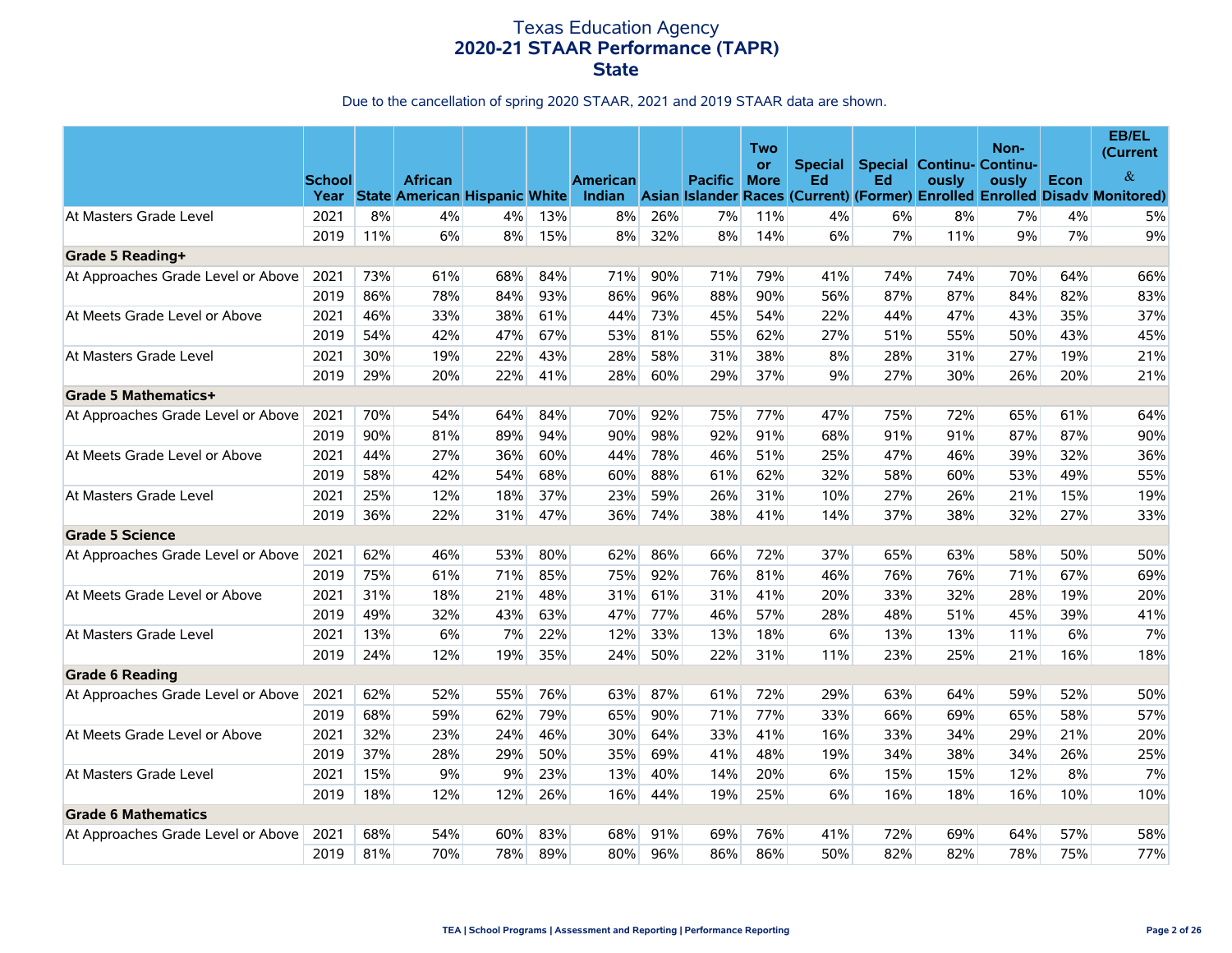|                                    | <b>School</b> |     | <b>African</b>                     |     |     | <b>American</b> |     | <b>Pacific</b> | Two<br><b>or</b><br><b>More</b> | <b>Special</b><br>Ed | Ed  | <b>Special Continu- Continu-</b><br>ously | Non-<br>ously | Econ | EB/EL<br>(Current<br>$\&$                                                   |
|------------------------------------|---------------|-----|------------------------------------|-----|-----|-----------------|-----|----------------|---------------------------------|----------------------|-----|-------------------------------------------|---------------|------|-----------------------------------------------------------------------------|
|                                    |               |     | Year State American Hispanic White |     |     | Indian          |     |                |                                 |                      |     |                                           |               |      | Asian Islander Races (Current) (Former) Enrolled Enrolled Disady Monitored) |
| At Masters Grade Level             | 2021          | 8%  | 4%                                 | 4%  | 13% | 8%              | 26% | 7%             | 11%                             | 4%                   | 6%  | 8%                                        | 7%            | 4%   | 5%                                                                          |
|                                    | 2019          | 11% | 6%                                 | 8%  | 15% | 8%              | 32% | 8%             | 14%                             | 6%                   | 7%  | 11%                                       | 9%            | 7%   | 9%                                                                          |
| Grade 5 Reading+                   |               |     |                                    |     |     |                 |     |                |                                 |                      |     |                                           |               |      |                                                                             |
| At Approaches Grade Level or Above | 2021          | 73% | 61%                                | 68% | 84% | 71%             | 90% | 71%            | 79%                             | 41%                  | 74% | 74%                                       | 70%           | 64%  | 66%                                                                         |
|                                    | 2019          | 86% | 78%                                | 84% | 93% | 86%             | 96% | 88%            | 90%                             | 56%                  | 87% | 87%                                       | 84%           | 82%  | 83%                                                                         |
| At Meets Grade Level or Above      | 2021          | 46% | 33%                                | 38% | 61% | 44%             | 73% | 45%            | 54%                             | 22%                  | 44% | 47%                                       | 43%           | 35%  | 37%                                                                         |
|                                    | 2019          | 54% | 42%                                | 47% | 67% | 53%             | 81% | 55%            | 62%                             | 27%                  | 51% | 55%                                       | 50%           | 43%  | 45%                                                                         |
| At Masters Grade Level             | 2021          | 30% | 19%                                | 22% | 43% | 28%             | 58% | 31%            | 38%                             | 8%                   | 28% | 31%                                       | 27%           | 19%  | 21%                                                                         |
|                                    | 2019          | 29% | 20%                                | 22% | 41% | 28%             | 60% | 29%            | 37%                             | 9%                   | 27% | 30%                                       | 26%           | 20%  | 21%                                                                         |
| Grade 5 Mathematics+               |               |     |                                    |     |     |                 |     |                |                                 |                      |     |                                           |               |      |                                                                             |
| At Approaches Grade Level or Above | 2021          | 70% | 54%                                | 64% | 84% | 70%             | 92% | 75%            | 77%                             | 47%                  | 75% | 72%                                       | 65%           | 61%  | 64%                                                                         |
|                                    | 2019          | 90% | 81%                                | 89% | 94% | 90%             | 98% | 92%            | 91%                             | 68%                  | 91% | 91%                                       | 87%           | 87%  | 90%                                                                         |
| At Meets Grade Level or Above      | 2021          | 44% | 27%                                | 36% | 60% | 44%             | 78% | 46%            | 51%                             | 25%                  | 47% | 46%                                       | 39%           | 32%  | 36%                                                                         |
|                                    | 2019          | 58% | 42%                                | 54% | 68% | 60%             | 88% | 61%            | 62%                             | 32%                  | 58% | 60%                                       | 53%           | 49%  | 55%                                                                         |
| At Masters Grade Level             | 2021          | 25% | 12%                                | 18% | 37% | 23%             | 59% | 26%            | 31%                             | 10%                  | 27% | 26%                                       | 21%           | 15%  | 19%                                                                         |
|                                    | 2019          | 36% | 22%                                | 31% | 47% | 36%             | 74% | 38%            | 41%                             | 14%                  | 37% | 38%                                       | 32%           | 27%  | 33%                                                                         |
| <b>Grade 5 Science</b>             |               |     |                                    |     |     |                 |     |                |                                 |                      |     |                                           |               |      |                                                                             |
| At Approaches Grade Level or Above | 2021          | 62% | 46%                                | 53% | 80% | 62%             | 86% | 66%            | 72%                             | 37%                  | 65% | 63%                                       | 58%           | 50%  | 50%                                                                         |
|                                    | 2019          | 75% | 61%                                | 71% | 85% | 75%             | 92% | 76%            | 81%                             | 46%                  | 76% | 76%                                       | 71%           | 67%  | 69%                                                                         |
| At Meets Grade Level or Above      | 2021          | 31% | 18%                                | 21% | 48% | 31%             | 61% | 31%            | 41%                             | 20%                  | 33% | 32%                                       | 28%           | 19%  | 20%                                                                         |
|                                    | 2019          | 49% | 32%                                | 43% | 63% | 47%             | 77% | 46%            | 57%                             | 28%                  | 48% | 51%                                       | 45%           | 39%  | 41%                                                                         |
| At Masters Grade Level             | 2021          | 13% | 6%                                 | 7%  | 22% | 12%             | 33% | 13%            | 18%                             | 6%                   | 13% | 13%                                       | 11%           | 6%   | 7%                                                                          |
|                                    | 2019          | 24% | 12%                                | 19% | 35% | 24%             | 50% | 22%            | 31%                             | 11%                  | 23% | 25%                                       | 21%           | 16%  | 18%                                                                         |
| <b>Grade 6 Reading</b>             |               |     |                                    |     |     |                 |     |                |                                 |                      |     |                                           |               |      |                                                                             |
| At Approaches Grade Level or Above | 2021          | 62% | 52%                                | 55% | 76% | 63%             | 87% | 61%            | 72%                             | 29%                  | 63% | 64%                                       | 59%           | 52%  | 50%                                                                         |
|                                    | 2019          | 68% | 59%                                | 62% | 79% | 65%             | 90% | 71%            | 77%                             | 33%                  | 66% | 69%                                       | 65%           | 58%  | 57%                                                                         |
| At Meets Grade Level or Above      | 2021          | 32% | 23%                                | 24% | 46% | 30%             | 64% | 33%            | 41%                             | 16%                  | 33% | 34%                                       | 29%           | 21%  | 20%                                                                         |
|                                    | 2019          | 37% | 28%                                | 29% | 50% | 35%             | 69% | 41%            | 48%                             | 19%                  | 34% | 38%                                       | 34%           | 26%  | 25%                                                                         |
| At Masters Grade Level             | 2021          | 15% | 9%                                 | 9%  | 23% | 13%             | 40% | 14%            | 20%                             | 6%                   | 15% | 15%                                       | 12%           | 8%   | 7%                                                                          |
|                                    | 2019          | 18% | 12%                                | 12% | 26% | 16%             | 44% | 19%            | 25%                             | 6%                   | 16% | 18%                                       | 16%           | 10%  | 10%                                                                         |
| <b>Grade 6 Mathematics</b>         |               |     |                                    |     |     |                 |     |                |                                 |                      |     |                                           |               |      |                                                                             |
| At Approaches Grade Level or Above | 2021          | 68% | 54%                                | 60% | 83% | 68%             | 91% | 69%            | 76%                             | 41%                  | 72% | 69%                                       | 64%           | 57%  | 58%                                                                         |
|                                    | 2019          | 81% | 70%                                | 78% | 89% | 80%             | 96% | 86%            | 86%                             | 50%                  | 82% | 82%                                       | 78%           | 75%  | 77%                                                                         |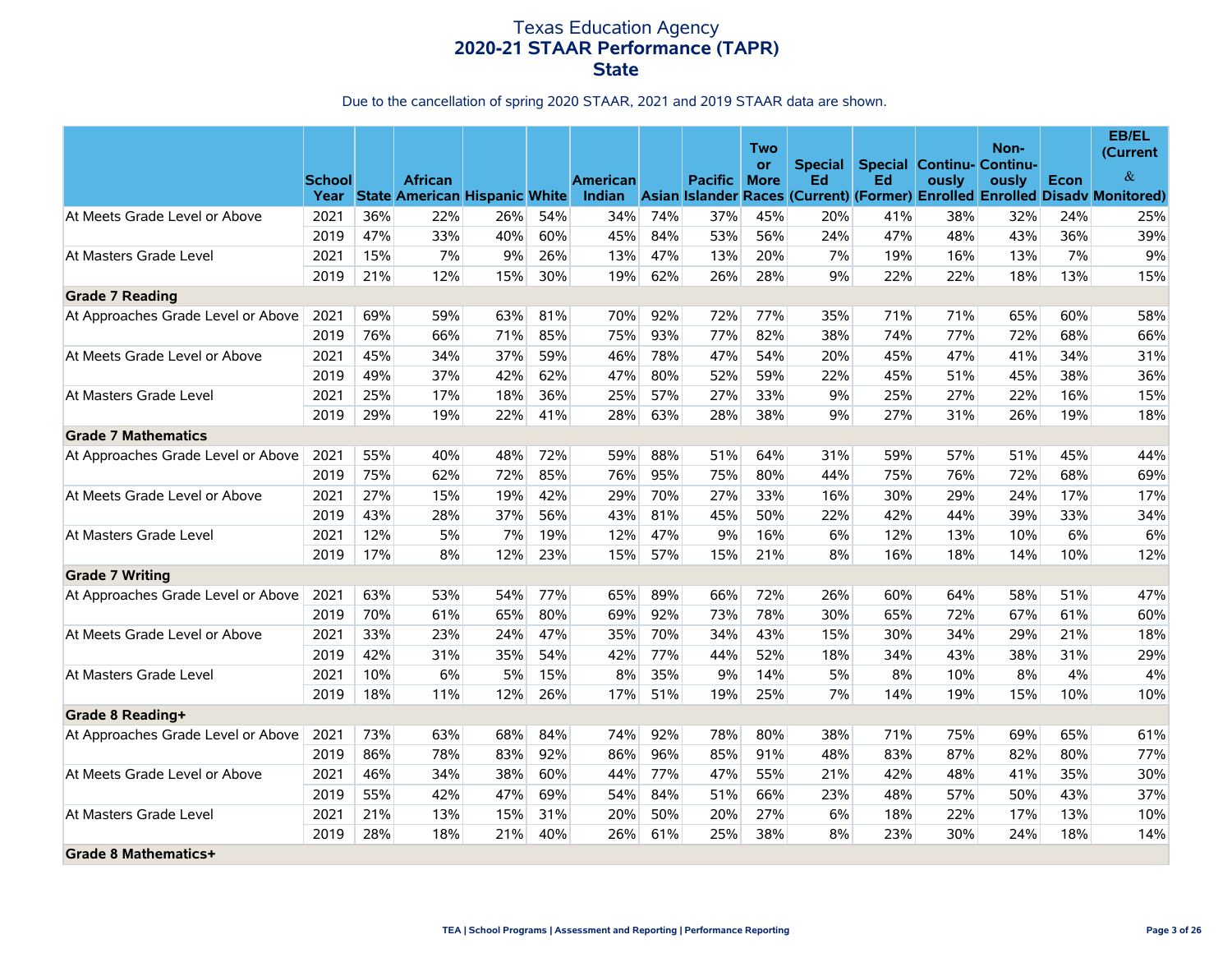|                                    | <b>School</b> |     | <b>African</b><br>Year State American Hispanic White |     |     | <b>American</b><br>Indian |     | <b>Pacific</b> | Two<br>or<br><b>More</b> | <b>Special</b><br>Ed | Ed  | <b>Special Continu- Continu-</b><br>ously | Non-<br>ously | Econ | EB/EL<br>(Current<br>$\&$<br>Asian Islander Races (Current) (Former) Enrolled Enrolled Disadv Monitored) |
|------------------------------------|---------------|-----|------------------------------------------------------|-----|-----|---------------------------|-----|----------------|--------------------------|----------------------|-----|-------------------------------------------|---------------|------|----------------------------------------------------------------------------------------------------------|
| At Meets Grade Level or Above      | 2021          | 36% | 22%                                                  | 26% | 54% | 34%                       | 74% | 37%            | 45%                      | 20%                  | 41% | 38%                                       | 32%           | 24%  | 25%                                                                                                      |
|                                    | 2019          | 47% | 33%                                                  | 40% | 60% | 45%                       | 84% | 53%            | 56%                      | 24%                  | 47% | 48%                                       | 43%           | 36%  | 39%                                                                                                      |
| At Masters Grade Level             | 2021          | 15% | 7%                                                   | 9%  | 26% | 13%                       | 47% | 13%            | 20%                      | 7%                   | 19% | 16%                                       | 13%           | 7%   | 9%                                                                                                       |
|                                    | 2019          | 21% | 12%                                                  | 15% | 30% | 19%                       | 62% | 26%            | 28%                      | 9%                   | 22% | 22%                                       | 18%           | 13%  | 15%                                                                                                      |
| <b>Grade 7 Reading</b>             |               |     |                                                      |     |     |                           |     |                |                          |                      |     |                                           |               |      |                                                                                                          |
| At Approaches Grade Level or Above | 2021          | 69% | 59%                                                  | 63% | 81% | 70%                       | 92% | 72%            | 77%                      | 35%                  | 71% | 71%                                       | 65%           | 60%  | 58%                                                                                                      |
|                                    | 2019          | 76% | 66%                                                  | 71% | 85% | 75%                       | 93% | 77%            | 82%                      | 38%                  | 74% | 77%                                       | 72%           | 68%  | 66%                                                                                                      |
| At Meets Grade Level or Above      | 2021          | 45% | 34%                                                  | 37% | 59% | 46%                       | 78% | 47%            | 54%                      | 20%                  | 45% | 47%                                       | 41%           | 34%  | 31%                                                                                                      |
|                                    | 2019          | 49% | 37%                                                  | 42% | 62% | 47%                       | 80% | 52%            | 59%                      | 22%                  | 45% | 51%                                       | 45%           | 38%  | 36%                                                                                                      |
| At Masters Grade Level             | 2021          | 25% | 17%                                                  | 18% | 36% | 25%                       | 57% | 27%            | 33%                      | 9%                   | 25% | 27%                                       | 22%           | 16%  | 15%                                                                                                      |
|                                    | 2019          | 29% | 19%                                                  | 22% | 41% | 28%                       | 63% | 28%            | 38%                      | 9%                   | 27% | 31%                                       | 26%           | 19%  | 18%                                                                                                      |
| <b>Grade 7 Mathematics</b>         |               |     |                                                      |     |     |                           |     |                |                          |                      |     |                                           |               |      |                                                                                                          |
| At Approaches Grade Level or Above | 2021          | 55% | 40%                                                  | 48% | 72% | 59%                       | 88% | 51%            | 64%                      | 31%                  | 59% | 57%                                       | 51%           | 45%  | 44%                                                                                                      |
|                                    | 2019          | 75% | 62%                                                  | 72% | 85% | 76%                       | 95% | 75%            | 80%                      | 44%                  | 75% | 76%                                       | 72%           | 68%  | 69%                                                                                                      |
| At Meets Grade Level or Above      | 2021          | 27% | 15%                                                  | 19% | 42% | 29%                       | 70% | 27%            | 33%                      | 16%                  | 30% | 29%                                       | 24%           | 17%  | 17%                                                                                                      |
|                                    | 2019          | 43% | 28%                                                  | 37% | 56% | 43%                       | 81% | 45%            | 50%                      | 22%                  | 42% | 44%                                       | 39%           | 33%  | 34%                                                                                                      |
| At Masters Grade Level             | 2021          | 12% | 5%                                                   | 7%  | 19% | 12%                       | 47% | 9%             | 16%                      | 6%                   | 12% | 13%                                       | 10%           | 6%   | 6%                                                                                                       |
|                                    | 2019          | 17% | 8%                                                   | 12% | 23% | 15%                       | 57% | 15%            | 21%                      | 8%                   | 16% | 18%                                       | 14%           | 10%  | 12%                                                                                                      |
| <b>Grade 7 Writing</b>             |               |     |                                                      |     |     |                           |     |                |                          |                      |     |                                           |               |      |                                                                                                          |
| At Approaches Grade Level or Above | 2021          | 63% | 53%                                                  | 54% | 77% | 65%                       | 89% | 66%            | 72%                      | 26%                  | 60% | 64%                                       | 58%           | 51%  | 47%                                                                                                      |
|                                    | 2019          | 70% | 61%                                                  | 65% | 80% | 69%                       | 92% | 73%            | 78%                      | 30%                  | 65% | 72%                                       | 67%           | 61%  | 60%                                                                                                      |
| At Meets Grade Level or Above      | 2021          | 33% | 23%                                                  | 24% | 47% | 35%                       | 70% | 34%            | 43%                      | 15%                  | 30% | 34%                                       | 29%           | 21%  | 18%                                                                                                      |
|                                    | 2019          | 42% | 31%                                                  | 35% | 54% | 42%                       | 77% | 44%            | 52%                      | 18%                  | 34% | 43%                                       | 38%           | 31%  | 29%                                                                                                      |
| At Masters Grade Level             | 2021          | 10% | 6%                                                   | 5%  | 15% | 8%                        | 35% | 9%             | 14%                      | 5%                   | 8%  | 10%                                       | 8%            | 4%   | 4%                                                                                                       |
|                                    | 2019          | 18% | 11%                                                  | 12% | 26% | 17%                       | 51% | 19%            | 25%                      | 7%                   | 14% | 19%                                       | 15%           | 10%  | 10%                                                                                                      |
| Grade 8 Reading+                   |               |     |                                                      |     |     |                           |     |                |                          |                      |     |                                           |               |      |                                                                                                          |
| At Approaches Grade Level or Above | 2021          | 73% | 63%                                                  | 68% | 84% | 74%                       | 92% | 78%            | 80%                      | 38%                  | 71% | 75%                                       | 69%           | 65%  | 61%                                                                                                      |
|                                    | 2019          | 86% | 78%                                                  | 83% | 92% | 86%                       | 96% | 85%            | 91%                      | 48%                  | 83% | 87%                                       | 82%           | 80%  | 77%                                                                                                      |
| At Meets Grade Level or Above      | 2021          | 46% | 34%                                                  | 38% | 60% | 44%                       | 77% | 47%            | 55%                      | 21%                  | 42% | 48%                                       | 41%           | 35%  | 30%                                                                                                      |
|                                    | 2019          | 55% | 42%                                                  | 47% | 69% | 54%                       | 84% | 51%            | 66%                      | 23%                  | 48% | 57%                                       | 50%           | 43%  | 37%                                                                                                      |
| At Masters Grade Level             | 2021          | 21% | 13%                                                  | 15% | 31% | 20%                       | 50% | 20%            | 27%                      | 6%                   | 18% | 22%                                       | 17%           | 13%  | 10%                                                                                                      |
|                                    | 2019          | 28% | 18%                                                  | 21% | 40% | 26%                       | 61% | 25%            | 38%                      | 8%                   | 23% | 30%                                       | 24%           | 18%  | 14%                                                                                                      |
| Grade 8 Mathematics+               |               |     |                                                      |     |     |                           |     |                |                          |                      |     |                                           |               |      |                                                                                                          |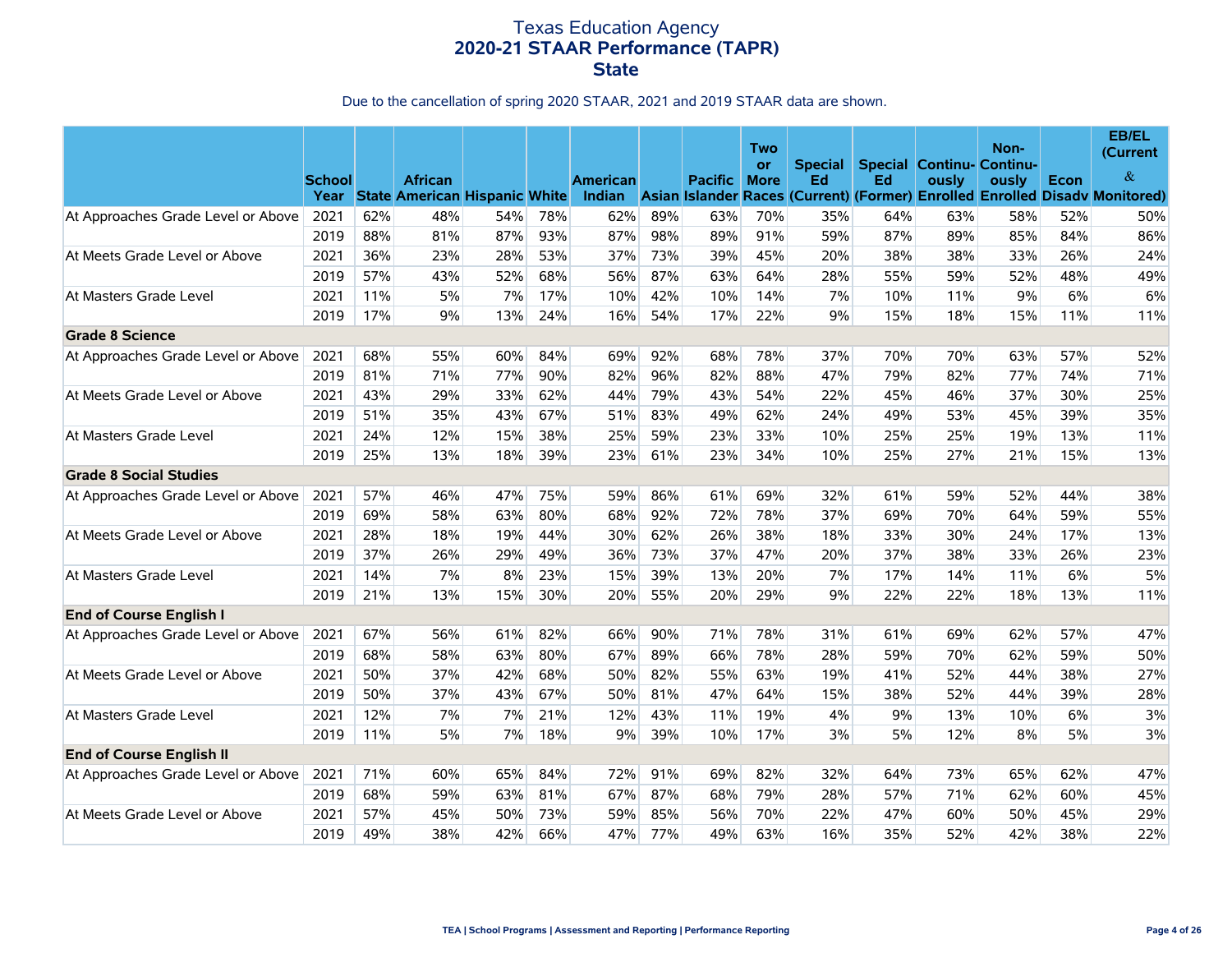|                                    | <b>School</b> |     | <b>African</b><br>Year State American Hispanic White |     |     | American<br>Indian |     | <b>Pacific</b> | Two<br>or<br><b>More</b> | <b>Special</b><br>Ed | Ed  | <b>Special Continu- Continu-</b><br>ously | Non-<br>ously | Econ  | EB/EL<br>(Current<br>$\&$<br>Asian Islander Races (Current) (Former) Enrolled Enrolled Disadv Monitored) |
|------------------------------------|---------------|-----|------------------------------------------------------|-----|-----|--------------------|-----|----------------|--------------------------|----------------------|-----|-------------------------------------------|---------------|-------|----------------------------------------------------------------------------------------------------------|
| At Approaches Grade Level or Above | 2021          | 62% | 48%                                                  | 54% | 78% | 62%                | 89% | 63%            | 70%                      | 35%                  | 64% | 63%                                       | 58%           | 52%   | 50%                                                                                                      |
|                                    | 2019          | 88% | 81%                                                  | 87% | 93% | 87%                | 98% | 89%            | 91%                      | 59%                  | 87% | 89%                                       | 85%           | 84%   | 86%                                                                                                      |
| At Meets Grade Level or Above      | 2021          | 36% | 23%                                                  | 28% | 53% | 37%                | 73% | 39%            | 45%                      | 20%                  | 38% | 38%                                       | 33%           | 26%   | 24%                                                                                                      |
|                                    | 2019          | 57% | 43%                                                  | 52% | 68% | 56%                | 87% | 63%            | 64%                      | 28%                  | 55% | 59%                                       | 52%           | 48%   | 49%                                                                                                      |
| At Masters Grade Level             | 2021          | 11% | 5%                                                   | 7%  | 17% | 10%                | 42% | 10%            | 14%                      | 7%                   | 10% | 11%                                       | 9%            | 6%    | 6%                                                                                                       |
|                                    | 2019          | 17% | $9\%$                                                | 13% | 24% | 16%                | 54% | 17%            | 22%                      | 9%                   | 15% | 18%                                       | 15%           | 11%   | 11%                                                                                                      |
| <b>Grade 8 Science</b>             |               |     |                                                      |     |     |                    |     |                |                          |                      |     |                                           |               |       |                                                                                                          |
| At Approaches Grade Level or Above | 2021          | 68% | 55%                                                  | 60% | 84% | 69%                | 92% | 68%            | 78%                      | 37%                  | 70% | 70%                                       | 63%           | 57%   | 52%                                                                                                      |
|                                    | 2019          | 81% | 71%                                                  | 77% | 90% | 82%                | 96% | 82%            | 88%                      | 47%                  | 79% | 82%                                       | 77%           | 74%   | 71%                                                                                                      |
| At Meets Grade Level or Above      | 2021          | 43% | 29%                                                  | 33% | 62% | 44%                | 79% | 43%            | 54%                      | 22%                  | 45% | 46%                                       | 37%           | 30%   | 25%                                                                                                      |
|                                    | 2019          | 51% | 35%                                                  | 43% | 67% | 51%                | 83% | 49%            | 62%                      | 24%                  | 49% | 53%                                       | 45%           | 39%   | 35%                                                                                                      |
| At Masters Grade Level             | 2021          | 24% | 12%                                                  | 15% | 38% | 25%                | 59% | 23%            | 33%                      | 10%                  | 25% | 25%                                       | 19%           | 13%   | 11%                                                                                                      |
|                                    | 2019          | 25% | 13%                                                  | 18% | 39% | 23%                | 61% | 23%            | 34%                      | 10%                  | 25% | 27%                                       | 21%           | 15%   | 13%                                                                                                      |
| <b>Grade 8 Social Studies</b>      |               |     |                                                      |     |     |                    |     |                |                          |                      |     |                                           |               |       |                                                                                                          |
| At Approaches Grade Level or Above | 2021          | 57% | 46%                                                  | 47% | 75% | 59%                | 86% | 61%            | 69%                      | 32%                  | 61% | 59%                                       | 52%           | 44%   | 38%                                                                                                      |
|                                    | 2019          | 69% | 58%                                                  | 63% | 80% | 68%                | 92% | 72%            | 78%                      | 37%                  | 69% | 70%                                       | 64%           | 59%   | 55%                                                                                                      |
| At Meets Grade Level or Above      | 2021          | 28% | 18%                                                  | 19% | 44% | 30%                | 62% | 26%            | 38%                      | 18%                  | 33% | 30%                                       | 24%           | 17%   | 13%                                                                                                      |
|                                    | 2019          | 37% | 26%                                                  | 29% | 49% | 36%                | 73% | 37%            | 47%                      | 20%                  | 37% | 38%                                       | 33%           | 26%   | 23%                                                                                                      |
| At Masters Grade Level             | 2021          | 14% | 7%                                                   | 8%  | 23% | 15%                | 39% | 13%            | 20%                      | 7%                   | 17% | 14%                                       | 11%           | $6\%$ | 5%                                                                                                       |
|                                    | 2019          | 21% | 13%                                                  | 15% | 30% | 20%                | 55% | 20%            | 29%                      | 9%                   | 22% | 22%                                       | 18%           | 13%   | 11%                                                                                                      |
| <b>End of Course English I</b>     |               |     |                                                      |     |     |                    |     |                |                          |                      |     |                                           |               |       |                                                                                                          |
| At Approaches Grade Level or Above | 2021          | 67% | 56%                                                  | 61% | 82% | 66%                | 90% | 71%            | 78%                      | 31%                  | 61% | 69%                                       | 62%           | 57%   | 47%                                                                                                      |
|                                    | 2019          | 68% | 58%                                                  | 63% | 80% | 67%                | 89% | 66%            | 78%                      | 28%                  | 59% | 70%                                       | 62%           | 59%   | 50%                                                                                                      |
| At Meets Grade Level or Above      | 2021          | 50% | 37%                                                  | 42% | 68% | 50%                | 82% | 55%            | 63%                      | 19%                  | 41% | 52%                                       | 44%           | 38%   | 27%                                                                                                      |
|                                    | 2019          | 50% | 37%                                                  | 43% | 67% | 50%                | 81% | 47%            | 64%                      | 15%                  | 38% | 52%                                       | 44%           | 39%   | 28%                                                                                                      |
| At Masters Grade Level             | 2021          | 12% | 7%                                                   | 7%  | 21% | 12%                | 43% | 11%            | 19%                      | 4%                   | 9%  | 13%                                       | 10%           | 6%    | 3%                                                                                                       |
|                                    | 2019          | 11% | 5%                                                   | 7%  | 18% | 9%                 | 39% | 10%            | 17%                      | 3%                   | 5%  | 12%                                       | 8%            | 5%    | 3%                                                                                                       |
| <b>End of Course English II</b>    |               |     |                                                      |     |     |                    |     |                |                          |                      |     |                                           |               |       |                                                                                                          |
| At Approaches Grade Level or Above | 2021          | 71% | 60%                                                  | 65% | 84% | 72%                | 91% | 69%            | 82%                      | 32%                  | 64% | 73%                                       | 65%           | 62%   | 47%                                                                                                      |
|                                    | 2019          | 68% | 59%                                                  | 63% | 81% | 67%                | 87% | 68%            | 79%                      | 28%                  | 57% | 71%                                       | 62%           | 60%   | 45%                                                                                                      |
| At Meets Grade Level or Above      | 2021          | 57% | 45%                                                  | 50% | 73% | 59%                | 85% | 56%            | 70%                      | 22%                  | 47% | 60%                                       | 50%           | 45%   | 29%                                                                                                      |
|                                    | 2019          | 49% | 38%                                                  | 42% | 66% | 47%                | 77% | 49%            | 63%                      | 16%                  | 35% | 52%                                       | 42%           | 38%   | 22%                                                                                                      |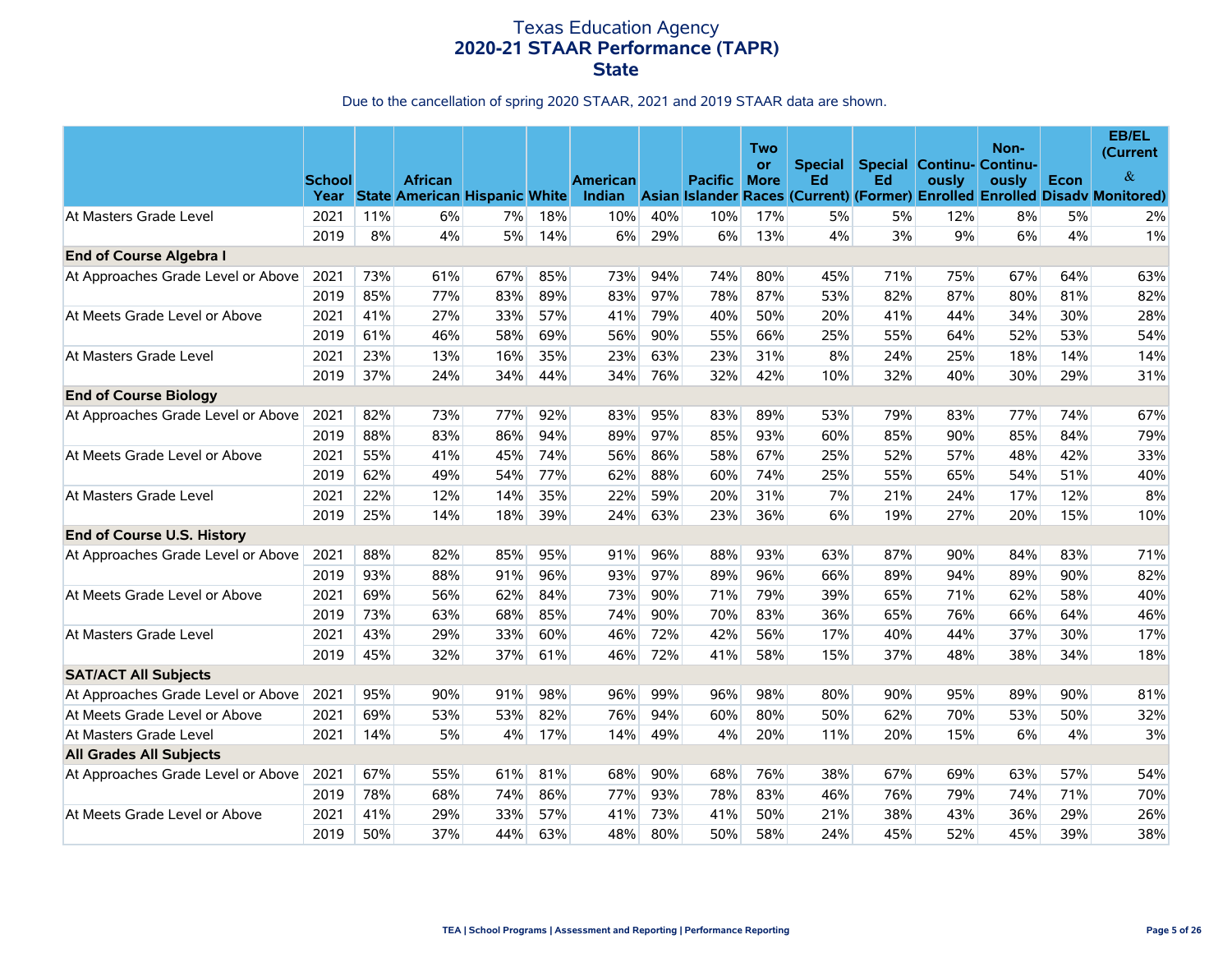|                                    | <b>School</b> |     | <b>African</b><br>Year State American Hispanic White |     |     | American<br>Indian |     | <b>Pacific</b> | Two<br>or<br><b>More</b> | <b>Special</b><br>Ed | Ed  | <b>Special Continu- Continu-</b><br>ously | Non-<br>ously | Econ | EB/EL<br>(Current<br>&<br>Asian Islander Races (Current) (Former) Enrolled Enrolled Disady Monitored) |
|------------------------------------|---------------|-----|------------------------------------------------------|-----|-----|--------------------|-----|----------------|--------------------------|----------------------|-----|-------------------------------------------|---------------|------|-------------------------------------------------------------------------------------------------------|
| At Masters Grade Level             | 2021          | 11% | 6%                                                   | 7%  | 18% | 10%                | 40% | 10%            | 17%                      | 5%                   | 5%  | 12%                                       | 8%            | 5%   | 2%                                                                                                    |
|                                    | 2019          | 8%  | 4%                                                   | 5%  | 14% | 6%                 | 29% | $6\%$          | 13%                      | 4%                   | 3%  | 9%                                        | 6%            | 4%   | $1\%$                                                                                                 |
| <b>End of Course Algebra I</b>     |               |     |                                                      |     |     |                    |     |                |                          |                      |     |                                           |               |      |                                                                                                       |
| At Approaches Grade Level or Above | 2021          | 73% | 61%                                                  | 67% | 85% | 73%                | 94% | 74%            | 80%                      | 45%                  | 71% | 75%                                       | 67%           | 64%  | 63%                                                                                                   |
|                                    | 2019          | 85% | 77%                                                  | 83% | 89% | 83%                | 97% | 78%            | 87%                      | 53%                  | 82% | 87%                                       | 80%           | 81%  | 82%                                                                                                   |
| At Meets Grade Level or Above      | 2021          | 41% | 27%                                                  | 33% | 57% | 41%                | 79% | 40%            | 50%                      | 20%                  | 41% | 44%                                       | 34%           | 30%  | 28%                                                                                                   |
|                                    | 2019          | 61% | 46%                                                  | 58% | 69% | 56%                | 90% | 55%            | 66%                      | 25%                  | 55% | 64%                                       | 52%           | 53%  | 54%                                                                                                   |
| At Masters Grade Level             | 2021          | 23% | 13%                                                  | 16% | 35% | 23%                | 63% | 23%            | 31%                      | 8%                   | 24% | 25%                                       | 18%           | 14%  | 14%                                                                                                   |
|                                    | 2019          | 37% | 24%                                                  | 34% | 44% | 34%                | 76% | 32%            | 42%                      | 10%                  | 32% | 40%                                       | 30%           | 29%  | 31%                                                                                                   |
| <b>End of Course Biology</b>       |               |     |                                                      |     |     |                    |     |                |                          |                      |     |                                           |               |      |                                                                                                       |
| At Approaches Grade Level or Above | 2021          | 82% | 73%                                                  | 77% | 92% | 83%                | 95% | 83%            | 89%                      | 53%                  | 79% | 83%                                       | 77%           | 74%  | 67%                                                                                                   |
|                                    | 2019          | 88% | 83%                                                  | 86% | 94% | 89%                | 97% | 85%            | 93%                      | 60%                  | 85% | 90%                                       | 85%           | 84%  | 79%                                                                                                   |
| At Meets Grade Level or Above      | 2021          | 55% | 41%                                                  | 45% | 74% | 56%                | 86% | 58%            | 67%                      | 25%                  | 52% | 57%                                       | 48%           | 42%  | 33%                                                                                                   |
|                                    | 2019          | 62% | 49%                                                  | 54% | 77% | 62%                | 88% | 60%            | 74%                      | 25%                  | 55% | 65%                                       | 54%           | 51%  | 40%                                                                                                   |
| At Masters Grade Level             | 2021          | 22% | 12%                                                  | 14% | 35% | 22%                | 59% | 20%            | 31%                      | 7%                   | 21% | 24%                                       | 17%           | 12%  | 8%                                                                                                    |
|                                    | 2019          | 25% | 14%                                                  | 18% | 39% | 24%                | 63% | 23%            | 36%                      | 6%                   | 19% | 27%                                       | 20%           | 15%  | 10%                                                                                                   |
| End of Course U.S. History         |               |     |                                                      |     |     |                    |     |                |                          |                      |     |                                           |               |      |                                                                                                       |
| At Approaches Grade Level or Above | 2021          | 88% | 82%                                                  | 85% | 95% | 91%                | 96% | 88%            | 93%                      | 63%                  | 87% | 90%                                       | 84%           | 83%  | 71%                                                                                                   |
|                                    | 2019          | 93% | 88%                                                  | 91% | 96% | 93%                | 97% | 89%            | 96%                      | 66%                  | 89% | 94%                                       | 89%           | 90%  | 82%                                                                                                   |
| At Meets Grade Level or Above      | 2021          | 69% | 56%                                                  | 62% | 84% | 73%                | 90% | 71%            | 79%                      | 39%                  | 65% | 71%                                       | 62%           | 58%  | 40%                                                                                                   |
|                                    | 2019          | 73% | 63%                                                  | 68% | 85% | 74%                | 90% | 70%            | 83%                      | 36%                  | 65% | 76%                                       | 66%           | 64%  | 46%                                                                                                   |
| At Masters Grade Level             | 2021          | 43% | 29%                                                  | 33% | 60% | 46%                | 72% | 42%            | 56%                      | 17%                  | 40% | 44%                                       | 37%           | 30%  | 17%                                                                                                   |
|                                    | 2019          | 45% | 32%                                                  | 37% | 61% | 46%                | 72% | 41%            | 58%                      | 15%                  | 37% | 48%                                       | 38%           | 34%  | 18%                                                                                                   |
| <b>SAT/ACT All Subjects</b>        |               |     |                                                      |     |     |                    |     |                |                          |                      |     |                                           |               |      |                                                                                                       |
| At Approaches Grade Level or Above | 2021          | 95% | 90%                                                  | 91% | 98% | 96%                | 99% | 96%            | 98%                      | 80%                  | 90% | 95%                                       | 89%           | 90%  | 81%                                                                                                   |
| At Meets Grade Level or Above      | 2021          | 69% | 53%                                                  | 53% | 82% | 76%                | 94% | 60%            | 80%                      | 50%                  | 62% | 70%                                       | 53%           | 50%  | 32%                                                                                                   |
| At Masters Grade Level             | 2021          | 14% | 5%                                                   | 4%  | 17% | 14%                | 49% | 4%             | 20%                      | 11%                  | 20% | 15%                                       | 6%            | 4%   | 3%                                                                                                    |
| <b>All Grades All Subjects</b>     |               |     |                                                      |     |     |                    |     |                |                          |                      |     |                                           |               |      |                                                                                                       |
| At Approaches Grade Level or Above | 2021          | 67% | 55%                                                  | 61% | 81% | 68%                | 90% | 68%            | 76%                      | 38%                  | 67% | 69%                                       | 63%           | 57%  | 54%                                                                                                   |
|                                    | 2019          | 78% | 68%                                                  | 74% | 86% | 77%                | 93% | 78%            | 83%                      | 46%                  | 76% | 79%                                       | 74%           | 71%  | 70%                                                                                                   |
| At Meets Grade Level or Above      | 2021          | 41% | 29%                                                  | 33% | 57% | 41%                | 73% | 41%            | 50%                      | 21%                  | 38% | 43%                                       | 36%           | 29%  | 26%                                                                                                   |
|                                    | 2019          | 50% | 37%                                                  | 44% | 63% | 48%                | 80% | 50%            | 58%                      | 24%                  | 45% | 52%                                       | 45%           | 39%  | 38%                                                                                                   |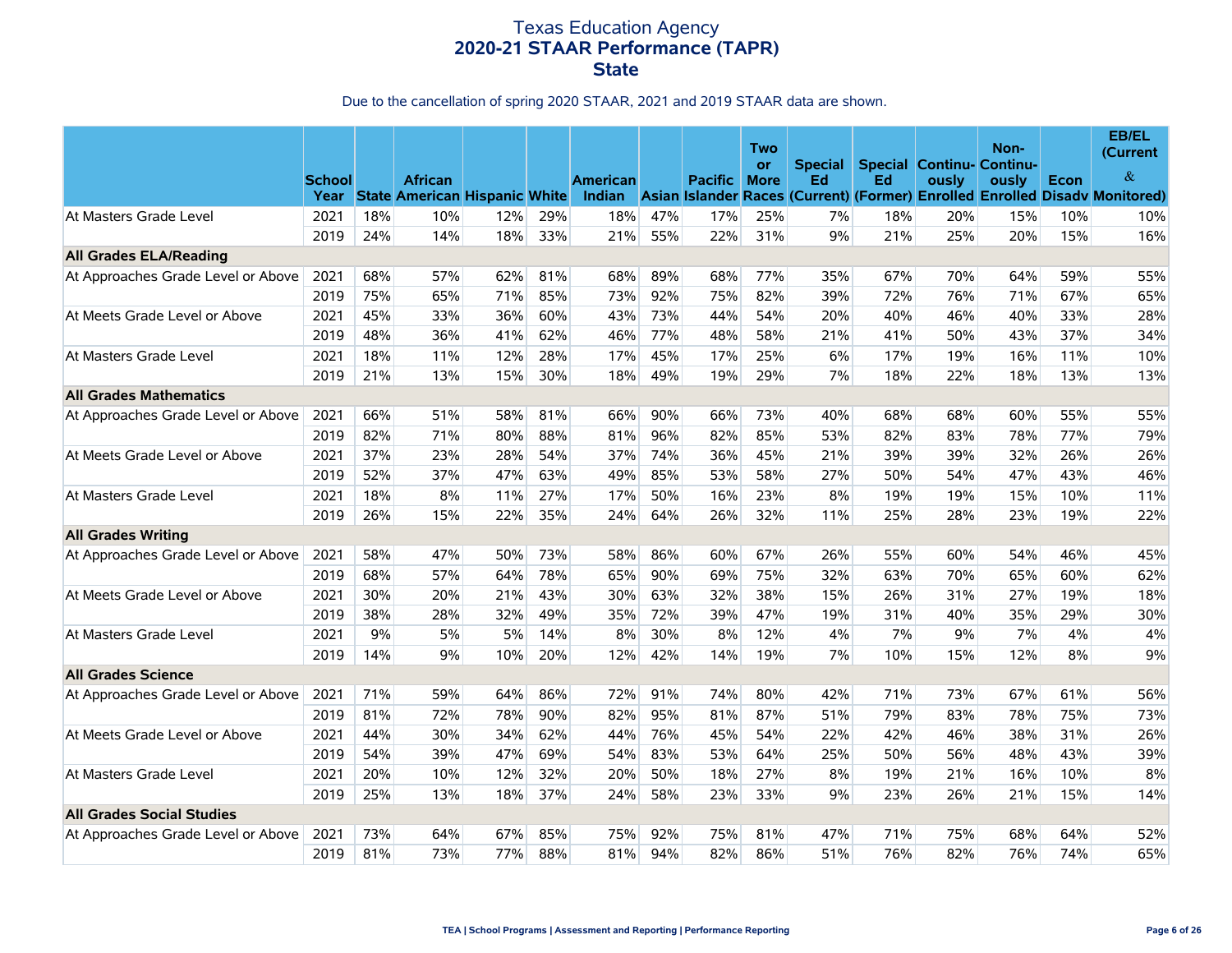|                                    | <b>School</b><br>Year |     | <b>African</b><br><b>State American Hispanic White</b> |     |     | <b>American</b><br>Indian |     | <b>Pacific</b> | Two<br>or<br><b>More</b> | <b>Special</b><br>Ed | Ed  | <b>Special Continu- Continu-</b><br>ously | Non-<br>ously | <b>Econ</b> | EB/EL<br>(Current<br>&<br>Asian Islander Races (Current) (Former) Enrolled Enrolled Disady Monitored) |
|------------------------------------|-----------------------|-----|--------------------------------------------------------|-----|-----|---------------------------|-----|----------------|--------------------------|----------------------|-----|-------------------------------------------|---------------|-------------|-------------------------------------------------------------------------------------------------------|
| At Masters Grade Level             | 2021                  | 18% | 10%                                                    | 12% | 29% | 18%                       | 47% | 17%            | 25%                      | 7%                   | 18% | 20%                                       | 15%           | 10%         | 10%                                                                                                   |
|                                    | 2019                  | 24% | 14%                                                    | 18% | 33% | 21%                       | 55% | 22%            | 31%                      | 9%                   | 21% | 25%                                       | 20%           | 15%         | 16%                                                                                                   |
| <b>All Grades ELA/Reading</b>      |                       |     |                                                        |     |     |                           |     |                |                          |                      |     |                                           |               |             |                                                                                                       |
| At Approaches Grade Level or Above | 2021                  | 68% | 57%                                                    | 62% | 81% | 68%                       | 89% | 68%            | 77%                      | 35%                  | 67% | 70%                                       | 64%           | 59%         | 55%                                                                                                   |
|                                    | 2019                  | 75% | 65%                                                    | 71% | 85% | 73%                       | 92% | 75%            | 82%                      | 39%                  | 72% | 76%                                       | 71%           | 67%         | 65%                                                                                                   |
| At Meets Grade Level or Above      | 2021                  | 45% | 33%                                                    | 36% | 60% | 43%                       | 73% | 44%            | 54%                      | 20%                  | 40% | 46%                                       | 40%           | 33%         | 28%                                                                                                   |
|                                    | 2019                  | 48% | 36%                                                    | 41% | 62% | 46%                       | 77% | 48%            | 58%                      | 21%                  | 41% | 50%                                       | 43%           | 37%         | 34%                                                                                                   |
| At Masters Grade Level             | 2021                  | 18% | 11%                                                    | 12% | 28% | 17%                       | 45% | 17%            | 25%                      | 6%                   | 17% | 19%                                       | 16%           | 11%         | 10%                                                                                                   |
|                                    | 2019                  | 21% | 13%                                                    | 15% | 30% | 18%                       | 49% | 19%            | 29%                      | 7%                   | 18% | 22%                                       | 18%           | 13%         | 13%                                                                                                   |
| <b>All Grades Mathematics</b>      |                       |     |                                                        |     |     |                           |     |                |                          |                      |     |                                           |               |             |                                                                                                       |
| At Approaches Grade Level or Above | 2021                  | 66% | 51%                                                    | 58% | 81% | 66%                       | 90% | 66%            | 73%                      | 40%                  | 68% | 68%                                       | 60%           | 55%         | 55%                                                                                                   |
|                                    | 2019                  | 82% | 71%                                                    | 80% | 88% | 81%                       | 96% | 82%            | 85%                      | 53%                  | 82% | 83%                                       | 78%           | 77%         | 79%                                                                                                   |
| At Meets Grade Level or Above      | 2021                  | 37% | 23%                                                    | 28% | 54% | 37%                       | 74% | 36%            | 45%                      | 21%                  | 39% | 39%                                       | 32%           | 26%         | 26%                                                                                                   |
|                                    | 2019                  | 52% | 37%                                                    | 47% | 63% | 49%                       | 85% | 53%            | 58%                      | 27%                  | 50% | 54%                                       | 47%           | 43%         | 46%                                                                                                   |
| At Masters Grade Level             | 2021                  | 18% | 8%                                                     | 11% | 27% | 17%                       | 50% | 16%            | 23%                      | 8%                   | 19% | 19%                                       | 15%           | 10%         | 11%                                                                                                   |
|                                    | 2019                  | 26% | 15%                                                    | 22% | 35% | 24%                       | 64% | 26%            | 32%                      | 11%                  | 25% | 28%                                       | 23%           | 19%         | 22%                                                                                                   |
| <b>All Grades Writing</b>          |                       |     |                                                        |     |     |                           |     |                |                          |                      |     |                                           |               |             |                                                                                                       |
| At Approaches Grade Level or Above | 2021                  | 58% | 47%                                                    | 50% | 73% | 58%                       | 86% | 60%            | 67%                      | 26%                  | 55% | 60%                                       | 54%           | 46%         | 45%                                                                                                   |
|                                    | 2019                  | 68% | 57%                                                    | 64% | 78% | 65%                       | 90% | 69%            | 75%                      | 32%                  | 63% | 70%                                       | 65%           | 60%         | 62%                                                                                                   |
| At Meets Grade Level or Above      | 2021                  | 30% | 20%                                                    | 21% | 43% | 30%                       | 63% | 32%            | 38%                      | 15%                  | 26% | 31%                                       | 27%           | 19%         | 18%                                                                                                   |
|                                    | 2019                  | 38% | 28%                                                    | 32% | 49% | 35%                       | 72% | 39%            | 47%                      | 19%                  | 31% | 40%                                       | 35%           | 29%         | 30%                                                                                                   |
| At Masters Grade Level             | 2021                  | 9%  | 5%                                                     | 5%  | 14% | 8%                        | 30% | 8%             | 12%                      | 4%                   | 7%  | 9%                                        | 7%            | 4%          | 4%                                                                                                    |
|                                    | 2019                  | 14% | 9%                                                     | 10% | 20% | 12%                       | 42% | 14%            | 19%                      | 7%                   | 10% | 15%                                       | 12%           | 8%          | 9%                                                                                                    |
| <b>All Grades Science</b>          |                       |     |                                                        |     |     |                           |     |                |                          |                      |     |                                           |               |             |                                                                                                       |
| At Approaches Grade Level or Above | 2021                  | 71% | 59%                                                    | 64% | 86% | 72%                       | 91% | 74%            | 80%                      | 42%                  | 71% | 73%                                       | 67%           | 61%         | 56%                                                                                                   |
|                                    | 2019                  | 81% | 72%                                                    | 78% | 90% | 82%                       | 95% | 81%            | 87%                      | 51%                  | 79% | 83%                                       | 78%           | 75%         | 73%                                                                                                   |
| At Meets Grade Level or Above      | 2021                  | 44% | 30%                                                    | 34% | 62% | 44%                       | 76% | 45%            | 54%                      | 22%                  | 42% | 46%                                       | 38%           | 31%         | 26%                                                                                                   |
|                                    | 2019                  | 54% | 39%                                                    | 47% | 69% | 54%                       | 83% | 53%            | 64%                      | 25%                  | 50% | 56%                                       | 48%           | 43%         | 39%                                                                                                   |
| At Masters Grade Level             | 2021                  | 20% | 10%                                                    | 12% | 32% | 20%                       | 50% | 18%            | 27%                      | 8%                   | 19% | 21%                                       | 16%           | 10%         | 8%                                                                                                    |
|                                    | 2019                  | 25% | 13%                                                    | 18% | 37% | 24%                       | 58% | 23%            | 33%                      | 9%                   | 23% | 26%                                       | 21%           | 15%         | 14%                                                                                                   |
| <b>All Grades Social Studies</b>   |                       |     |                                                        |     |     |                           |     |                |                          |                      |     |                                           |               |             |                                                                                                       |
| At Approaches Grade Level or Above | 2021                  | 73% | 64%                                                    | 67% | 85% | 75%                       | 92% | 75%            | 81%                      | 47%                  | 71% | 75%                                       | 68%           | 64%         | 52%                                                                                                   |
|                                    | 2019                  | 81% | 73%                                                    | 77% | 88% | 81%                       | 94% | 82%            | 86%                      | 51%                  | 76% | 82%                                       | 76%           | 74%         | 65%                                                                                                   |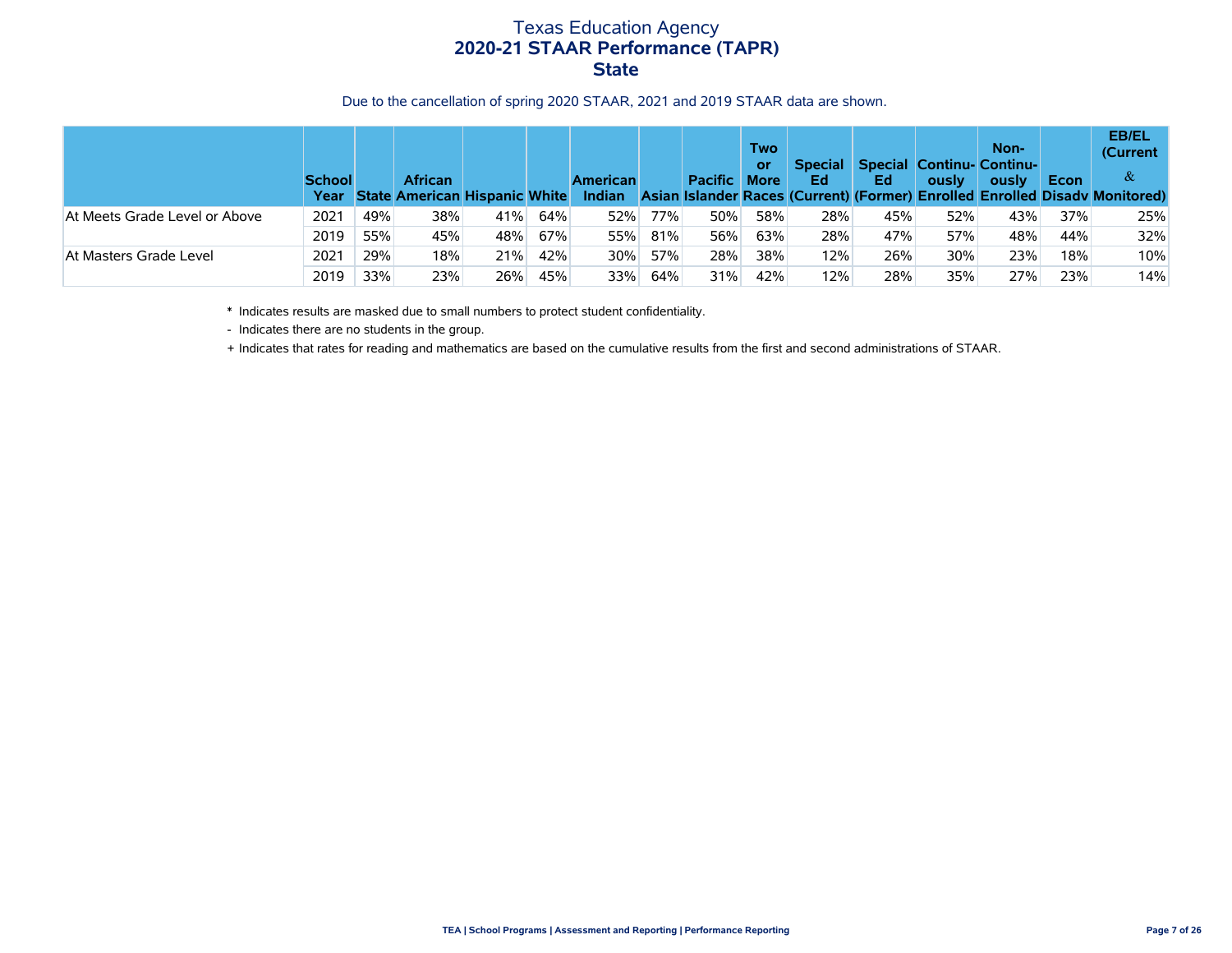Due to the cancellation of spring 2020 STAAR, 2021 and 2019 STAAR data are shown.

|                               | <b>School</b><br>Year |     | <b>African</b><br><b>State American Hispanic White</b> |     |     | <b>American</b><br>Indian |     | <b>Pacific</b> | Two<br>or<br><b>More</b> | <b>Special</b><br>Ed | Ed  | ously | Non-<br><b>Special Continu- Continu-</b><br>ously | Econ | <b>EB/EL</b><br>(Current<br>&<br>Asian Islander Races (Current) (Former) Enrolled Enrolled Disady Monitored) |
|-------------------------------|-----------------------|-----|--------------------------------------------------------|-----|-----|---------------------------|-----|----------------|--------------------------|----------------------|-----|-------|---------------------------------------------------|------|--------------------------------------------------------------------------------------------------------------|
| At Meets Grade Level or Above | 2021                  | 49% | 38%                                                    | 41% | 64% | 52%                       | 77% | 50%            | 58%                      | 28%                  | 45% | 52%   | 43%                                               | 37%  | 25%                                                                                                          |
|                               | 2019                  | 55% | 45%                                                    | 48% | 67% | 55%                       | 81% | 56%            | 63%                      | 28%                  | 47% | 57%   | 48%                                               | 44%  | 32%                                                                                                          |
| At Masters Grade Level        | 2021                  | 29% | 18%                                                    | 21% | 42% | 30%                       | 57% | 28%            | 38%                      | 12%                  | 26% | 30%   | 23%                                               | 18%  | 10%                                                                                                          |
|                               | 2019                  | 33% | 23%                                                    | 26% | 45% | 33%                       | 64% | 31%            | 42%                      | 12%                  | 28% | 35%   | 27%                                               | 23%  | 14%                                                                                                          |

\* Indicates results are masked due to small numbers to protect student confidentiality.

- Indicates there are no students in the group.

+ Indicates that rates for reading and mathematics are based on the cumulative results from the first and second administrations of STAAR.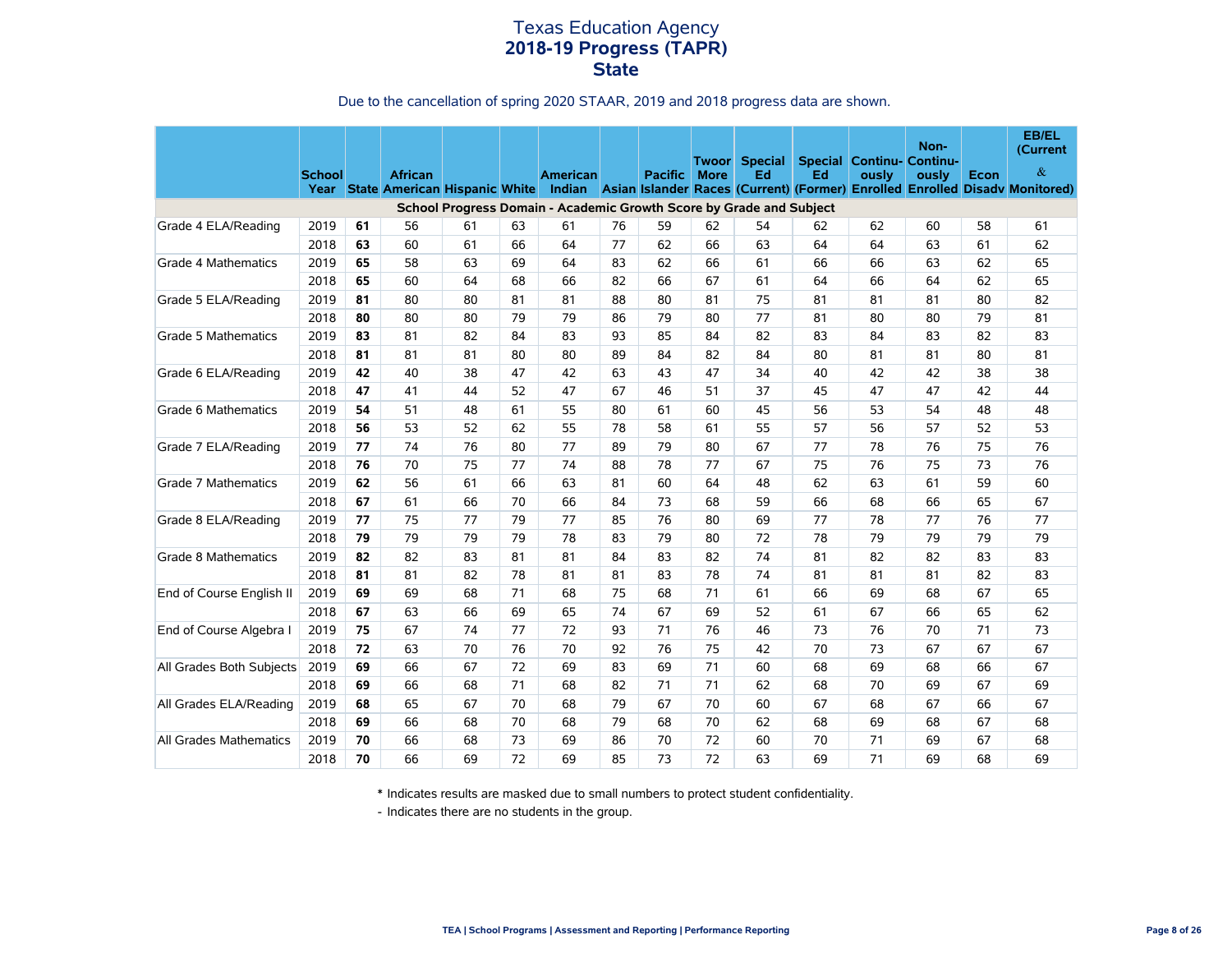# Texas Education Agency **2018-19 Progress (TAPR) State**

#### Due to the cancellation of spring 2020 STAAR, 2019 and 2018 progress data are shown.

|                            | <b>School</b> |    | <b>African</b> |    |    | <b>American</b>                                                     |    | <b>Pacific</b> | Twoorl<br><b>More</b> | <b>Special</b><br>Ed | Ed | <b>Special Continu- Continu-</b><br>ously | Non-<br>ously | Econ | <b>EB/EL</b><br>(Current<br>$\&$<br>Year State American Hispanic White Indian Asian Islander Races (Current) (Former) Enrolled Enrolled Disady Monitored) |
|----------------------------|---------------|----|----------------|----|----|---------------------------------------------------------------------|----|----------------|-----------------------|----------------------|----|-------------------------------------------|---------------|------|-----------------------------------------------------------------------------------------------------------------------------------------------------------|
|                            |               |    |                |    |    | School Progress Domain - Academic Growth Score by Grade and Subject |    |                |                       |                      |    |                                           |               |      |                                                                                                                                                           |
| Grade 4 ELA/Reading        | 2019          | 61 | 56             | 61 | 63 | 61                                                                  | 76 | 59             | 62                    | 54                   | 62 | 62                                        | 60            | 58   | 61                                                                                                                                                        |
|                            | 2018          | 63 | 60             | 61 | 66 | 64                                                                  | 77 | 62             | 66                    | 63                   | 64 | 64                                        | 63            | 61   | 62                                                                                                                                                        |
| Grade 4 Mathematics        | 2019          | 65 | 58             | 63 | 69 | 64                                                                  | 83 | 62             | 66                    | 61                   | 66 | 66                                        | 63            | 62   | 65                                                                                                                                                        |
|                            | 2018          | 65 | 60             | 64 | 68 | 66                                                                  | 82 | 66             | 67                    | 61                   | 64 | 66                                        | 64            | 62   | 65                                                                                                                                                        |
| Grade 5 ELA/Reading        | 2019          | 81 | 80             | 80 | 81 | 81                                                                  | 88 | 80             | 81                    | 75                   | 81 | 81                                        | 81            | 80   | 82                                                                                                                                                        |
|                            | 2018          | 80 | 80             | 80 | 79 | 79                                                                  | 86 | 79             | 80                    | 77                   | 81 | 80                                        | 80            | 79   | 81                                                                                                                                                        |
| <b>Grade 5 Mathematics</b> | 2019          | 83 | 81             | 82 | 84 | 83                                                                  | 93 | 85             | 84                    | 82                   | 83 | 84                                        | 83            | 82   | 83                                                                                                                                                        |
|                            | 2018          | 81 | 81             | 81 | 80 | 80                                                                  | 89 | 84             | 82                    | 84                   | 80 | 81                                        | 81            | 80   | 81                                                                                                                                                        |
| Grade 6 ELA/Reading        | 2019          | 42 | 40             | 38 | 47 | 42                                                                  | 63 | 43             | 47                    | 34                   | 40 | 42                                        | 42            | 38   | 38                                                                                                                                                        |
|                            | 2018          | 47 | 41             | 44 | 52 | 47                                                                  | 67 | 46             | 51                    | 37                   | 45 | 47                                        | 47            | 42   | 44                                                                                                                                                        |
| Grade 6 Mathematics        | 2019          | 54 | 51             | 48 | 61 | 55                                                                  | 80 | 61             | 60                    | 45                   | 56 | 53                                        | 54            | 48   | 48                                                                                                                                                        |
|                            | 2018          | 56 | 53             | 52 | 62 | 55                                                                  | 78 | 58             | 61                    | 55                   | 57 | 56                                        | 57            | 52   | 53                                                                                                                                                        |
| Grade 7 ELA/Reading        | 2019          | 77 | 74             | 76 | 80 | 77                                                                  | 89 | 79             | 80                    | 67                   | 77 | 78                                        | 76            | 75   | 76                                                                                                                                                        |
|                            | 2018          | 76 | 70             | 75 | 77 | 74                                                                  | 88 | 78             | 77                    | 67                   | 75 | 76                                        | 75            | 73   | 76                                                                                                                                                        |
| <b>Grade 7 Mathematics</b> | 2019          | 62 | 56             | 61 | 66 | 63                                                                  | 81 | 60             | 64                    | 48                   | 62 | 63                                        | 61            | 59   | 60                                                                                                                                                        |
|                            | 2018          | 67 | 61             | 66 | 70 | 66                                                                  | 84 | 73             | 68                    | 59                   | 66 | 68                                        | 66            | 65   | 67                                                                                                                                                        |
| Grade 8 ELA/Reading        | 2019          | 77 | 75             | 77 | 79 | 77                                                                  | 85 | 76             | 80                    | 69                   | 77 | 78                                        | 77            | 76   | 77                                                                                                                                                        |
|                            | 2018          | 79 | 79             | 79 | 79 | 78                                                                  | 83 | 79             | 80                    | 72                   | 78 | 79                                        | 79            | 79   | 79                                                                                                                                                        |
| Grade 8 Mathematics        | 2019          | 82 | 82             | 83 | 81 | 81                                                                  | 84 | 83             | 82                    | 74                   | 81 | 82                                        | 82            | 83   | 83                                                                                                                                                        |
|                            | 2018          | 81 | 81             | 82 | 78 | 81                                                                  | 81 | 83             | 78                    | 74                   | 81 | 81                                        | 81            | 82   | 83                                                                                                                                                        |
| End of Course English II   | 2019          | 69 | 69             | 68 | 71 | 68                                                                  | 75 | 68             | 71                    | 61                   | 66 | 69                                        | 68            | 67   | 65                                                                                                                                                        |
|                            | 2018          | 67 | 63             | 66 | 69 | 65                                                                  | 74 | 67             | 69                    | 52                   | 61 | 67                                        | 66            | 65   | 62                                                                                                                                                        |
| End of Course Algebra I    | 2019          | 75 | 67             | 74 | 77 | 72                                                                  | 93 | 71             | 76                    | 46                   | 73 | 76                                        | 70            | 71   | 73                                                                                                                                                        |
|                            | 2018          | 72 | 63             | 70 | 76 | 70                                                                  | 92 | 76             | 75                    | 42                   | 70 | 73                                        | 67            | 67   | 67                                                                                                                                                        |
| All Grades Both Subjects   | 2019          | 69 | 66             | 67 | 72 | 69                                                                  | 83 | 69             | 71                    | 60                   | 68 | 69                                        | 68            | 66   | 67                                                                                                                                                        |
|                            | 2018          | 69 | 66             | 68 | 71 | 68                                                                  | 82 | 71             | 71                    | 62                   | 68 | 70                                        | 69            | 67   | 69                                                                                                                                                        |
| All Grades ELA/Reading     | 2019          | 68 | 65             | 67 | 70 | 68                                                                  | 79 | 67             | 70                    | 60                   | 67 | 68                                        | 67            | 66   | 67                                                                                                                                                        |
|                            | 2018          | 69 | 66             | 68 | 70 | 68                                                                  | 79 | 68             | 70                    | 62                   | 68 | 69                                        | 68            | 67   | 68                                                                                                                                                        |
| All Grades Mathematics     | 2019          | 70 | 66             | 68 | 73 | 69                                                                  | 86 | 70             | 72                    | 60                   | 70 | 71                                        | 69            | 67   | 68                                                                                                                                                        |
|                            | 2018          | 70 | 66             | 69 | 72 | 69                                                                  | 85 | 73             | 72                    | 63                   | 69 | 71                                        | 69            | 68   | 69                                                                                                                                                        |

\* Indicates results are masked due to small numbers to protect student confidentiality.

- Indicates there are no students in the group.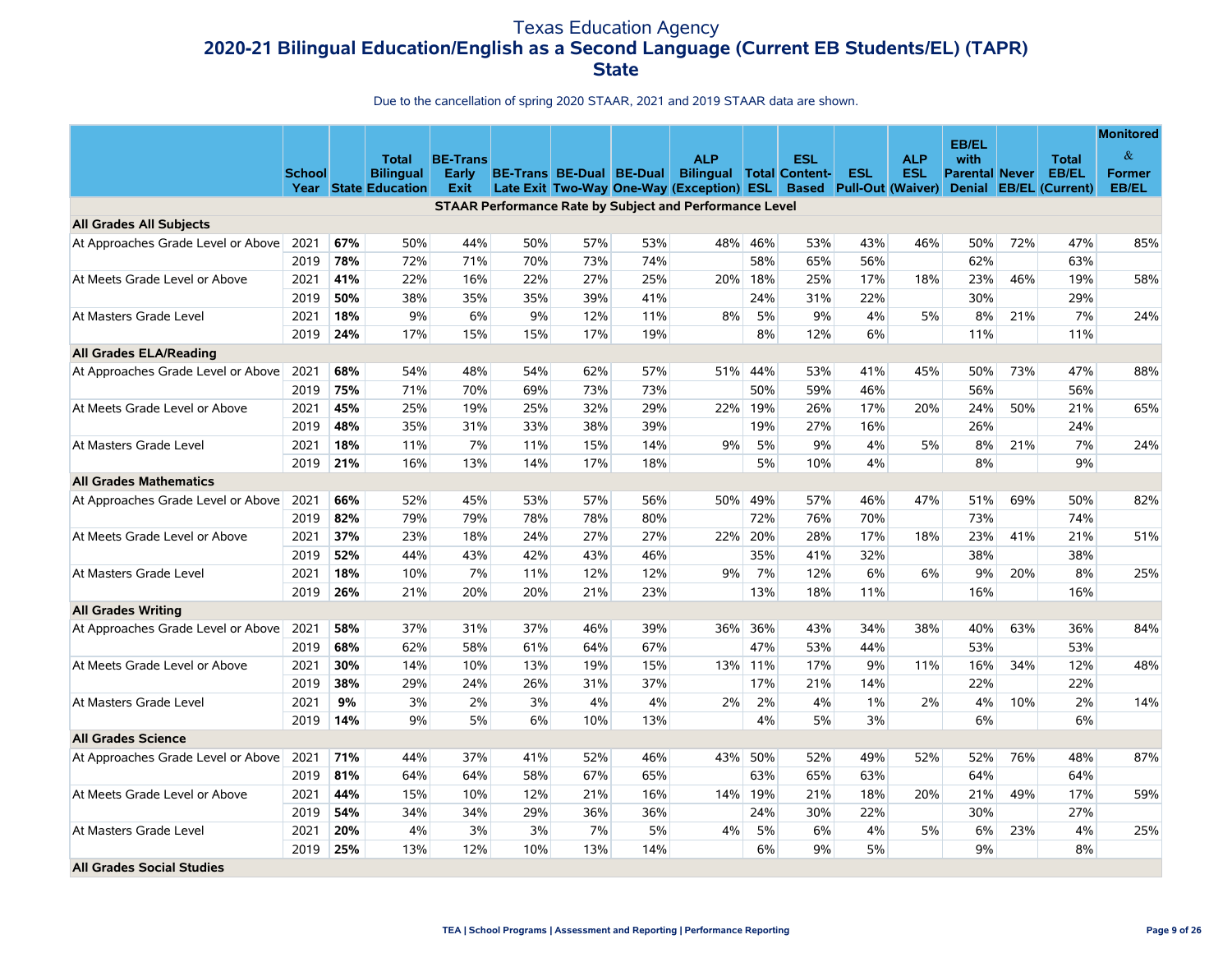# Texas Education Agency **2020-21 Bilingual Education/English as a Second Language (Current EB Students/EL) (TAPR) State**

|                                    |               |     | <b>Total</b>                                    | <b>BE-Trans</b>      |     |                          |     | <b>ALP</b>                                                                   |     | <b>ESL</b> |                                              | <b>ALP</b> | <b>EB/EL</b><br>with                   |     | <b>Total</b>                           | <b>Monitored</b><br>$\&$ |
|------------------------------------|---------------|-----|-------------------------------------------------|----------------------|-----|--------------------------|-----|------------------------------------------------------------------------------|-----|------------|----------------------------------------------|------------|----------------------------------------|-----|----------------------------------------|--------------------------|
|                                    | <b>School</b> |     | <b>Bilingual</b><br><b>Year State Education</b> | <b>Early</b><br>Exit |     | BE-Trans BE-Dual BE-Dual |     | <b>Bilingual Total Content-</b><br>Late Exit Two-Way One-Way (Exception) ESL |     |            | <b>ESL</b><br><b>Based</b> Pull-Out (Waiver) | <b>ESL</b> | <b>Parental Never</b><br><b>Denial</b> |     | <b>EB/EL</b><br><b>EB/EL</b> (Current) | <b>Former</b><br>EB/EL   |
|                                    |               |     |                                                 |                      |     |                          |     | <b>STAAR Performance Rate by Subject and Performance Level</b>               |     |            |                                              |            |                                        |     |                                        |                          |
| <b>All Grades All Subjects</b>     |               |     |                                                 |                      |     |                          |     |                                                                              |     |            |                                              |            |                                        |     |                                        |                          |
| At Approaches Grade Level or Above | 2021          | 67% | 50%                                             | 44%                  | 50% | 57%                      | 53% | 48%                                                                          | 46% | 53%        | 43%                                          | 46%        | 50%                                    | 72% | 47%                                    | 85%                      |
|                                    | 2019          | 78% | 72%                                             | 71%                  | 70% | 73%                      | 74% |                                                                              | 58% | 65%        | 56%                                          |            | 62%                                    |     | 63%                                    |                          |
| At Meets Grade Level or Above      | 2021          | 41% | 22%                                             | 16%                  | 22% | 27%                      | 25% | 20%                                                                          | 18% | 25%        | 17%                                          | 18%        | 23%                                    | 46% | 19%                                    | 58%                      |
|                                    | 2019          | 50% | 38%                                             | 35%                  | 35% | 39%                      | 41% |                                                                              | 24% | 31%        | 22%                                          |            | 30%                                    |     | 29%                                    |                          |
| At Masters Grade Level             | 2021          | 18% | 9%                                              | 6%                   | 9%  | 12%                      | 11% | 8%                                                                           | 5%  | 9%         | 4%                                           | 5%         | 8%                                     | 21% | 7%                                     | 24%                      |
|                                    | 2019          | 24% | 17%                                             | 15%                  | 15% | 17%                      | 19% |                                                                              | 8%  | 12%        | 6%                                           |            | 11%                                    |     | 11%                                    |                          |
| All Grades ELA/Reading             |               |     |                                                 |                      |     |                          |     |                                                                              |     |            |                                              |            |                                        |     |                                        |                          |
| At Approaches Grade Level or Above | 2021          | 68% | 54%                                             | 48%                  | 54% | 62%                      | 57% | 51%                                                                          | 44% | 53%        | 41%                                          | 45%        | 50%                                    | 73% | 47%                                    | 88%                      |
|                                    | 2019          | 75% | 71%                                             | 70%                  | 69% | 73%                      | 73% |                                                                              | 50% | 59%        | 46%                                          |            | 56%                                    |     | 56%                                    |                          |
| At Meets Grade Level or Above      | 2021          | 45% | 25%                                             | 19%                  | 25% | 32%                      | 29% | 22%                                                                          | 19% | 26%        | 17%                                          | 20%        | 24%                                    | 50% | 21%                                    | 65%                      |
|                                    | 2019          | 48% | 35%                                             | 31%                  | 33% | 38%                      | 39% |                                                                              | 19% | 27%        | 16%                                          |            | 26%                                    |     | 24%                                    |                          |
| At Masters Grade Level             | 2021          | 18% | 11%                                             | 7%                   | 11% | 15%                      | 14% | 9%                                                                           | 5%  | 9%         | 4%                                           | 5%         | 8%                                     | 21% | 7%                                     | 24%                      |
|                                    | 2019          | 21% | 16%                                             | 13%                  | 14% | 17%                      | 18% |                                                                              | 5%  | 10%        | 4%                                           |            | 8%                                     |     | 9%                                     |                          |
| <b>All Grades Mathematics</b>      |               |     |                                                 |                      |     |                          |     |                                                                              |     |            |                                              |            |                                        |     |                                        |                          |
| At Approaches Grade Level or Above | 2021          | 66% | 52%                                             | 45%                  | 53% | 57%                      | 56% | 50%                                                                          | 49% | 57%        | 46%                                          | 47%        | 51%                                    | 69% | 50%                                    | 82%                      |
|                                    | 2019          | 82% | 79%                                             | 79%                  | 78% | 78%                      | 80% |                                                                              | 72% | 76%        | 70%                                          |            | 73%                                    |     | 74%                                    |                          |
| At Meets Grade Level or Above      | 2021          | 37% | 23%                                             | 18%                  | 24% | 27%                      | 27% | 22%                                                                          | 20% | 28%        | 17%                                          | 18%        | 23%                                    | 41% | 21%                                    | 51%                      |
|                                    | 2019          | 52% | 44%                                             | 43%                  | 42% | 43%                      | 46% |                                                                              | 35% | 41%        | 32%                                          |            | 38%                                    |     | 38%                                    |                          |
| At Masters Grade Level             | 2021          | 18% | 10%                                             | 7%                   | 11% | 12%                      | 12% | 9%                                                                           | 7%  | 12%        | 6%                                           | 6%         | 9%                                     | 20% | 8%                                     | 25%                      |
|                                    | 2019          | 26% | 21%                                             | 20%                  | 20% | 21%                      | 23% |                                                                              | 13% | 18%        | 11%                                          |            | 16%                                    |     | 16%                                    |                          |
| <b>All Grades Writing</b>          |               |     |                                                 |                      |     |                          |     |                                                                              |     |            |                                              |            |                                        |     |                                        |                          |
| At Approaches Grade Level or Above | 2021          | 58% | 37%                                             | 31%                  | 37% | 46%                      | 39% | 36%                                                                          | 36% | 43%        | 34%                                          | 38%        | 40%                                    | 63% | 36%                                    | 84%                      |
|                                    | 2019          | 68% | 62%                                             | 58%                  | 61% | 64%                      | 67% |                                                                              | 47% | 53%        | 44%                                          |            | 53%                                    |     | 53%                                    |                          |
| At Meets Grade Level or Above      | 2021          | 30% | 14%                                             | 10%                  | 13% | 19%                      | 15% | 13%                                                                          | 11% | 17%        | 9%                                           | 11%        | 16%                                    | 34% | 12%                                    | 48%                      |
|                                    | 2019          | 38% | 29%                                             | 24%                  | 26% | 31%                      | 37% |                                                                              | 17% | 21%        | 14%                                          |            | 22%                                    |     | 22%                                    |                          |
| At Masters Grade Level             | 2021          | 9%  | 3%                                              | 2%                   | 3%  | 4%                       | 4%  | 2%                                                                           | 2%  | 4%         | $1\%$                                        | 2%         | 4%                                     | 10% | 2%                                     | 14%                      |
|                                    | 2019          | 14% | 9%                                              | 5%                   | 6%  | 10%                      | 13% |                                                                              | 4%  | 5%         | 3%                                           |            | 6%                                     |     | 6%                                     |                          |
| <b>All Grades Science</b>          |               |     |                                                 |                      |     |                          |     |                                                                              |     |            |                                              |            |                                        |     |                                        |                          |
| At Approaches Grade Level or Above | 2021          | 71% | 44%                                             | 37%                  | 41% | 52%                      | 46% | 43%                                                                          | 50% | 52%        | 49%                                          | 52%        | 52%                                    | 76% | 48%                                    | 87%                      |
|                                    | 2019          | 81% | 64%                                             | 64%                  | 58% | 67%                      | 65% |                                                                              | 63% | 65%        | 63%                                          |            | 64%                                    |     | 64%                                    |                          |
| At Meets Grade Level or Above      | 2021          | 44% | 15%                                             | 10%                  | 12% | 21%                      | 16% | 14%                                                                          | 19% | 21%        | 18%                                          | 20%        | 21%                                    | 49% | 17%                                    | 59%                      |
|                                    | 2019          | 54% | 34%                                             | 34%                  | 29% | 36%                      | 36% |                                                                              | 24% | 30%        | 22%                                          |            | 30%                                    |     | 27%                                    |                          |
| At Masters Grade Level             | 2021          | 20% | 4%                                              | 3%                   | 3%  | 7%                       | 5%  | 4%                                                                           | 5%  | 6%         | 4%                                           | 5%         | 6%                                     | 23% | 4%                                     | 25%                      |
|                                    | 2019          | 25% | 13%                                             | 12%                  | 10% | 13%                      | 14% |                                                                              | 6%  | 9%         | 5%                                           |            | 9%                                     |     | 8%                                     |                          |
| <b>All Grades Social Studies</b>   |               |     |                                                 |                      |     |                          |     |                                                                              |     |            |                                              |            |                                        |     |                                        |                          |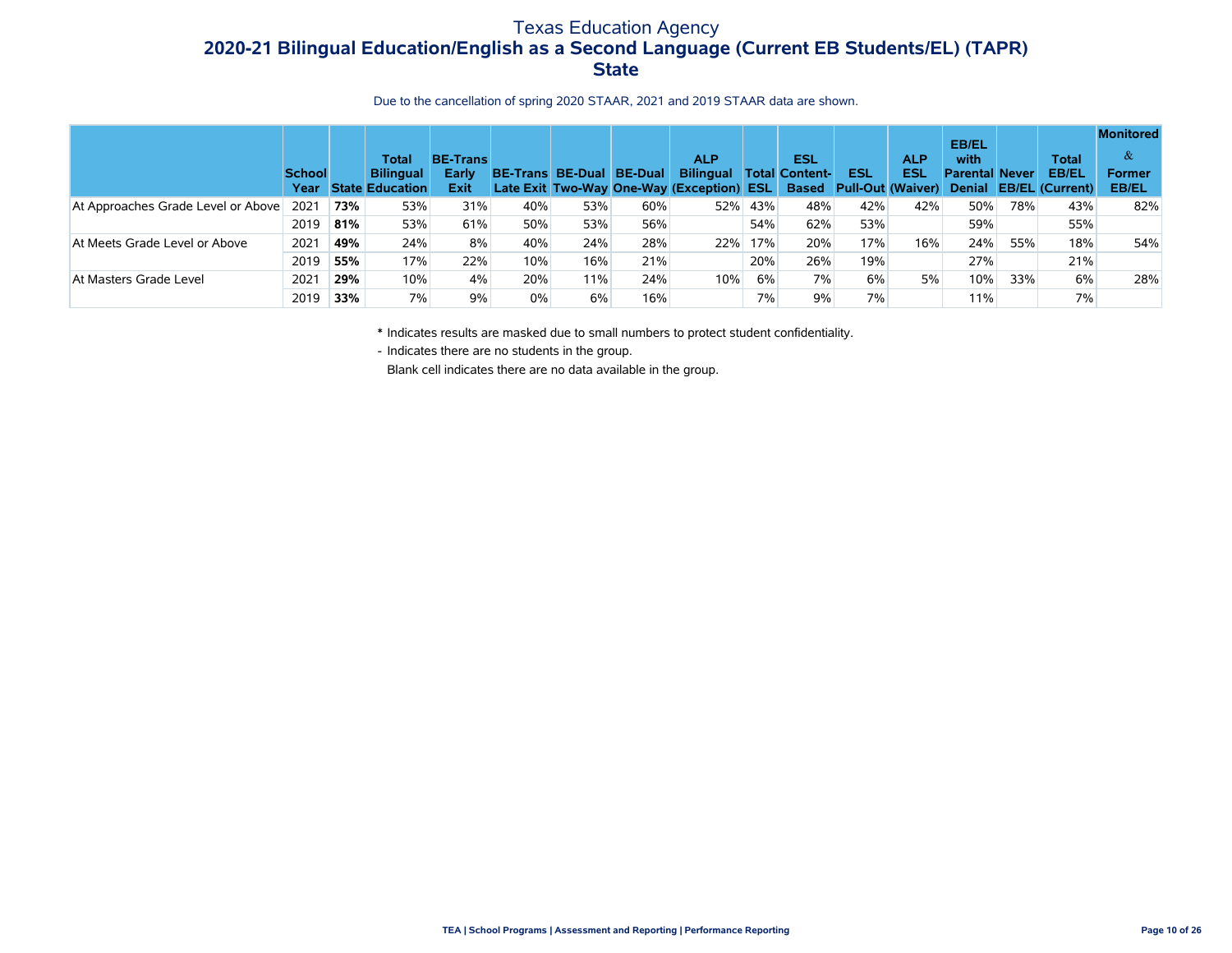# Texas Education Agency **2020-21 Bilingual Education/English as a Second Language (Current EB Students/EL) (TAPR) State**

#### Due to the cancellation of spring 2020 STAAR, 2021 and 2019 STAAR data are shown.

|                                    | <b>School</b><br>Year |     | Total<br><b>Bilingual</b><br><b>State Education</b> | <b>BE-Trans</b><br>Early<br><b>Exit</b> | <b>BE-Trans</b> | <b>BE-Dual BE-Dual</b> |     | <b>ALP</b><br><b>Bilingual</b><br>Late Exit Two-Way One-Way (Exception) ESL |     | <b>ESL</b><br>Total Content-<br><b>Based</b> | <b>ESL</b><br><b>Pull-Out (Waiver)</b> | <b>ALP</b><br><b>ESL</b> | <b>EB/EL</b><br>with<br><b>Parental Never</b> |     | <b>Total</b><br><b>EB/EL</b><br>Denial EB/EL (Current) | <b>Monitored</b><br>$\alpha$<br><b>Former</b><br><b>EB/EL</b> |
|------------------------------------|-----------------------|-----|-----------------------------------------------------|-----------------------------------------|-----------------|------------------------|-----|-----------------------------------------------------------------------------|-----|----------------------------------------------|----------------------------------------|--------------------------|-----------------------------------------------|-----|--------------------------------------------------------|---------------------------------------------------------------|
| At Approaches Grade Level or Above | $202^{\circ}$         | 73% | 53%                                                 | 31%                                     | 40%             | 53%                    | 60% | 52%                                                                         | 43% | 48%                                          | 42%                                    | 42%                      | 50%                                           | 78% | 43%                                                    | 82%                                                           |
|                                    | 2019                  | 81% | 53%                                                 | 61%                                     | 50%             | 53%                    | 56% |                                                                             | 54% | 62%                                          | 53%                                    |                          | 59%                                           |     | 55%                                                    |                                                               |
| At Meets Grade Level or Above      | 202 <sup>2</sup>      | 49% | 24%                                                 | 8%                                      | 40%             | 24%                    | 28% | 22%                                                                         | 17% | 20%                                          | 17%                                    | 16%                      | 24%                                           | 55% | 18%                                                    | 54%                                                           |
|                                    | 2019                  | 55% | 17%                                                 | 22%                                     | 10%             | 16%                    | 21% |                                                                             | 20% | 26%                                          | 19%                                    |                          | 27%                                           |     | 21%                                                    |                                                               |
| At Masters Grade Level             | 2021                  | 29% | 10%                                                 | 4%                                      | 20%             | 11%                    | 24% | 10%                                                                         | 6%  | 7%                                           | 6%                                     | 5%                       | 10%                                           | 33% | 6%                                                     | 28%                                                           |
|                                    | 2019                  | 33% | 7%                                                  | 9%                                      | 0%              | 6%                     | 16% |                                                                             | 7%  | 9%                                           | 7%                                     |                          | 11%                                           |     | 7%                                                     |                                                               |

\* Indicates results are masked due to small numbers to protect student confidentiality.

- Indicates there are no students in the group.

Blank cell indicates there are no data available in the group.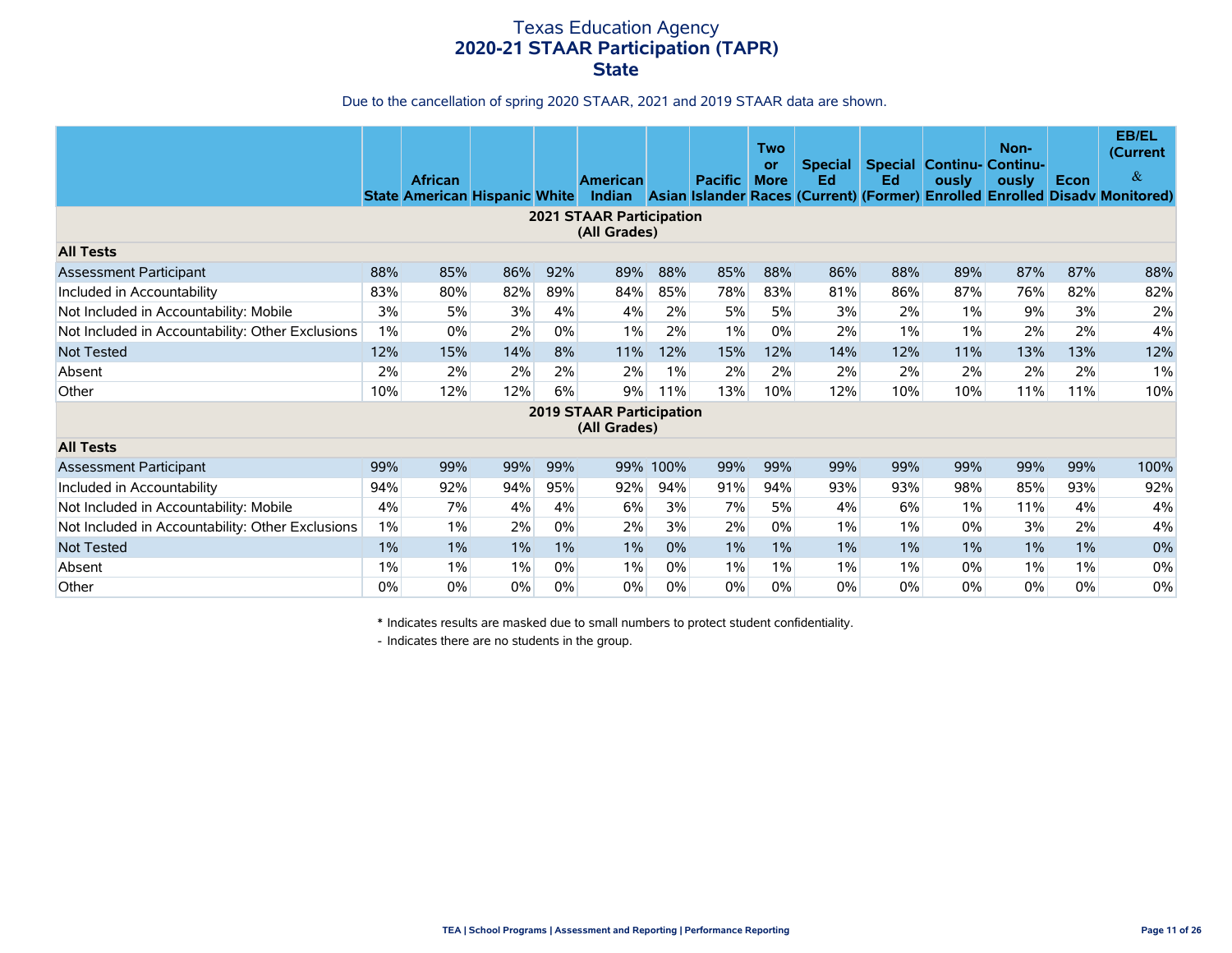# Texas Education Agency **2020-21 STAAR Participation (TAPR) State**

#### Due to the cancellation of spring 2020 STAAR, 2021 and 2019 STAAR data are shown.

|                                                  |       | <b>African</b><br><b>State American Hispanic White</b> |       |       | <b>American</b>                                 |          | <b>Pacific</b> | <b>Two</b><br>or<br><b>More</b> | Special  <br>Ed | Ed    | <b>Special Continu- Continu-</b><br>ously | Non-<br>ously | Econ | <b>EB/EL</b><br>(Current<br>$\&$<br>Indian Asian Islander Races (Current) (Former) Enrolled Enrolled Disadv Monitored) |
|--------------------------------------------------|-------|--------------------------------------------------------|-------|-------|-------------------------------------------------|----------|----------------|---------------------------------|-----------------|-------|-------------------------------------------|---------------|------|------------------------------------------------------------------------------------------------------------------------|
|                                                  |       |                                                        |       |       | <b>2021 STAAR Participation</b><br>(All Grades) |          |                |                                 |                 |       |                                           |               |      |                                                                                                                        |
| <b>All Tests</b>                                 |       |                                                        |       |       |                                                 |          |                |                                 |                 |       |                                           |               |      |                                                                                                                        |
| Assessment Participant                           | 88%   | 85%                                                    | 86%   | 92%   | 89%                                             | 88%      | 85%            | 88%                             | 86%             | 88%   | 89%                                       | 87%           | 87%  | 88%                                                                                                                    |
| Included in Accountability                       | 83%   | 80%                                                    | 82%   | 89%   | 84%                                             | 85%      | 78%            | 83%                             | 81%             | 86%   | 87%                                       | 76%           | 82%  | 82%                                                                                                                    |
| Not Included in Accountability: Mobile           | 3%    | 5%                                                     | 3%    | 4%    | 4%                                              | 2%       | 5%             | 5%                              | 3%              | 2%    | 1%                                        | 9%            | 3%   | 2%                                                                                                                     |
| Not Included in Accountability: Other Exclusions | $1\%$ | $0\%$                                                  | 2%    | $0\%$ | 1%                                              | 2%       | 1%             | $0\%$                           | 2%              | $1\%$ | 1%                                        | 2%            | 2%   | 4%                                                                                                                     |
| <b>Not Tested</b>                                | 12%   | 15%                                                    | 14%   | 8%    | 11%                                             | 12%      | 15%            | 12%                             | 14%             | 12%   | 11%                                       | 13%           | 13%  | 12%                                                                                                                    |
| Absent                                           | 2%    | 2%                                                     | 2%    | 2%    | 2%                                              | $1\%$    | 2%             | 2%                              | 2%              | 2%    | 2%                                        | 2%            | 2%   | $1\%$                                                                                                                  |
| Other                                            | 10%   | 12%                                                    | 12%   | 6%    | 9%                                              | 11%      | 13%            | 10%                             | 12%             | 10%   | 10%                                       | 11%           | 11%  | 10%                                                                                                                    |
|                                                  |       |                                                        |       |       | <b>2019 STAAR Participation</b><br>(All Grades) |          |                |                                 |                 |       |                                           |               |      |                                                                                                                        |
| <b>All Tests</b>                                 |       |                                                        |       |       |                                                 |          |                |                                 |                 |       |                                           |               |      |                                                                                                                        |
| Assessment Participant                           | 99%   | 99%                                                    | 99%   | 99%   |                                                 | 99% 100% | 99%            | 99%                             | 99%             | 99%   | 99%                                       | 99%           | 99%  | 100%                                                                                                                   |
| Included in Accountability                       | 94%   | 92%                                                    | 94%   | 95%   | 92%                                             | 94%      | 91%            | 94%                             | 93%             | 93%   | 98%                                       | 85%           | 93%  | 92%                                                                                                                    |
| Not Included in Accountability: Mobile           | 4%    | 7%                                                     | 4%    | 4%    | 6%                                              | 3%       | 7%             | 5%                              | 4%              | 6%    | $1\%$                                     | 11%           | 4%   | 4%                                                                                                                     |
| Not Included in Accountability: Other Exclusions | 1%    | 1%                                                     | 2%    | $0\%$ | 2%                                              | 3%       | 2%             | $0\%$                           | $1\%$           | $1\%$ | 0%                                        | 3%            | 2%   | 4%                                                                                                                     |
| <b>Not Tested</b>                                | $1\%$ | 1%                                                     | $1\%$ | $1\%$ | $1\%$                                           | 0%       | $1\%$          | $1\%$                           | $1\%$           | $1\%$ | $1\%$                                     | $1\%$         | 1%   | 0%                                                                                                                     |
| Absent                                           | $1\%$ | 1%                                                     | 1%    | $0\%$ | $1\%$                                           | 0%       | $1\%$          | 1%                              | $1\%$           | $1\%$ | 0%                                        | $1\%$         | 1%   | 0%                                                                                                                     |
| Other                                            | 0%    | 0%                                                     | 0%    | $0\%$ | 0%                                              | 0%       | $0\%$          | 0%                              | 0%              | 0%    | $0\%$                                     | $0\%$         | 0%   | 0%                                                                                                                     |

\* Indicates results are masked due to small numbers to protect student confidentiality.

- Indicates there are no students in the group.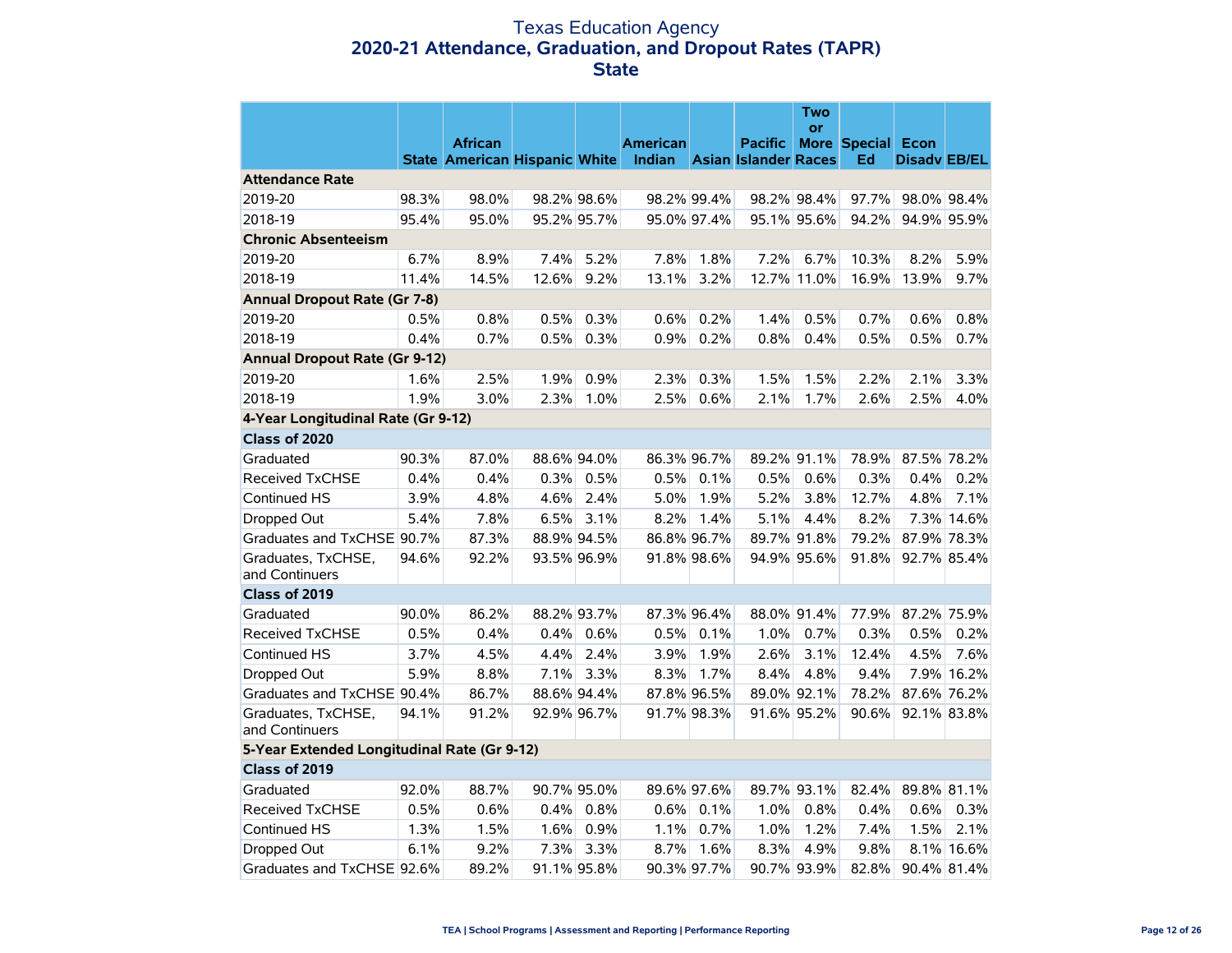### Texas Education Agency **2020-21 Attendance, Graduation, and Dropout Rates (TAPR) State**

|                                             |       |                                      |       |             |                 |             |                                    | <b>Two</b><br><b>or</b> |                   |                     |             |
|---------------------------------------------|-------|--------------------------------------|-------|-------------|-----------------|-------------|------------------------------------|-------------------------|-------------------|---------------------|-------------|
|                                             |       | <b>African</b>                       |       |             | <b>American</b> |             | <b>Pacific</b>                     |                         | More Special Econ |                     |             |
|                                             |       | <b>State American Hispanic White</b> |       |             |                 |             | <b>Indian</b> Asian Islander Races |                         | Ed                | <b>Disadv EB/EL</b> |             |
| <b>Attendance Rate</b>                      |       |                                      |       |             |                 |             |                                    |                         |                   |                     |             |
| 2019-20                                     | 98.3% | 98.0%                                |       | 98.2% 98.6% |                 | 98.2% 99.4% |                                    | 98.2% 98.4%             | 97.7%             | 98.0% 98.4%         |             |
| 2018-19                                     | 95.4% | 95.0%                                |       | 95.2% 95.7% |                 | 95.0% 97.4% |                                    | 95.1% 95.6%             | 94.2%             | 94.9% 95.9%         |             |
| <b>Chronic Absenteeism</b>                  |       |                                      |       |             |                 |             |                                    |                         |                   |                     |             |
| 2019-20                                     | 6.7%  | 8.9%                                 | 7.4%  | 5.2%        | 7.8%            | 1.8%        | 7.2%                               | 6.7%                    | 10.3%             | 8.2%                | 5.9%        |
| 2018-19                                     | 11.4% | 14.5%                                | 12.6% | 9.2%        | 13.1%           | 3.2%        |                                    | 12.7% 11.0%             | 16.9%             | 13.9%               | 9.7%        |
| <b>Annual Dropout Rate (Gr 7-8)</b>         |       |                                      |       |             |                 |             |                                    |                         |                   |                     |             |
| 2019-20                                     | 0.5%  | 0.8%                                 | 0.5%  | 0.3%        | 0.6%            | 0.2%        | 1.4%                               | 0.5%                    | 0.7%              | 0.6%                | 0.8%        |
| 2018-19                                     | 0.4%  | 0.7%                                 | 0.5%  | 0.3%        | 0.9%            | 0.2%        | 0.8%                               | 0.4%                    | 0.5%              | 0.5%                | 0.7%        |
| <b>Annual Dropout Rate (Gr 9-12)</b>        |       |                                      |       |             |                 |             |                                    |                         |                   |                     |             |
| 2019-20                                     | 1.6%  | 2.5%                                 | 1.9%  | 0.9%        | 2.3%            | 0.3%        | 1.5%                               | 1.5%                    | 2.2%              | 2.1%                | 3.3%        |
| 2018-19                                     | 1.9%  | 3.0%                                 | 2.3%  | 1.0%        | 2.5%            | 0.6%        | 2.1%                               | 1.7%                    | 2.6%              | 2.5%                | 4.0%        |
| 4-Year Longitudinal Rate (Gr 9-12)          |       |                                      |       |             |                 |             |                                    |                         |                   |                     |             |
| Class of 2020                               |       |                                      |       |             |                 |             |                                    |                         |                   |                     |             |
| Graduated                                   | 90.3% | 87.0%                                |       | 88.6% 94.0% |                 | 86.3% 96.7% |                                    | 89.2% 91.1%             | 78.9%             |                     | 87.5% 78.2% |
| <b>Received TxCHSE</b>                      | 0.4%  | 0.4%                                 | 0.3%  | 0.5%        | 0.5%            | 0.1%        | 0.5%                               | 0.6%                    | 0.3%              | 0.4%                | 0.2%        |
| Continued HS                                | 3.9%  | 4.8%                                 | 4.6%  | 2.4%        | 5.0%            | 1.9%        | 5.2%                               | 3.8%                    | 12.7%             | 4.8%                | 7.1%        |
| Dropped Out                                 | 5.4%  | 7.8%                                 | 6.5%  | 3.1%        | 8.2%            | 1.4%        | 5.1%                               | 4.4%                    | 8.2%              |                     | 7.3% 14.6%  |
| Graduates and TxCHSE 90.7%                  |       | 87.3%                                |       | 88.9% 94.5% |                 | 86.8% 96.7% |                                    | 89.7% 91.8%             | 79.2%             |                     | 87.9% 78.3% |
| Graduates, TxCHSE,<br>and Continuers        | 94.6% | 92.2%                                |       | 93.5% 96.9% |                 | 91.8% 98.6% |                                    | 94.9% 95.6%             | 91.8%             |                     | 92.7% 85.4% |
| Class of 2019                               |       |                                      |       |             |                 |             |                                    |                         |                   |                     |             |
| Graduated                                   | 90.0% | 86.2%                                |       | 88.2% 93.7% |                 | 87.3% 96.4% |                                    | 88.0% 91.4%             | 77.9%             |                     | 87.2% 75.9% |
| Received TxCHSE                             | 0.5%  | 0.4%                                 | 0.4%  | 0.6%        | 0.5%            | 0.1%        | 1.0%                               | 0.7%                    | 0.3%              | 0.5%                | 0.2%        |
| <b>Continued HS</b>                         | 3.7%  | 4.5%                                 | 4.4%  | 2.4%        | 3.9%            | 1.9%        | 2.6%                               | 3.1%                    | 12.4%             | 4.5%                | 7.6%        |
| Dropped Out                                 | 5.9%  | 8.8%                                 | 7.1%  | 3.3%        | 8.3%            | 1.7%        | 8.4%                               | 4.8%                    | 9.4%              |                     | 7.9% 16.2%  |
| Graduates and TxCHSE 90.4%                  |       | 86.7%                                |       | 88.6% 94.4% |                 | 87.8% 96.5% |                                    | 89.0% 92.1%             | 78.2%             |                     | 87.6% 76.2% |
| Graduates, TxCHSE,<br>and Continuers        | 94.1% | 91.2%                                |       | 92.9% 96.7% |                 | 91.7% 98.3% |                                    | 91.6% 95.2%             | 90.6%             |                     | 92.1% 83.8% |
| 5-Year Extended Longitudinal Rate (Gr 9-12) |       |                                      |       |             |                 |             |                                    |                         |                   |                     |             |
| Class of 2019                               |       |                                      |       |             |                 |             |                                    |                         |                   |                     |             |
| Graduated                                   | 92.0% | 88.7%                                |       | 90.7% 95.0% |                 | 89.6% 97.6% |                                    | 89.7% 93.1%             | 82.4%             | 89.8% 81.1%         |             |
| <b>Received TxCHSE</b>                      | 0.5%  | 0.6%                                 | 0.4%  | 0.8%        | 0.6%            | 0.1%        | 1.0%                               | 0.8%                    | 0.4%              | 0.6%                | 0.3%        |
| Continued HS                                | 1.3%  | 1.5%                                 | 1.6%  | 0.9%        | 1.1%            | 0.7%        | 1.0%                               | 1.2%                    | 7.4%              | 1.5%                | 2.1%        |
| Dropped Out                                 | 6.1%  | 9.2%                                 | 7.3%  | 3.3%        | 8.7%            | 1.6%        | 8.3%                               | 4.9%                    | 9.8%              |                     | 8.1% 16.6%  |
| Graduates and TxCHSE 92.6%                  |       | 89.2%                                |       | 91.1% 95.8% |                 | 90.3% 97.7% |                                    | 90.7% 93.9%             | 82.8%             |                     | 90.4% 81.4% |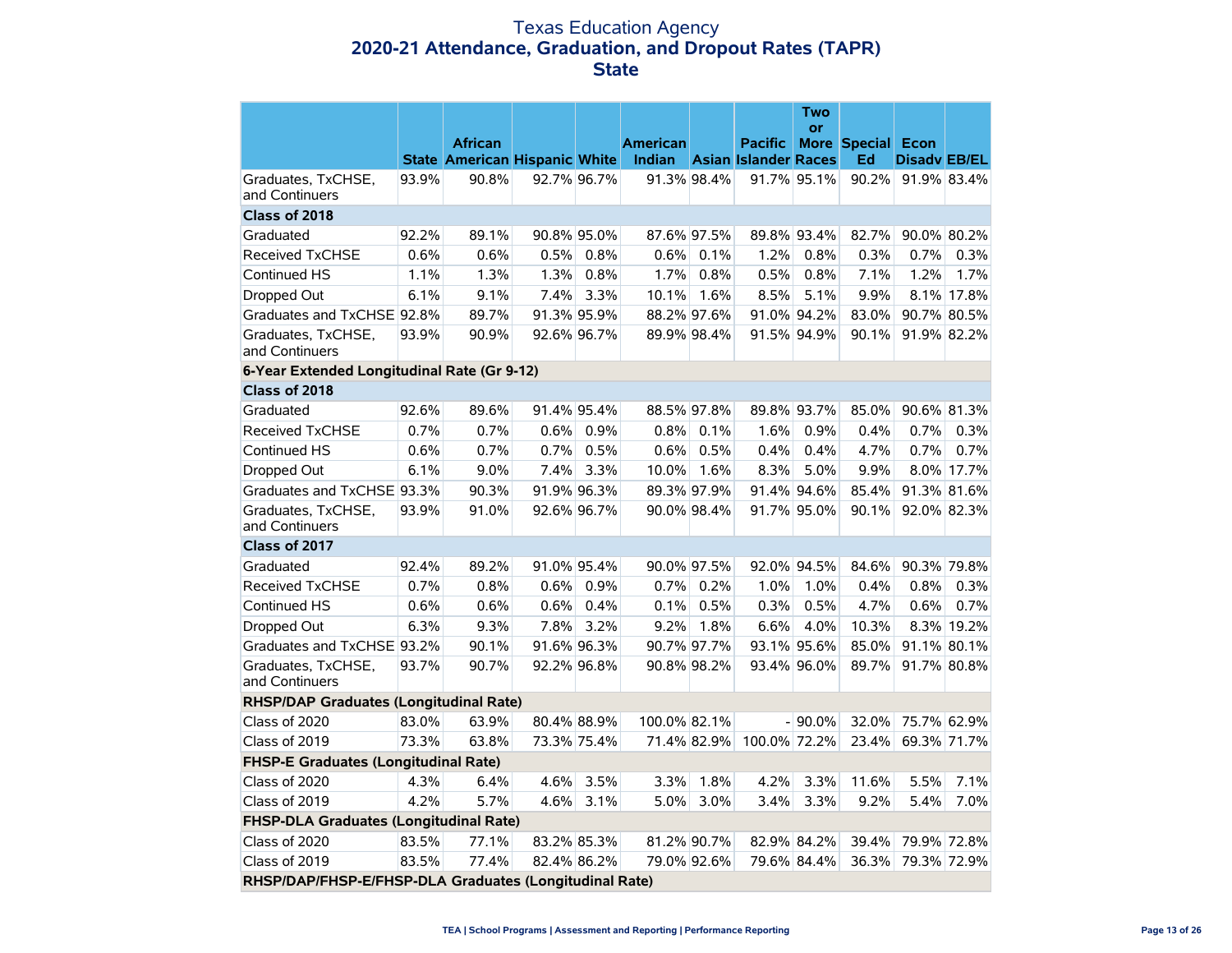### Texas Education Agency **2020-21 Attendance, Graduation, and Dropout Rates (TAPR) State**

|                                                        |       |                                      |             |             |                 |             |                             | Two<br><b>or</b> |                          |                     |             |
|--------------------------------------------------------|-------|--------------------------------------|-------------|-------------|-----------------|-------------|-----------------------------|------------------|--------------------------|---------------------|-------------|
|                                                        |       | <b>African</b>                       |             |             | <b>American</b> |             | <b>Pacific</b>              |                  | <b>More Special Econ</b> |                     |             |
|                                                        |       | <b>State American Hispanic White</b> |             |             | Indian          |             | <b>Asian Islander Races</b> |                  | Ed                       | <b>Disady EB/EL</b> |             |
| Graduates, TxCHSE,<br>and Continuers                   | 93.9% | 90.8%                                |             | 92.7% 96.7% |                 | 91.3% 98.4% |                             | 91.7% 95.1%      | 90.2%                    | 91.9% 83.4%         |             |
| Class of 2018                                          |       |                                      |             |             |                 |             |                             |                  |                          |                     |             |
| Graduated                                              | 92.2% | 89.1%                                | 90.8% 95.0% |             | 87.6% 97.5%     |             |                             | 89.8% 93.4%      | 82.7%                    | 90.0% 80.2%         |             |
| <b>Received TxCHSE</b>                                 | 0.6%  | 0.6%                                 | 0.5%        | 0.8%        | 0.6%            | 0.1%        | 1.2%                        | 0.8%             | 0.3%                     | 0.7%                | 0.3%        |
| Continued HS                                           | 1.1%  | 1.3%                                 | 1.3%        | 0.8%        | 1.7%            | 0.8%        | 0.5%                        | 0.8%             | 7.1%                     | 1.2%                | 1.7%        |
| Dropped Out                                            | 6.1%  | 9.1%                                 | 7.4%        | 3.3%        | 10.1%           | 1.6%        | 8.5%                        | 5.1%             | 9.9%                     |                     | 8.1% 17.8%  |
| Graduates and TxCHSE 92.8%                             |       | 89.7%                                |             | 91.3% 95.9% |                 | 88.2% 97.6% |                             | 91.0% 94.2%      | 83.0%                    |                     | 90.7% 80.5% |
| Graduates, TxCHSE,<br>and Continuers                   | 93.9% | 90.9%                                |             | 92.6% 96.7% |                 | 89.9% 98.4% |                             | 91.5% 94.9%      | 90.1%                    |                     | 91.9% 82.2% |
| 6-Year Extended Longitudinal Rate (Gr 9-12)            |       |                                      |             |             |                 |             |                             |                  |                          |                     |             |
| Class of 2018                                          |       |                                      |             |             |                 |             |                             |                  |                          |                     |             |
| Graduated                                              | 92.6% | 89.6%                                |             | 91.4% 95.4% |                 | 88.5% 97.8% |                             | 89.8% 93.7%      | 85.0%                    | 90.6% 81.3%         |             |
| <b>Received TxCHSE</b>                                 | 0.7%  | 0.7%                                 | $0.6\%$     | 0.9%        | $0.8\%$         | 0.1%        | 1.6%                        | 0.9%             | 0.4%                     | 0.7%                | 0.3%        |
| Continued HS                                           | 0.6%  | 0.7%                                 | 0.7%        | 0.5%        | 0.6%            | 0.5%        | 0.4%                        | 0.4%             | 4.7%                     | 0.7%                | 0.7%        |
| Dropped Out                                            | 6.1%  | 9.0%                                 | 7.4%        | 3.3%        | 10.0%           | 1.6%        | 8.3%                        | 5.0%             | 9.9%                     |                     | 8.0% 17.7%  |
| Graduates and TxCHSE 93.3%                             |       | 90.3%                                | 91.9% 96.3% |             |                 | 89.3% 97.9% |                             | 91.4% 94.6%      | 85.4%                    | 91.3% 81.6%         |             |
| Graduates, TxCHSE,<br>and Continuers                   | 93.9% | 91.0%                                |             | 92.6% 96.7% |                 | 90.0% 98.4% |                             | 91.7% 95.0%      | 90.1%                    | 92.0% 82.3%         |             |
| Class of 2017                                          |       |                                      |             |             |                 |             |                             |                  |                          |                     |             |
| Graduated                                              | 92.4% | 89.2%                                |             | 91.0% 95.4% |                 | 90.0% 97.5% |                             | 92.0% 94.5%      | 84.6%                    | 90.3% 79.8%         |             |
| <b>Received TxCHSE</b>                                 | 0.7%  | 0.8%                                 | 0.6%        | 0.9%        | 0.7%            | 0.2%        | 1.0%                        | 1.0%             | 0.4%                     | 0.8%                | 0.3%        |
| Continued HS                                           | 0.6%  | 0.6%                                 | 0.6%        | 0.4%        | 0.1%            | 0.5%        | 0.3%                        | 0.5%             | 4.7%                     | 0.6%                | 0.7%        |
| Dropped Out                                            | 6.3%  | 9.3%                                 | 7.8%        | 3.2%        | 9.2%            | 1.8%        | 6.6%                        | 4.0%             | 10.3%                    |                     | 8.3% 19.2%  |
| Graduates and TxCHSE 93.2%                             |       | 90.1%                                |             | 91.6% 96.3% |                 | 90.7% 97.7% |                             | 93.1% 95.6%      | 85.0%                    |                     | 91.1% 80.1% |
| Graduates, TxCHSE,<br>and Continuers                   | 93.7% | 90.7%                                |             | 92.2% 96.8% |                 | 90.8% 98.2% |                             | 93.4% 96.0%      | 89.7%                    | 91.7% 80.8%         |             |
| <b>RHSP/DAP Graduates (Longitudinal Rate)</b>          |       |                                      |             |             |                 |             |                             |                  |                          |                     |             |
| Class of 2020                                          | 83.0% | 63.9%                                |             | 80.4% 88.9% | 100.0% 82.1%    |             |                             | $-90.0\%$        | 32.0%                    | 75.7% 62.9%         |             |
| Class of 2019                                          | 73.3% | 63.8%                                |             | 73.3% 75.4% |                 | 71.4% 82.9% | 100.0% 72.2%                |                  | 23.4%                    | 69.3% 71.7%         |             |
| FHSP-E Graduates (Longitudinal Rate)                   |       |                                      |             |             |                 |             |                             |                  |                          |                     |             |
| Class of 2020                                          | 4.3%  | 6.4%                                 | 4.6%        | 3.5%        | 3.3%            | 1.8%        | 4.2%                        | 3.3%             | 11.6%                    | 5.5%                | 7.1%        |
| Class of 2019                                          | 4.2%  | 5.7%                                 | 4.6%        | 3.1%        | 5.0%            | 3.0%        | 3.4%                        | 3.3%             | 9.2%                     | 5.4%                | 7.0%        |
| FHSP-DLA Graduates (Longitudinal Rate)                 |       |                                      |             |             |                 |             |                             |                  |                          |                     |             |
| Class of 2020                                          | 83.5% | 77.1%                                |             | 83.2% 85.3% |                 | 81.2% 90.7% |                             | 82.9% 84.2%      | 39.4%                    | 79.9% 72.8%         |             |
| Class of 2019                                          | 83.5% | 77.4%                                |             | 82.4% 86.2% |                 | 79.0% 92.6% |                             | 79.6% 84.4%      | 36.3%                    | 79.3% 72.9%         |             |
| RHSP/DAP/FHSP-E/FHSP-DLA Graduates (Longitudinal Rate) |       |                                      |             |             |                 |             |                             |                  |                          |                     |             |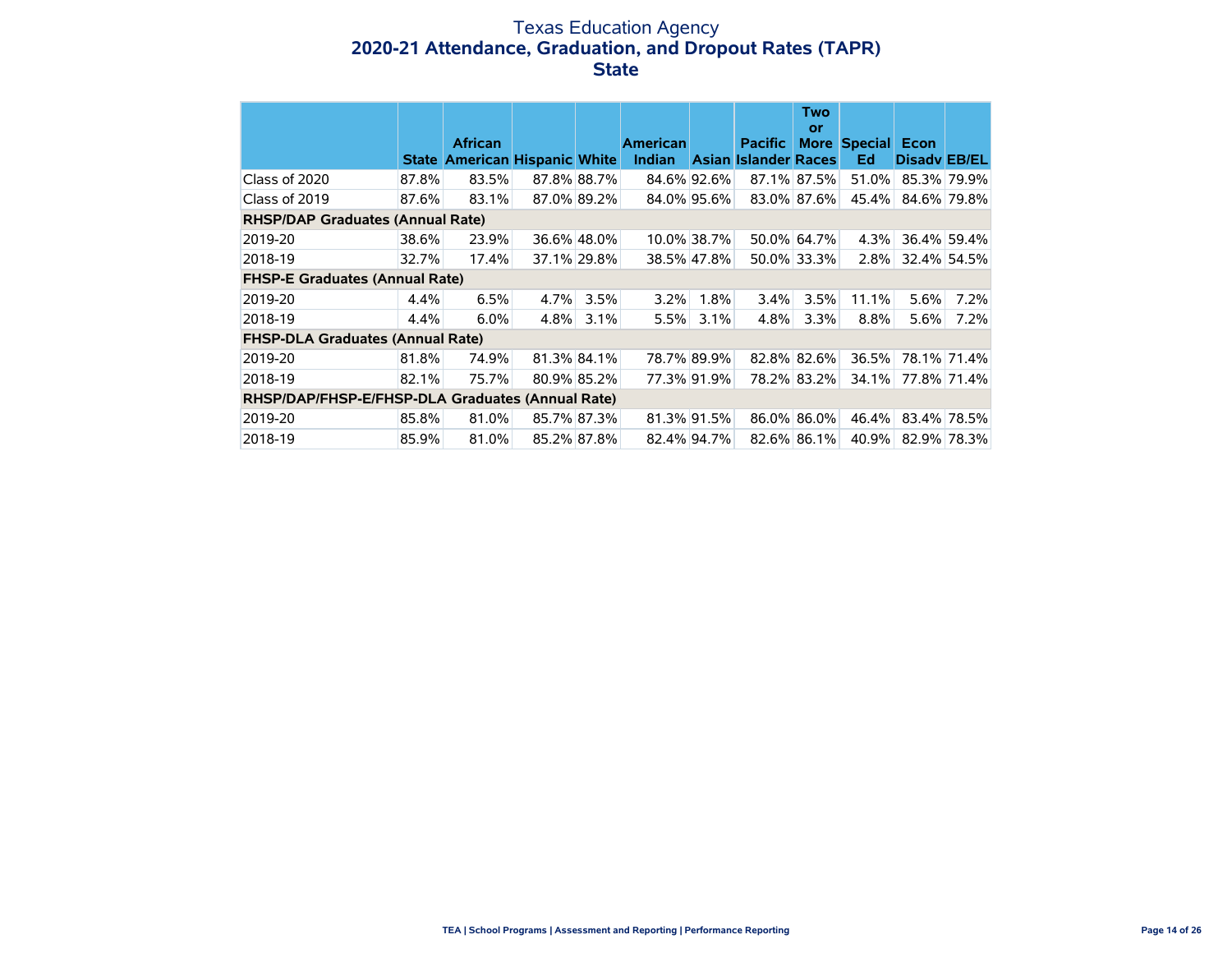### Texas Education Agency **2020-21 Attendance, Graduation, and Dropout Rates (TAPR) State**

|                                                  |       |                                                  |             |             |                                  |             |                                        | <b>Two</b><br>or |                         |                     |             |
|--------------------------------------------------|-------|--------------------------------------------------|-------------|-------------|----------------------------------|-------------|----------------------------------------|------------------|-------------------------|---------------------|-------------|
|                                                  | State | <b>African</b><br><b>American Hispanic White</b> |             |             | <b>American</b><br><b>Indian</b> |             | <b>Pacific</b><br>Asian Islander Races |                  | More Special Econ<br>Ed | <b>Disady EB/EL</b> |             |
| Class of 2020                                    | 87.8% | 83.5%                                            | 87.8% 88.7% |             | 84.6% 92.6%                      |             |                                        | 87.1% 87.5%      | 51.0%                   | 85.3% 79.9%         |             |
| Class of 2019                                    | 87.6% | 83.1%                                            | 87.0% 89.2% |             |                                  | 84.0% 95.6% |                                        | 83.0% 87.6%      | 45.4%                   | 84.6% 79.8%         |             |
| <b>RHSP/DAP Graduates (Annual Rate)</b>          |       |                                                  |             |             |                                  |             |                                        |                  |                         |                     |             |
| 2019-20                                          | 38.6% | 23.9%                                            |             | 36.6% 48.0% |                                  | 10.0% 38.7% |                                        | 50.0% 64.7%      | 4.3%                    |                     | 36.4% 59.4% |
| 2018-19                                          | 32.7% | 17.4%                                            |             | 37.1% 29.8% |                                  | 38.5% 47.8% |                                        | 50.0% 33.3%      | 2.8%                    |                     | 32.4% 54.5% |
| <b>FHSP-E Graduates (Annual Rate)</b>            |       |                                                  |             |             |                                  |             |                                        |                  |                         |                     |             |
| 2019-20                                          | 4.4%  | 6.5%                                             | 4.7%        | 3.5%        | 3.2%                             | 1.8%        | 3.4%                                   | 3.5%             | 11.1%                   | 5.6%                | 7.2%        |
| 2018-19                                          | 4.4%  | 6.0%                                             | 4.8%        | 3.1%        | 5.5%                             | 3.1%        | 4.8%                                   | 3.3%             | 8.8%                    | 5.6%                | 7.2%        |
| <b>FHSP-DLA Graduates (Annual Rate)</b>          |       |                                                  |             |             |                                  |             |                                        |                  |                         |                     |             |
| 2019-20                                          | 81.8% | 74.9%                                            | 81.3% 84.1% |             |                                  | 78.7% 89.9% | 82.8% 82.6%                            |                  | 36.5%                   | 78.1% 71.4%         |             |
| 2018-19                                          | 82.1% | 75.7%                                            |             | 80.9% 85.2% |                                  | 77.3% 91.9% |                                        | 78.2% 83.2%      | 34.1%                   |                     | 77.8% 71.4% |
| RHSP/DAP/FHSP-E/FHSP-DLA Graduates (Annual Rate) |       |                                                  |             |             |                                  |             |                                        |                  |                         |                     |             |
| 2019-20                                          | 85.8% | 81.0%                                            | 85.7% 87.3% |             |                                  | 81.3% 91.5% |                                        | 86.0% 86.0%      | 46.4%                   |                     | 83.4% 78.5% |
| 2018-19                                          | 85.9% | 81.0%                                            | 85.2% 87.8% |             | 82.4% 94.7%                      |             |                                        | 82.6% 86.1%      | 40.9%                   | 82.9% 78.3%         |             |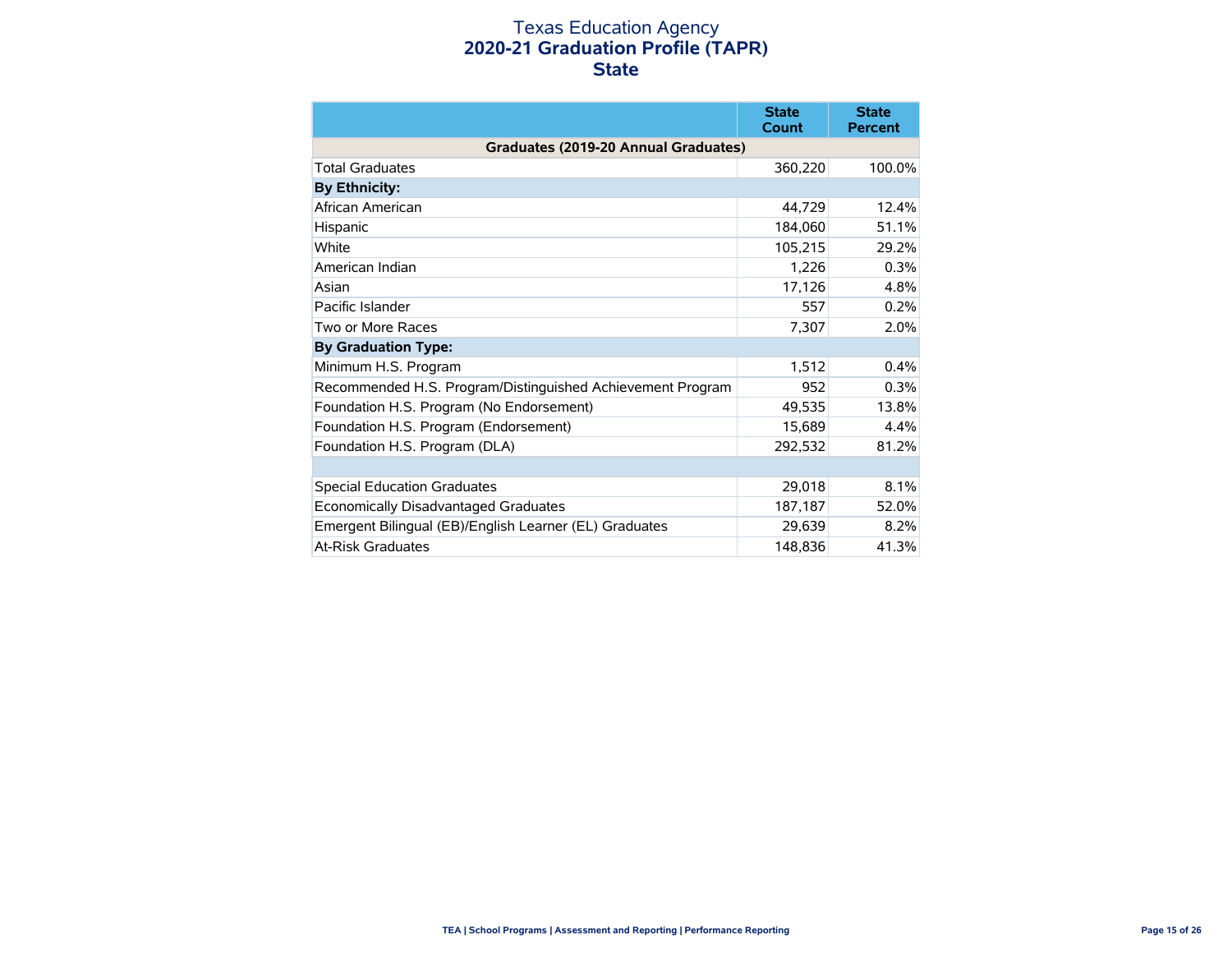### Texas Education Agency **2020-21 Graduation Profile (TAPR) State**

|                                                            | <b>State</b><br>Count | <b>State</b><br><b>Percent</b> |
|------------------------------------------------------------|-----------------------|--------------------------------|
| Graduates (2019-20 Annual Graduates)                       |                       |                                |
| <b>Total Graduates</b>                                     | 360,220               | 100.0%                         |
| <b>By Ethnicity:</b>                                       |                       |                                |
| African American                                           | 44,729                | 12.4%                          |
| Hispanic                                                   | 184,060               | 51.1%                          |
| White                                                      | 105,215               | 29.2%                          |
| American Indian                                            | 1,226                 | 0.3%                           |
| Asian                                                      | 17,126                | 4.8%                           |
| Pacific Islander                                           | 557                   | 0.2%                           |
| Two or More Races                                          | 7,307                 | 2.0%                           |
| <b>By Graduation Type:</b>                                 |                       |                                |
| Minimum H.S. Program                                       | 1,512                 | 0.4%                           |
| Recommended H.S. Program/Distinguished Achievement Program | 952                   | 0.3%                           |
| Foundation H.S. Program (No Endorsement)                   | 49,535                | 13.8%                          |
| Foundation H.S. Program (Endorsement)                      | 15,689                | 4.4%                           |
| Foundation H.S. Program (DLA)                              | 292.532               | 81.2%                          |
|                                                            |                       |                                |
| <b>Special Education Graduates</b>                         | 29,018                | 8.1%                           |
| Economically Disadvantaged Graduates                       | 187,187               | 52.0%                          |
| Emergent Bilingual (EB)/English Learner (EL) Graduates     | 29,639                | 8.2%                           |
| At-Risk Graduates                                          | 148,836               | 41.3%                          |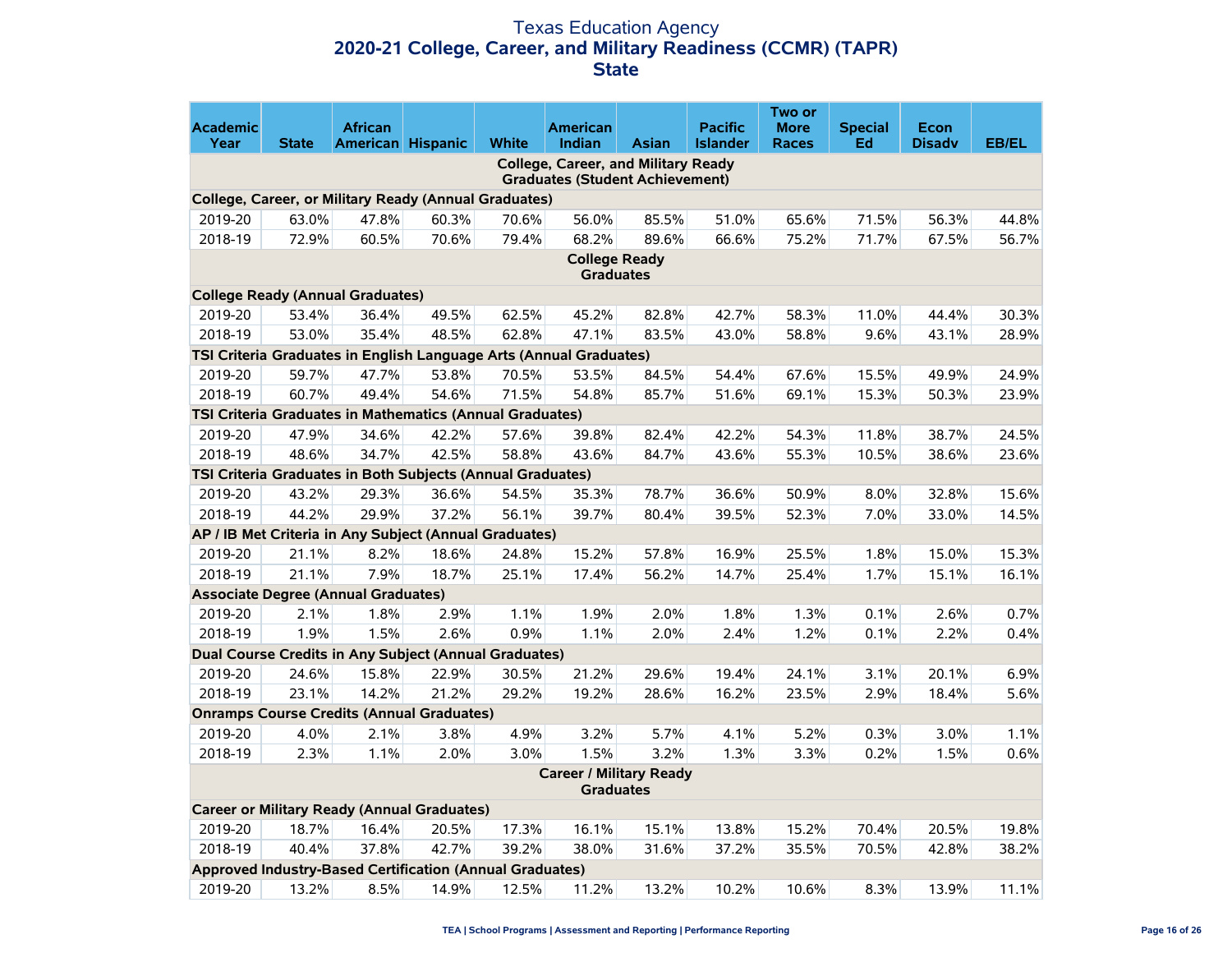### Texas Education Agency **2020-21 College, Career, and Military Readiness (CCMR) (TAPR) State**

|                         |              |                                                            |       |              |                                                                    |              |                                   | Two or                      |                      |                              |              |
|-------------------------|--------------|------------------------------------------------------------|-------|--------------|--------------------------------------------------------------------|--------------|-----------------------------------|-----------------------------|----------------------|------------------------------|--------------|
| <b>Academic</b><br>Year | <b>State</b> | <b>African</b><br>American Hispanic                        |       | <b>White</b> | American<br>Indian                                                 | <b>Asian</b> | <b>Pacific</b><br><b>Islander</b> | <b>More</b><br><b>Races</b> | <b>Special</b><br>Ed | <b>Econ</b><br><b>Disadv</b> | <b>EB/EL</b> |
|                         |              |                                                            |       |              | <b>College, Career, and Military Ready</b>                         |              |                                   |                             |                      |                              |              |
|                         |              |                                                            |       |              | <b>Graduates (Student Achievement)</b>                             |              |                                   |                             |                      |                              |              |
|                         |              | College, Career, or Military Ready (Annual Graduates)      |       |              |                                                                    |              |                                   |                             |                      |                              |              |
| 2019-20                 | 63.0%        | 47.8%                                                      | 60.3% | 70.6%        | 56.0%                                                              | 85.5%        | 51.0%                             | 65.6%                       | 71.5%                | 56.3%                        | 44.8%        |
| 2018-19                 | 72.9%        | 60.5%                                                      | 70.6% | 79.4%        | 68.2%                                                              | 89.6%        | 66.6%                             | 75.2%                       | 71.7%                | 67.5%                        | 56.7%        |
|                         |              |                                                            |       |              | <b>College Ready</b><br><b>Graduates</b>                           |              |                                   |                             |                      |                              |              |
|                         |              | <b>College Ready (Annual Graduates)</b>                    |       |              |                                                                    |              |                                   |                             |                      |                              |              |
| 2019-20                 | 53.4%        | 36.4%                                                      | 49.5% | 62.5%        | 45.2%                                                              | 82.8%        | 42.7%                             | 58.3%                       | 11.0%                | 44.4%                        | 30.3%        |
| 2018-19                 | 53.0%        | 35.4%                                                      | 48.5% | 62.8%        | 47.1%                                                              | 83.5%        | 43.0%                             | 58.8%                       | 9.6%                 | 43.1%                        | 28.9%        |
|                         |              |                                                            |       |              | TSI Criteria Graduates in English Language Arts (Annual Graduates) |              |                                   |                             |                      |                              |              |
| 2019-20                 | 59.7%        | 47.7%                                                      | 53.8% | 70.5%        | 53.5%                                                              | 84.5%        | 54.4%                             | 67.6%                       | 15.5%                | 49.9%                        | 24.9%        |
| 2018-19                 | 60.7%        | 49.4%                                                      | 54.6% | 71.5%        | 54.8%                                                              | 85.7%        | 51.6%                             | 69.1%                       | 15.3%                | 50.3%                        | 23.9%        |
|                         |              | TSI Criteria Graduates in Mathematics (Annual Graduates)   |       |              |                                                                    |              |                                   |                             |                      |                              |              |
| 2019-20                 | 47.9%        | 34.6%                                                      | 42.2% | 57.6%        | 39.8%                                                              | 82.4%        | 42.2%                             | 54.3%                       | 11.8%                | 38.7%                        | 24.5%        |
| 2018-19                 | 48.6%        | 34.7%                                                      | 42.5% | 58.8%        | 43.6%                                                              | 84.7%        | 43.6%                             | 55.3%                       | 10.5%                | 38.6%                        | 23.6%        |
|                         |              | TSI Criteria Graduates in Both Subjects (Annual Graduates) |       |              |                                                                    |              |                                   |                             |                      |                              |              |
| 2019-20                 | 43.2%        | 29.3%                                                      | 36.6% | 54.5%        | 35.3%                                                              | 78.7%        | 36.6%                             | 50.9%                       | 8.0%                 | 32.8%                        | 15.6%        |
| 2018-19                 | 44.2%        | 29.9%                                                      | 37.2% | 56.1%        | 39.7%                                                              | 80.4%        | 39.5%                             | 52.3%                       | 7.0%                 | 33.0%                        | 14.5%        |
|                         |              | AP / IB Met Criteria in Any Subject (Annual Graduates)     |       |              |                                                                    |              |                                   |                             |                      |                              |              |
| 2019-20                 | 21.1%        | 8.2%                                                       | 18.6% | 24.8%        | 15.2%                                                              | 57.8%        | 16.9%                             | 25.5%                       | 1.8%                 | 15.0%                        | 15.3%        |
| 2018-19                 | 21.1%        | 7.9%                                                       | 18.7% | 25.1%        | 17.4%                                                              | 56.2%        | 14.7%                             | 25.4%                       | 1.7%                 | 15.1%                        | 16.1%        |
|                         |              | <b>Associate Degree (Annual Graduates)</b>                 |       |              |                                                                    |              |                                   |                             |                      |                              |              |
| 2019-20                 | 2.1%         | 1.8%                                                       | 2.9%  | 1.1%         | 1.9%                                                               | 2.0%         | 1.8%                              | 1.3%                        | 0.1%                 | 2.6%                         | 0.7%         |
| 2018-19                 | 1.9%         | 1.5%                                                       | 2.6%  | 0.9%         | 1.1%                                                               | 2.0%         | 2.4%                              | 1.2%                        | 0.1%                 | 2.2%                         | 0.4%         |
|                         |              | Dual Course Credits in Any Subject (Annual Graduates)      |       |              |                                                                    |              |                                   |                             |                      |                              |              |
| 2019-20                 | 24.6%        | 15.8%                                                      | 22.9% | 30.5%        | 21.2%                                                              | 29.6%        | 19.4%                             | 24.1%                       | 3.1%                 | 20.1%                        | 6.9%         |
| 2018-19                 | 23.1%        | 14.2%                                                      | 21.2% | 29.2%        | 19.2%                                                              | 28.6%        | 16.2%                             | 23.5%                       | 2.9%                 | 18.4%                        | 5.6%         |
|                         |              | <b>Onramps Course Credits (Annual Graduates)</b>           |       |              |                                                                    |              |                                   |                             |                      |                              |              |
| 2019-20                 | 4.0%         | 2.1%                                                       | 3.8%  | 4.9%         | 3.2%                                                               | 5.7%         | 4.1%                              | 5.2%                        | 0.3%                 | 3.0%                         | 1.1%         |
| 2018-19                 | 2.3%         | 1.1%                                                       | 2.0%  | 3.0%         | 1.5%                                                               | 3.2%         | 1.3%                              | 3.3%                        | 0.2%                 | 1.5%                         | 0.6%         |
|                         |              |                                                            |       |              | <b>Career / Military Ready</b><br><b>Graduates</b>                 |              |                                   |                             |                      |                              |              |
|                         |              | <b>Career or Military Ready (Annual Graduates)</b>         |       |              |                                                                    |              |                                   |                             |                      |                              |              |
| 2019-20                 | 18.7%        | 16.4%                                                      | 20.5% | 17.3%        | 16.1%                                                              | 15.1%        | 13.8%                             | 15.2%                       | 70.4%                | 20.5%                        | 19.8%        |
| 2018-19                 | 40.4%        | 37.8%                                                      | 42.7% | 39.2%        | 38.0%                                                              | 31.6%        | 37.2%                             | 35.5%                       | 70.5%                | 42.8%                        | 38.2%        |
|                         |              | Approved Industry-Based Certification (Annual Graduates)   |       |              |                                                                    |              |                                   |                             |                      |                              |              |
| 2019-20                 | 13.2%        | 8.5%                                                       | 14.9% | 12.5%        | 11.2%                                                              | 13.2%        | 10.2%                             | 10.6%                       | 8.3%                 | 13.9%                        | 11.1%        |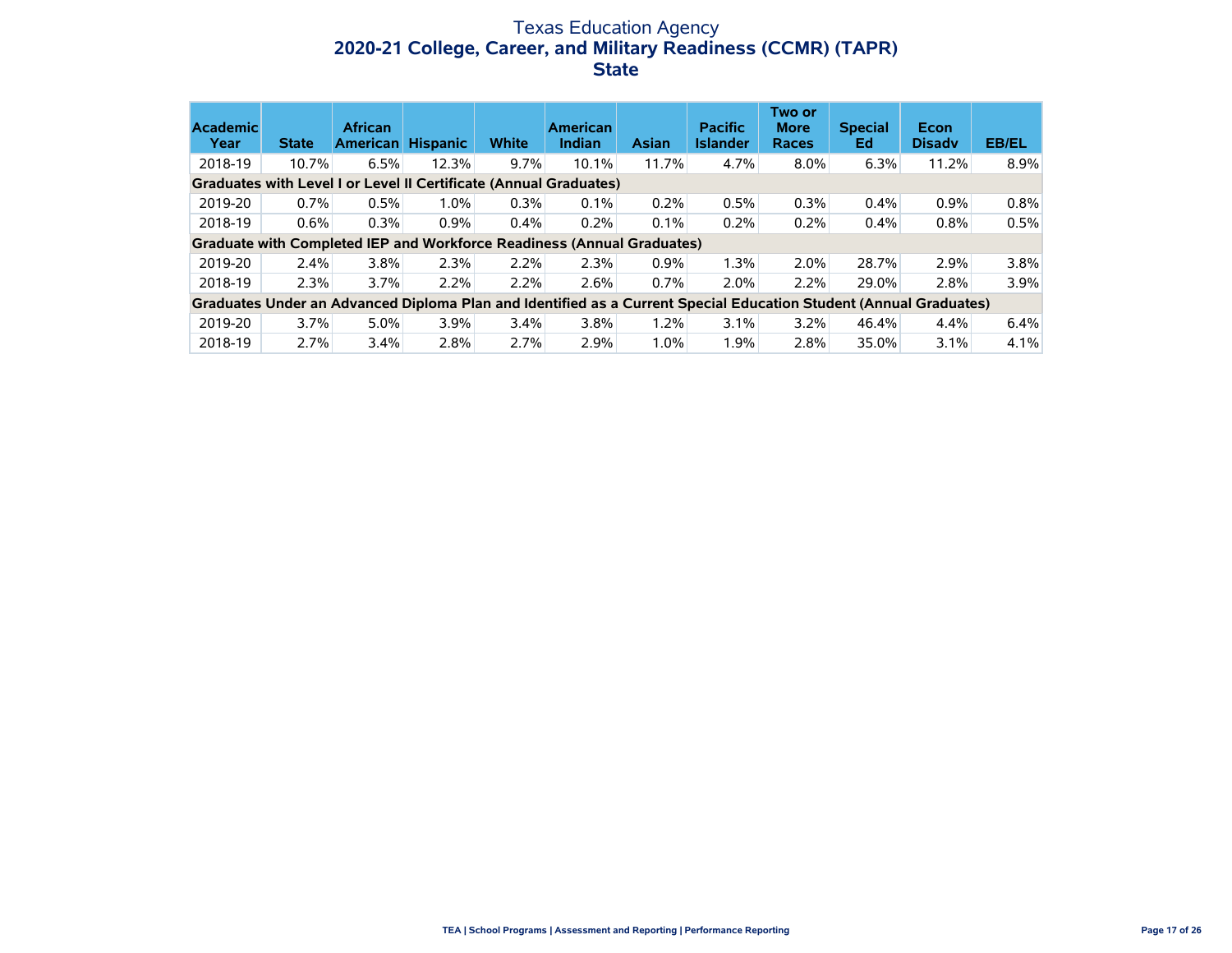### Texas Education Agency **2020-21 College, Career, and Military Readiness (CCMR) (TAPR) State**

| <b>Academic</b><br>Year | <b>State</b> | <b>African</b><br><b>American</b> | <b>Hispanic</b>                                                                                                   | <b>White</b> | <b>American</b><br><b>Indian</b> | <b>Asian</b> | <b>Pacific</b><br><b>Islander</b> | Two or<br><b>More</b><br><b>Races</b> | <b>Special</b><br>Ed | Econ<br><b>Disady</b> | <b>EB/EL</b> |
|-------------------------|--------------|-----------------------------------|-------------------------------------------------------------------------------------------------------------------|--------------|----------------------------------|--------------|-----------------------------------|---------------------------------------|----------------------|-----------------------|--------------|
| 2018-19                 | 10.7%        | 6.5%                              | 12.3%                                                                                                             | $9.7\%$      | 10.1%                            | 11.7%        | 4.7%                              | $8.0\%$                               | 6.3%                 | 11.2%                 | $8.9\%$      |
|                         |              |                                   | Graduates with Level I or Level II Certificate (Annual Graduates)                                                 |              |                                  |              |                                   |                                       |                      |                       |              |
| 2019-20                 | 0.7%         | 0.5%                              | 1.0%                                                                                                              | 0.3%         | 0.1%                             | 0.2%         | 0.5%                              | 0.3%                                  | 0.4%                 | 0.9%                  | 0.8%         |
| 2018-19                 | 0.6%         | 0.3%                              | 0.9%                                                                                                              | 0.4%         | 0.2%                             | 0.1%         | 0.2%                              | 0.2%                                  | 0.4%                 | $0.8\%$               | 0.5%         |
|                         |              |                                   | Graduate with Completed IEP and Workforce Readiness (Annual Graduates)                                            |              |                                  |              |                                   |                                       |                      |                       |              |
| 2019-20                 | 2.4%         | $3.8\%$                           | 2.3%                                                                                                              | 2.2%         | 2.3%                             | 0.9%         | 1.3%                              | 2.0%                                  | 28.7%                | 2.9%                  | $3.8\%$      |
| 2018-19                 | 2.3%         | 3.7%                              | 2.2%                                                                                                              | 2.2%         | 2.6%                             | 0.7%         | 2.0%                              | 2.2%                                  | 29.0%                | 2.8%                  | 3.9%         |
|                         |              |                                   | Graduates Under an Advanced Diploma Plan and Identified as a Current Special Education Student (Annual Graduates) |              |                                  |              |                                   |                                       |                      |                       |              |
| 2019-20                 | 3.7%         | $5.0\%$                           | 3.9%                                                                                                              | $3.4\%$      | $3.8\%$                          | 1.2%         | 3.1%                              | 3.2%                                  | 46.4%                | $4.4\%$               | 6.4%         |
| 2018-19                 | 2.7%         | 3.4%                              | 2.8%                                                                                                              | 2.7%         | 2.9%                             | 1.0%         | 1.9%                              | 2.8%                                  | 35.0%                | $3.1\%$               | 4.1%         |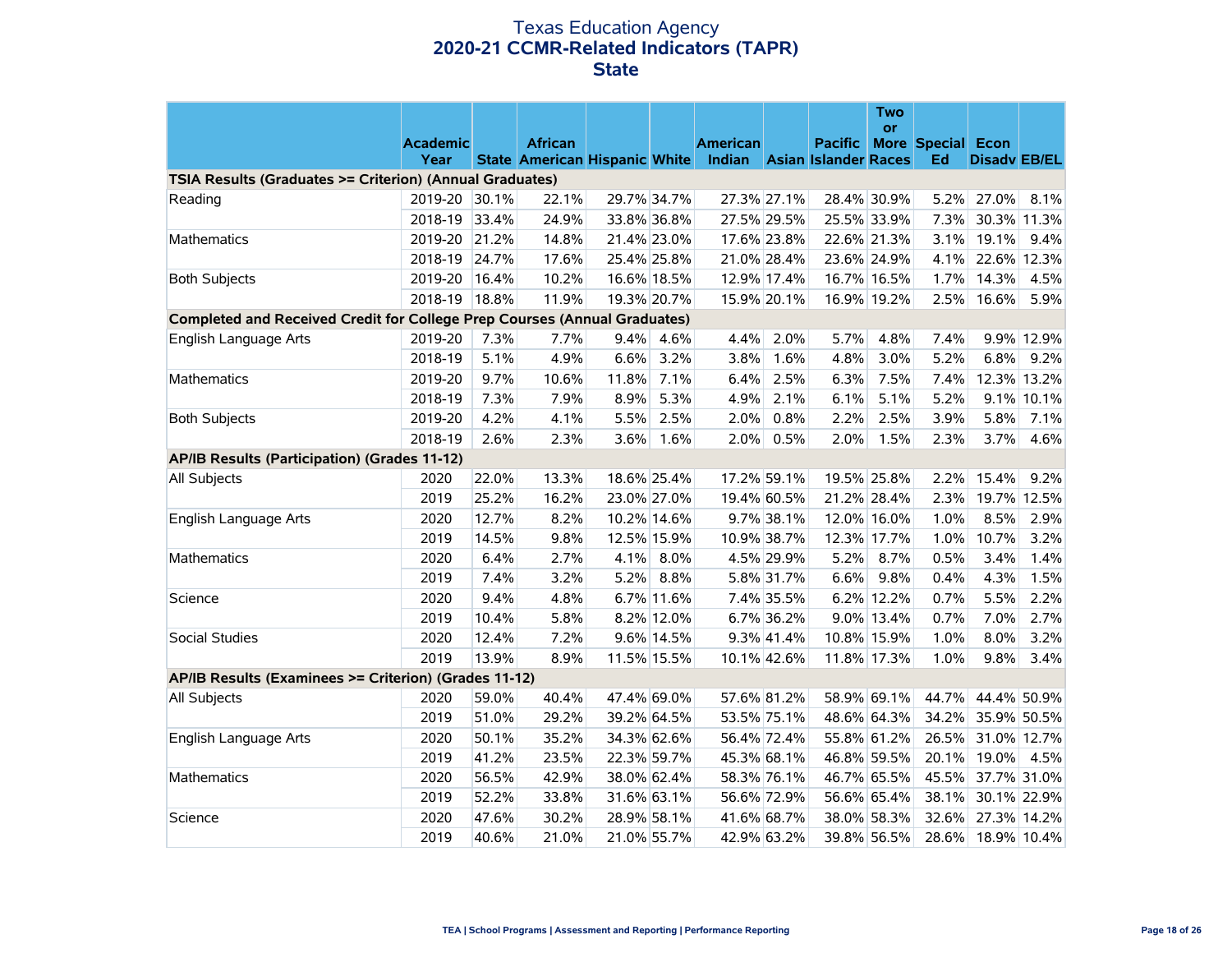### Texas Education Agency **2020-21 CCMR-Related Indicators (TAPR) State**

|                                                                                  |                 |       |                |             |             |                                                           |             |         | <b>Two</b><br><b>or</b> |                          |                     |             |
|----------------------------------------------------------------------------------|-----------------|-------|----------------|-------------|-------------|-----------------------------------------------------------|-------------|---------|-------------------------|--------------------------|---------------------|-------------|
|                                                                                  | <b>Academic</b> |       | <b>African</b> |             |             | <b>American</b>                                           |             | Pacific |                         | <b>More Special Econ</b> |                     |             |
|                                                                                  | Year            |       |                |             |             | State American Hispanic White Indian Asian Islander Races |             |         |                         | Ed                       | <b>Disadv EB/EL</b> |             |
| TSIA Results (Graduates >= Criterion) (Annual Graduates)                         |                 |       |                |             |             |                                                           |             |         |                         |                          |                     |             |
| Reading                                                                          | 2019-20         | 30.1% | 22.1%          | 29.7% 34.7% |             |                                                           | 27.3% 27.1% |         | 28.4% 30.9%             |                          | 5.2% 27.0%          | 8.1%        |
|                                                                                  | 2018-19         | 33.4% | 24.9%          | 33.8% 36.8% |             |                                                           | 27.5% 29.5% |         | 25.5% 33.9%             | 7.3%                     | 30.3% 11.3%         |             |
| <b>Mathematics</b>                                                               | 2019-20 21.2%   |       | 14.8%          | 21.4% 23.0% |             |                                                           | 17.6% 23.8% |         | 22.6% 21.3%             | 3.1%                     | 19.1%               | 9.4%        |
|                                                                                  | 2018-19         | 24.7% | 17.6%          | 25.4% 25.8% |             |                                                           | 21.0% 28.4% |         | 23.6% 24.9%             | 4.1%                     | 22.6% 12.3%         |             |
| <b>Both Subjects</b>                                                             | 2019-20         | 16.4% | 10.2%          | 16.6% 18.5% |             |                                                           | 12.9% 17.4% |         | 16.7% 16.5%             |                          | 1.7% 14.3%          | 4.5%        |
|                                                                                  | 2018-19 18.8%   |       | 11.9%          |             | 19.3% 20.7% |                                                           | 15.9% 20.1% |         | 16.9% 19.2%             |                          | 2.5% 16.6%          | 5.9%        |
| <b>Completed and Received Credit for College Prep Courses (Annual Graduates)</b> |                 |       |                |             |             |                                                           |             |         |                         |                          |                     |             |
| English Language Arts                                                            | 2019-20         | 7.3%  | 7.7%           | 9.4%        | 4.6%        | 4.4%                                                      | 2.0%        | 5.7%    | 4.8%                    | 7.4%                     |                     | 9.9% 12.9%  |
|                                                                                  | 2018-19         | 5.1%  | 4.9%           | 6.6%        | 3.2%        | 3.8%                                                      | 1.6%        | 4.8%    | 3.0%                    | 5.2%                     | 6.8%                | 9.2%        |
| <b>Mathematics</b>                                                               | 2019-20         | 9.7%  | 10.6%          | 11.8%       | 7.1%        | 6.4%                                                      | 2.5%        | 6.3%    | 7.5%                    | 7.4%                     |                     | 12.3% 13.2% |
|                                                                                  | 2018-19         | 7.3%  | 7.9%           | 8.9%        | 5.3%        | 4.9%                                                      | 2.1%        | 6.1%    | 5.1%                    | 5.2%                     |                     | 9.1% 10.1%  |
| <b>Both Subjects</b>                                                             | 2019-20         | 4.2%  | 4.1%           | 5.5%        | 2.5%        | 2.0%                                                      | 0.8%        | 2.2%    | 2.5%                    | 3.9%                     | 5.8%                | 7.1%        |
|                                                                                  | 2018-19         | 2.6%  | 2.3%           | 3.6%        | 1.6%        | 2.0%                                                      | 0.5%        | 2.0%    | 1.5%                    | 2.3%                     | 3.7%                | 4.6%        |
| AP/IB Results (Participation) (Grades 11-12)                                     |                 |       |                |             |             |                                                           |             |         |                         |                          |                     |             |
| All Subjects                                                                     | 2020            | 22.0% | 13.3%          |             | 18.6% 25.4% |                                                           | 17.2% 59.1% |         | 19.5% 25.8%             | 2.2%                     | 15.4%               | 9.2%        |
|                                                                                  | 2019            | 25.2% | 16.2%          | 23.0% 27.0% |             |                                                           | 19.4% 60.5% |         | 21.2% 28.4%             | 2.3%                     | 19.7% 12.5%         |             |
| English Language Arts                                                            | 2020            | 12.7% | 8.2%           |             | 10.2% 14.6% |                                                           | 9.7% 38.1%  |         | 12.0% 16.0%             | 1.0%                     | 8.5%                | 2.9%        |
|                                                                                  | 2019            | 14.5% | 9.8%           |             | 12.5% 15.9% |                                                           | 10.9% 38.7% |         | 12.3% 17.7%             | 1.0%                     | 10.7%               | 3.2%        |
| Mathematics                                                                      | 2020            | 6.4%  | 2.7%           | 4.1%        | 8.0%        |                                                           | 4.5% 29.9%  | 5.2%    | 8.7%                    | 0.5%                     | 3.4%                | 1.4%        |
|                                                                                  | 2019            | 7.4%  | 3.2%           | 5.2%        | 8.8%        |                                                           | 5.8% 31.7%  | 6.6%    | 9.8%                    | 0.4%                     | 4.3%                | 1.5%        |
| Science                                                                          | 2020            | 9.4%  | 4.8%           |             | 6.7% 11.6%  |                                                           | 7.4% 35.5%  |         | 6.2% 12.2%              | 0.7%                     | 5.5%                | 2.2%        |
|                                                                                  | 2019            | 10.4% | 5.8%           |             | 8.2% 12.0%  |                                                           | 6.7% 36.2%  |         | 9.0% 13.4%              | 0.7%                     | 7.0%                | 2.7%        |
| <b>Social Studies</b>                                                            | 2020            | 12.4% | 7.2%           |             | 9.6% 14.5%  |                                                           | 9.3% 41.4%  |         | 10.8% 15.9%             | 1.0%                     | 8.0%                | 3.2%        |
|                                                                                  | 2019            | 13.9% | 8.9%           |             | 11.5% 15.5% |                                                           | 10.1% 42.6% |         | 11.8% 17.3%             | 1.0%                     | 9.8%                | 3.4%        |
| AP/IB Results (Examinees >= Criterion) (Grades 11-12)                            |                 |       |                |             |             |                                                           |             |         |                         |                          |                     |             |
| All Subjects                                                                     | 2020            | 59.0% | 40.4%          | 47.4% 69.0% |             |                                                           | 57.6% 81.2% |         | 58.9% 69.1%             |                          | 44.7% 44.4% 50.9%   |             |
|                                                                                  | 2019            | 51.0% | 29.2%          | 39.2% 64.5% |             |                                                           | 53.5% 75.1% |         | 48.6% 64.3%             | 34.2%                    | 35.9% 50.5%         |             |
| English Language Arts                                                            | 2020            | 50.1% | 35.2%          | 34.3% 62.6% |             |                                                           | 56.4% 72.4% |         | 55.8% 61.2%             | 26.5%                    | 31.0% 12.7%         |             |
|                                                                                  | 2019            | 41.2% | 23.5%          | 22.3% 59.7% |             |                                                           | 45.3% 68.1% |         | 46.8% 59.5%             |                          | 20.1% 19.0%         | 4.5%        |
| <b>Mathematics</b>                                                               | 2020            | 56.5% | 42.9%          | 38.0% 62.4% |             |                                                           | 58.3% 76.1% |         | 46.7% 65.5%             |                          | 45.5% 37.7% 31.0%   |             |
|                                                                                  | 2019            | 52.2% | 33.8%          | 31.6% 63.1% |             |                                                           | 56.6% 72.9% |         | 56.6% 65.4%             | 38.1%                    | 30.1% 22.9%         |             |
| Science                                                                          | 2020            | 47.6% | 30.2%          | 28.9% 58.1% |             |                                                           | 41.6% 68.7% |         | 38.0% 58.3%             |                          | 32.6% 27.3% 14.2%   |             |
|                                                                                  | 2019            | 40.6% | 21.0%          | 21.0% 55.7% |             |                                                           | 42.9% 63.2% |         | 39.8% 56.5%             |                          | 28.6% 18.9% 10.4%   |             |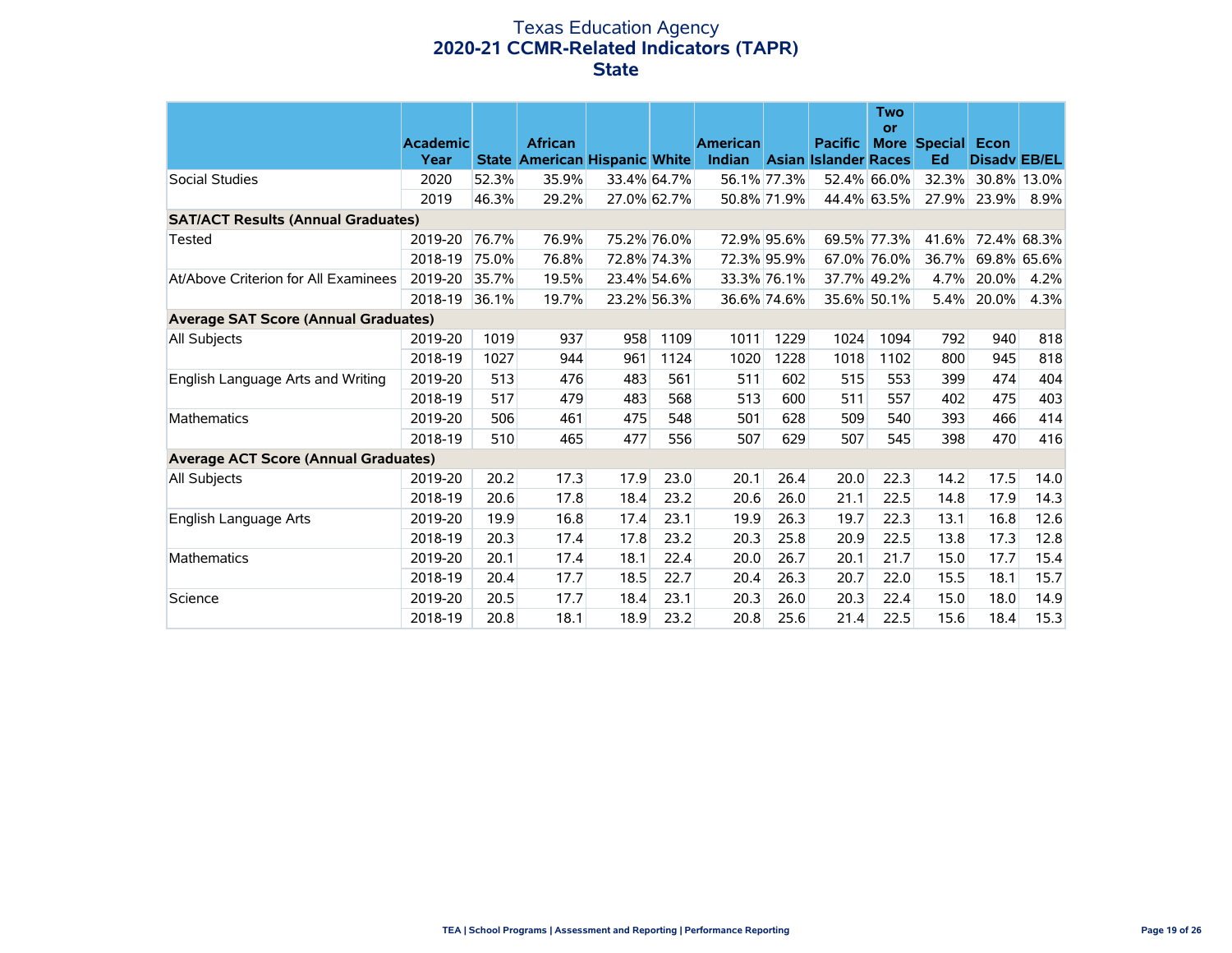### Texas Education Agency **2020-21 CCMR-Related Indicators (TAPR) State**

|                                             |                 |       |                                      |             |             |                 |             |                             | <b>Two</b><br>or |                          |                     |      |
|---------------------------------------------|-----------------|-------|--------------------------------------|-------------|-------------|-----------------|-------------|-----------------------------|------------------|--------------------------|---------------------|------|
|                                             | <b>Academic</b> |       | <b>African</b>                       |             |             | <b>American</b> |             | <b>Pacific</b>              |                  | <b>More Special Econ</b> |                     |      |
|                                             | Year            |       | <b>State American Hispanic White</b> |             |             | Indian          |             | <b>Asian Islander Races</b> |                  | Ed                       | <b>Disady EB/EL</b> |      |
| Social Studies                              | 2020            | 52.3% | 35.9%                                |             | 33.4% 64.7% |                 | 56.1% 77.3% |                             | 52.4% 66.0%      |                          | 32.3% 30.8% 13.0%   |      |
|                                             | 2019            | 46.3% | 29.2%                                |             | 27.0% 62.7% |                 | 50.8% 71.9% |                             | 44.4% 63.5%      | 27.9%                    | 23.9%               | 8.9% |
| <b>SAT/ACT Results (Annual Graduates)</b>   |                 |       |                                      |             |             |                 |             |                             |                  |                          |                     |      |
| <b>Tested</b>                               | 2019-20         | 76.7% | 76.9%                                | 75.2% 76.0% |             |                 | 72.9% 95.6% |                             | 69.5% 77.3%      |                          | 41.6% 72.4% 68.3%   |      |
|                                             | 2018-19         | 75.0% | 76.8%                                |             | 72.8% 74.3% |                 | 72.3% 95.9% |                             | 67.0% 76.0%      | 36.7%                    | 69.8% 65.6%         |      |
| At/Above Criterion for All Examinees        | 2019-20         | 35.7% | 19.5%                                |             | 23.4% 54.6% |                 | 33.3% 76.1% |                             | 37.7% 49.2%      | 4.7%                     | 20.0%               | 4.2% |
|                                             | 2018-19         | 36.1% | 19.7%                                |             | 23.2% 56.3% |                 | 36.6% 74.6% |                             | 35.6% 50.1%      | 5.4%                     | 20.0%               | 4.3% |
| <b>Average SAT Score (Annual Graduates)</b> |                 |       |                                      |             |             |                 |             |                             |                  |                          |                     |      |
| All Subjects                                | 2019-20         | 1019  | 937                                  | 958         | 1109        | 1011            | 1229        | 1024                        | 1094             | 792                      | 940                 | 818  |
|                                             | 2018-19         | 1027  | 944                                  | 961         | 1124        | 1020            | 1228        | 1018                        | 1102             | 800                      | 945                 | 818  |
| English Language Arts and Writing           | 2019-20         | 513   | 476                                  | 483         | 561         | 511             | 602         | 515                         | 553              | 399                      | 474                 | 404  |
|                                             | 2018-19         | 517   | 479                                  | 483         | 568         | 513             | 600         | 511                         | 557              | 402                      | 475                 | 403  |
| <b>Mathematics</b>                          | 2019-20         | 506   | 461                                  | 475         | 548         | 501             | 628         | 509                         | 540              | 393                      | 466                 | 414  |
|                                             | 2018-19         | 510   | 465                                  | 477         | 556         | 507             | 629         | 507                         | 545              | 398                      | 470                 | 416  |
| Average ACT Score (Annual Graduates)        |                 |       |                                      |             |             |                 |             |                             |                  |                          |                     |      |
| All Subjects                                | 2019-20         | 20.2  | 17.3                                 | 17.9        | 23.0        | 20.1            | 26.4        | 20.0                        | 22.3             | 14.2                     | 17.5                | 14.0 |
|                                             | 2018-19         | 20.6  | 17.8                                 | 18.4        | 23.2        | 20.6            | 26.0        | 21.1                        | 22.5             | 14.8                     | 17.9                | 14.3 |
| English Language Arts                       | 2019-20         | 19.9  | 16.8                                 | 17.4        | 23.1        | 19.9            | 26.3        | 19.7                        | 22.3             | 13.1                     | 16.8                | 12.6 |
|                                             | 2018-19         | 20.3  | 17.4                                 | 17.8        | 23.2        | 20.3            | 25.8        | 20.9                        | 22.5             | 13.8                     | 17.3                | 12.8 |
| <b>Mathematics</b>                          | 2019-20         | 20.1  | 17.4                                 | 18.1        | 22.4        | 20.0            | 26.7        | 20.1                        | 21.7             | 15.0                     | 17.7                | 15.4 |
|                                             | 2018-19         | 20.4  | 17.7                                 | 18.5        | 22.7        | 20.4            | 26.3        | 20.7                        | 22.0             | 15.5                     | 18.1                | 15.7 |
| Science                                     | 2019-20         | 20.5  | 17.7                                 | 18.4        | 23.1        | 20.3            | 26.0        | 20.3                        | 22.4             | 15.0                     | 18.0                | 14.9 |
|                                             | 2018-19         | 20.8  | 18.1                                 | 18.9        | 23.2        | 20.8            | 25.6        | 21.4                        | 22.5             | 15.6                     | 18.4                | 15.3 |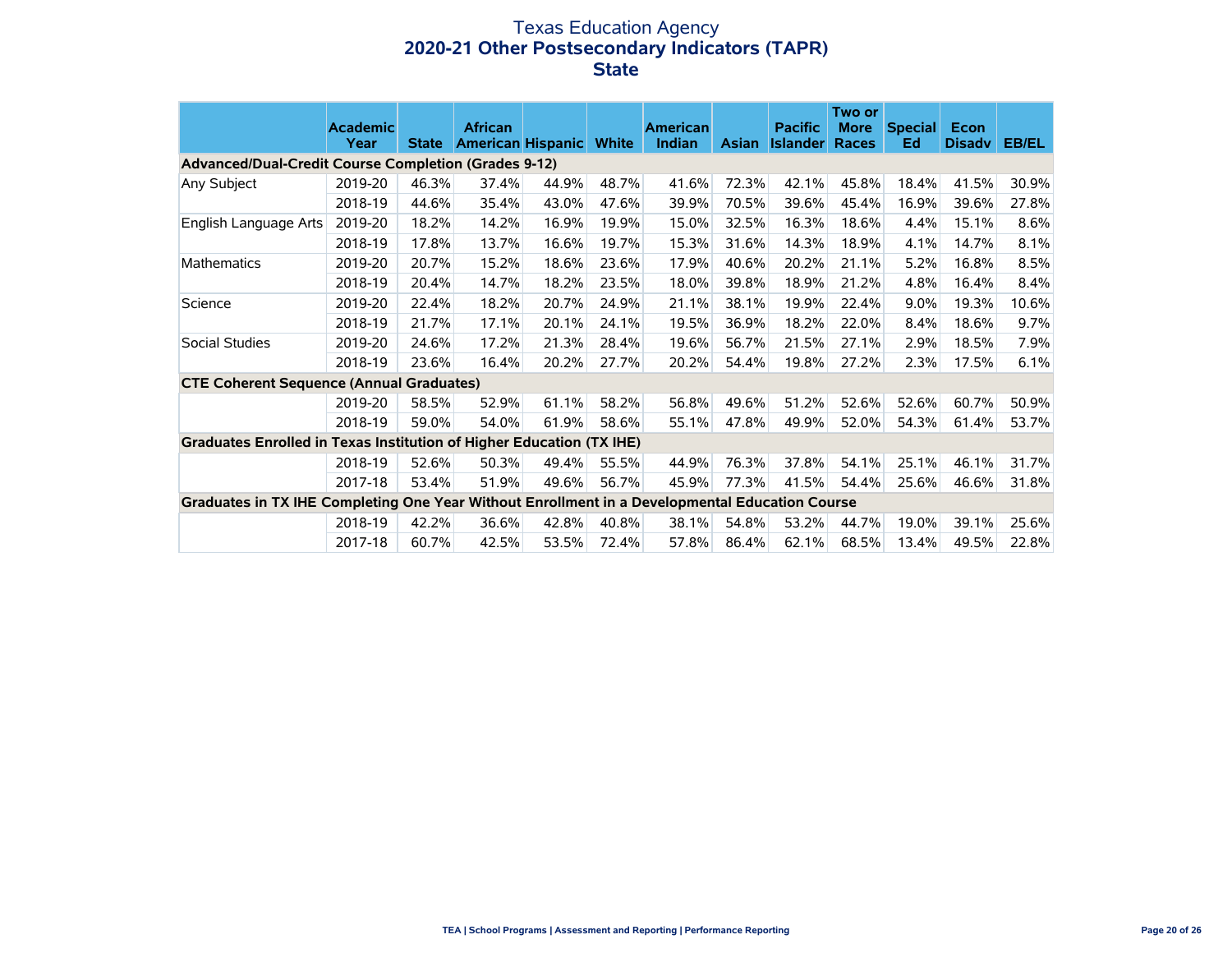### Texas Education Agency **2020-21 Other Postsecondary Indicators (TAPR) State**

|                                                                                                | <b>Academic</b> |              | <b>African</b>           |       |              | <b>American</b> |              | <b>Pacific</b>  | Two or<br><b>More</b> | <b>Special</b> | Econ          |       |
|------------------------------------------------------------------------------------------------|-----------------|--------------|--------------------------|-------|--------------|-----------------|--------------|-----------------|-----------------------|----------------|---------------|-------|
| <b>Advanced/Dual-Credit Course Completion (Grades 9-12)</b>                                    | Year            | <b>State</b> | <b>American Hispanic</b> |       | <b>White</b> | Indian          | <b>Asian</b> | <b>Islander</b> | <b>Races</b>          | Ed             | <b>Disady</b> | EB/EL |
| Any Subject                                                                                    | 2019-20         | 46.3%        | 37.4%                    | 44.9% | 48.7%        | 41.6%           | 72.3%        | 42.1%           | 45.8%                 | 18.4%          | 41.5%         | 30.9% |
|                                                                                                | 2018-19         | 44.6%        | 35.4%                    | 43.0% | 47.6%        | 39.9%           | 70.5%        | 39.6%           | 45.4%                 | 16.9%          | 39.6%         | 27.8% |
| English Language Arts                                                                          | 2019-20         | 18.2%        | 14.2%                    | 16.9% | 19.9%        | 15.0%           | 32.5%        | 16.3%           | 18.6%                 | 4.4%           | 15.1%         | 8.6%  |
|                                                                                                | 2018-19         | 17.8%        | 13.7%                    | 16.6% | 19.7%        | 15.3%           | 31.6%        | 14.3%           | 18.9%                 | 4.1%           | 14.7%         | 8.1%  |
| Mathematics                                                                                    | 2019-20         | 20.7%        | 15.2%                    | 18.6% | 23.6%        | 17.9%           | 40.6%        | 20.2%           | 21.1%                 | 5.2%           | 16.8%         | 8.5%  |
|                                                                                                | 2018-19         | 20.4%        | 14.7%                    | 18.2% | 23.5%        | 18.0%           | 39.8%        | 18.9%           | 21.2%                 | 4.8%           | 16.4%         | 8.4%  |
| Science                                                                                        | 2019-20         | 22.4%        | 18.2%                    | 20.7% | 24.9%        | 21.1%           | 38.1%        | 19.9%           | 22.4%                 | 9.0%           | 19.3%         | 10.6% |
|                                                                                                | 2018-19         | 21.7%        | 17.1%                    | 20.1% | 24.1%        | 19.5%           | 36.9%        | 18.2%           | 22.0%                 | 8.4%           | 18.6%         | 9.7%  |
| Social Studies                                                                                 | 2019-20         | 24.6%        | 17.2%                    | 21.3% | 28.4%        | 19.6%           | 56.7%        | 21.5%           | 27.1%                 | 2.9%           | 18.5%         | 7.9%  |
|                                                                                                | 2018-19         | 23.6%        | 16.4%                    | 20.2% | 27.7%        | 20.2%           | 54.4%        | 19.8%           | 27.2%                 | 2.3%           | 17.5%         | 6.1%  |
| <b>CTE Coherent Sequence (Annual Graduates)</b>                                                |                 |              |                          |       |              |                 |              |                 |                       |                |               |       |
|                                                                                                | 2019-20         | 58.5%        | 52.9%                    | 61.1% | 58.2%        | 56.8%           | 49.6%        | 51.2%           | 52.6%                 | 52.6%          | 60.7%         | 50.9% |
|                                                                                                | 2018-19         | 59.0%        | 54.0%                    | 61.9% | 58.6%        | 55.1%           | 47.8%        | 49.9%           | 52.0%                 | 54.3%          | 61.4%         | 53.7% |
| Graduates Enrolled in Texas Institution of Higher Education (TX IHE)                           |                 |              |                          |       |              |                 |              |                 |                       |                |               |       |
|                                                                                                | 2018-19         | 52.6%        | 50.3%                    | 49.4% | 55.5%        | 44.9%           | 76.3%        | 37.8%           | 54.1%                 | 25.1%          | 46.1%         | 31.7% |
|                                                                                                | 2017-18         | 53.4%        | 51.9%                    | 49.6% | 56.7%        | 45.9%           | 77.3%        | 41.5%           | 54.4%                 | 25.6%          | 46.6%         | 31.8% |
| Graduates in TX IHE Completing One Year Without Enrollment in a Developmental Education Course |                 |              |                          |       |              |                 |              |                 |                       |                |               |       |
|                                                                                                | 2018-19         | 42.2%        | 36.6%                    | 42.8% | 40.8%        | 38.1%           | 54.8%        | 53.2%           | 44.7%                 | 19.0%          | 39.1%         | 25.6% |
|                                                                                                | 2017-18         | 60.7%        | 42.5%                    | 53.5% | 72.4%        | 57.8%           | 86.4%        | 62.1%           | 68.5%                 | 13.4%          | 49.5%         | 22.8% |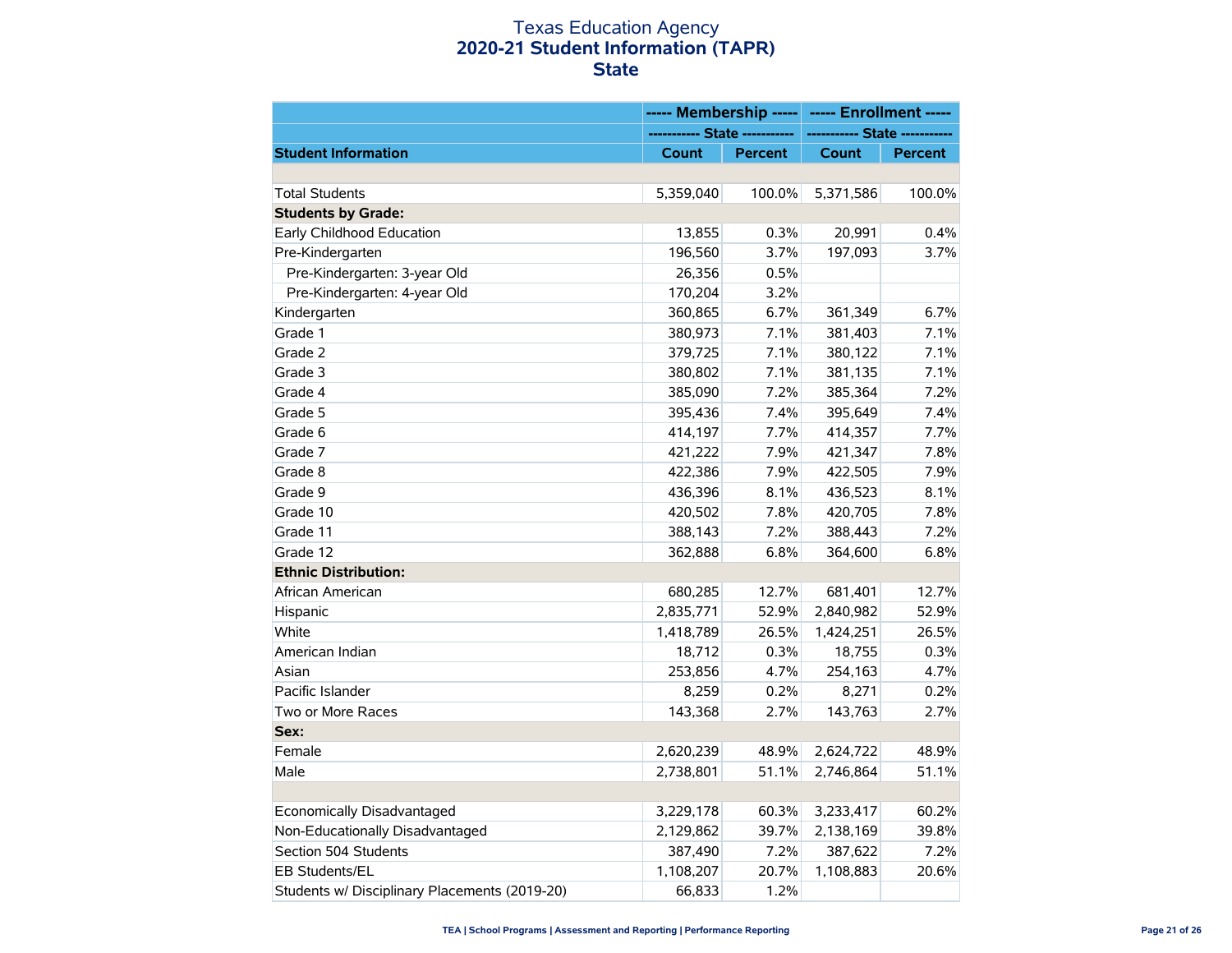### Texas Education Agency **2020-21 Student Information (TAPR) State**

|                                               | ----- Membership -----        |                | ----- Enrollment -----    |                |  |
|-----------------------------------------------|-------------------------------|----------------|---------------------------|----------------|--|
|                                               | ----------- State ----------- |                | ----------- State ------- |                |  |
| <b>Student Information</b>                    | Count                         | <b>Percent</b> | <b>Count</b>              | <b>Percent</b> |  |
|                                               |                               |                |                           |                |  |
| <b>Total Students</b>                         | 5,359,040                     | 100.0%         | 5,371,586                 | 100.0%         |  |
| <b>Students by Grade:</b>                     |                               |                |                           |                |  |
| Early Childhood Education                     | 13,855                        | 0.3%           | 20,991                    | 0.4%           |  |
| Pre-Kindergarten                              | 196,560                       | 3.7%           | 197,093                   | 3.7%           |  |
| Pre-Kindergarten: 3-year Old                  | 26,356                        | 0.5%           |                           |                |  |
| Pre-Kindergarten: 4-year Old                  | 170,204                       | 3.2%           |                           |                |  |
| Kindergarten                                  | 360,865                       | 6.7%           | 361,349                   | 6.7%           |  |
| Grade 1                                       | 380,973                       | 7.1%           | 381,403                   | 7.1%           |  |
| Grade 2                                       | 379,725                       | 7.1%           | 380,122                   | 7.1%           |  |
| Grade 3                                       | 380,802                       | 7.1%           | 381,135                   | 7.1%           |  |
| Grade 4                                       | 385,090                       | 7.2%           | 385,364                   | 7.2%           |  |
| Grade 5                                       | 395,436                       | 7.4%           | 395,649                   | 7.4%           |  |
| Grade 6                                       | 414,197                       | 7.7%           | 414,357                   | 7.7%           |  |
| Grade 7                                       | 421,222                       | 7.9%           | 421,347                   | 7.8%           |  |
| Grade 8                                       | 422,386                       | 7.9%           | 422,505                   | 7.9%           |  |
| Grade 9                                       | 436,396                       | 8.1%           | 436,523                   | 8.1%           |  |
| Grade 10                                      | 420,502                       | 7.8%           | 420,705                   | 7.8%           |  |
| Grade 11                                      | 388,143                       | 7.2%           | 388,443                   | 7.2%           |  |
| Grade 12                                      | 362,888                       | 6.8%           | 364,600                   | 6.8%           |  |
| <b>Ethnic Distribution:</b>                   |                               |                |                           |                |  |
| African American                              | 680,285                       | 12.7%          | 681,401                   | 12.7%          |  |
| Hispanic                                      | 2,835,771                     | 52.9%          | 2,840,982                 | 52.9%          |  |
| White                                         | 1,418,789                     | 26.5%          | 1,424,251                 | 26.5%          |  |
| American Indian                               | 18,712                        | 0.3%           | 18,755                    | 0.3%           |  |
| Asian                                         | 253,856                       | 4.7%           | 254,163                   | 4.7%           |  |
| Pacific Islander                              | 8,259                         | 0.2%           | 8,271                     | 0.2%           |  |
| Two or More Races                             | 143,368                       | 2.7%           | 143,763                   | 2.7%           |  |
| Sex:                                          |                               |                |                           |                |  |
| Female                                        | 2,620,239                     | 48.9%          | 2,624,722                 | 48.9%          |  |
| Male                                          | 2,738,801                     | 51.1%          | 2,746,864                 | 51.1%          |  |
|                                               |                               |                |                           |                |  |
| Economically Disadvantaged                    | 3,229,178                     | 60.3%          | 3,233,417                 | 60.2%          |  |
| Non-Educationally Disadvantaged               | 2,129,862                     | 39.7%          | 2,138,169                 | 39.8%          |  |
| Section 504 Students                          | 387,490                       | 7.2%           | 387,622                   | 7.2%           |  |
| EB Students/EL                                | 1,108,207                     | 20.7%          | 1,108,883                 | 20.6%          |  |
| Students w/ Disciplinary Placements (2019-20) | 66,833                        | 1.2%           |                           |                |  |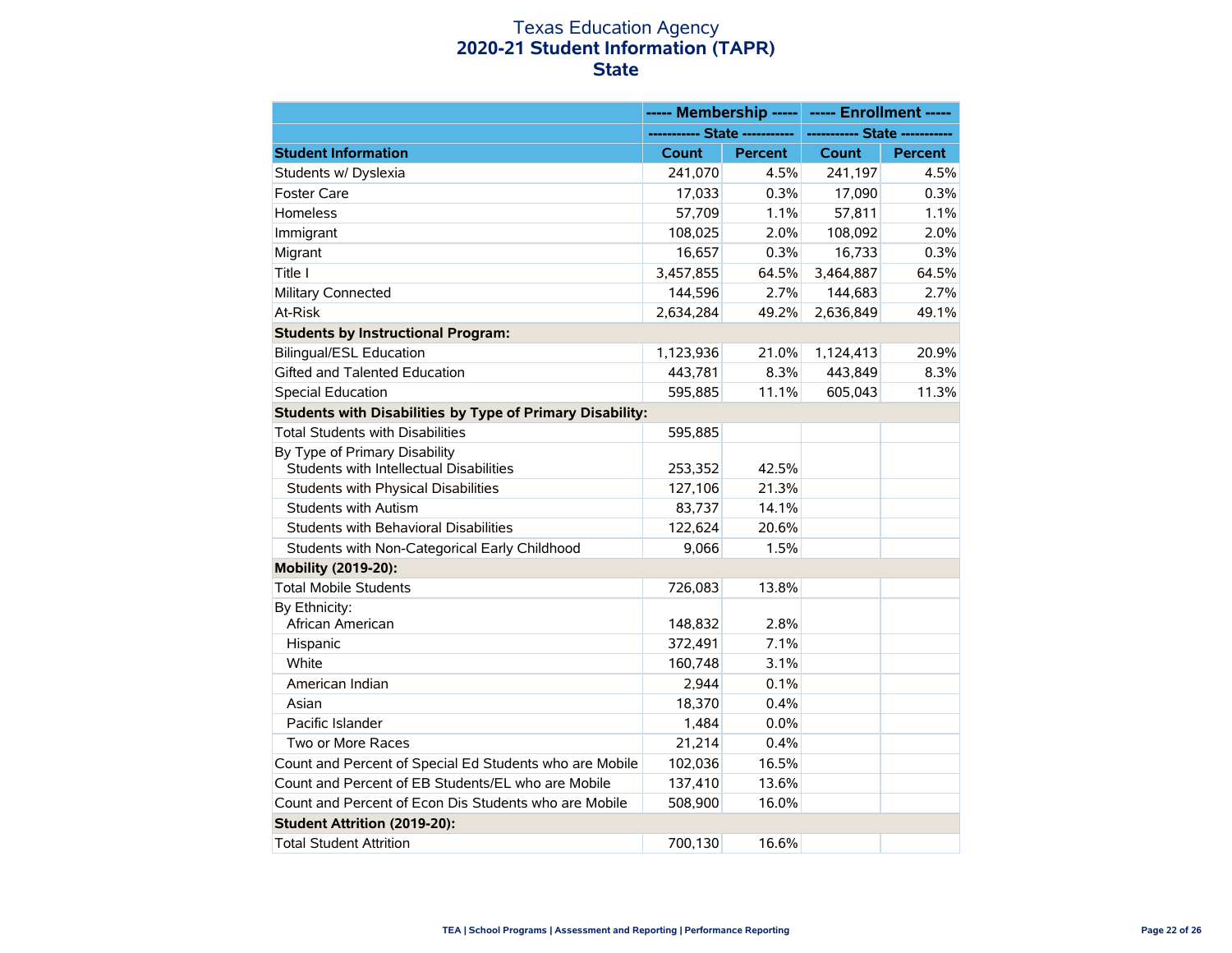### Texas Education Agency **2020-21 Student Information (TAPR) State**

|                                                                          | ----- Membership -----        |                | ----- Enrollment -----        |         |
|--------------------------------------------------------------------------|-------------------------------|----------------|-------------------------------|---------|
|                                                                          | ----------- State ----------- |                | ----------- State ----------- |         |
| <b>Student Information</b>                                               | Count                         | <b>Percent</b> | <b>Count</b>                  | Percent |
| Students w/ Dyslexia                                                     | 241,070                       | 4.5%           | 241,197                       | 4.5%    |
| <b>Foster Care</b>                                                       | 17,033                        | 0.3%           | 17,090                        | 0.3%    |
| Homeless                                                                 | 57,709                        | 1.1%           | 57,811                        | 1.1%    |
| Immigrant                                                                | 108,025                       | 2.0%           | 108,092                       | 2.0%    |
| Migrant                                                                  | 16,657                        | 0.3%           | 16,733                        | 0.3%    |
| Title I                                                                  | 3,457,855                     | 64.5%          | 3,464,887                     | 64.5%   |
| Military Connected                                                       | 144,596                       | 2.7%           | 144,683                       | 2.7%    |
| At-Risk                                                                  | 2,634,284                     | 49.2%          | 2,636,849                     | 49.1%   |
| <b>Students by Instructional Program:</b>                                |                               |                |                               |         |
| <b>Bilingual/ESL Education</b>                                           | 1,123,936                     | 21.0%          | 1,124,413                     | 20.9%   |
| Gifted and Talented Education                                            | 443,781                       | 8.3%           | 443,849                       | 8.3%    |
| <b>Special Education</b>                                                 | 595,885                       | 11.1%          | 605,043                       | 11.3%   |
| <b>Students with Disabilities by Type of Primary Disability:</b>         |                               |                |                               |         |
| <b>Total Students with Disabilities</b>                                  | 595,885                       |                |                               |         |
| By Type of Primary Disability<br>Students with Intellectual Disabilities | 253,352                       | 42.5%          |                               |         |
| Students with Physical Disabilities                                      | 127,106                       | 21.3%          |                               |         |
| <b>Students with Autism</b>                                              | 83,737                        | 14.1%          |                               |         |
| Students with Behavioral Disabilities                                    | 122,624                       | 20.6%          |                               |         |
| Students with Non-Categorical Early Childhood                            | 9,066                         | 1.5%           |                               |         |
| Mobility (2019-20):                                                      |                               |                |                               |         |
| <b>Total Mobile Students</b>                                             | 726,083                       | 13.8%          |                               |         |
| By Ethnicity:                                                            |                               |                |                               |         |
| African American                                                         | 148,832                       | 2.8%           |                               |         |
| Hispanic                                                                 | 372,491                       | 7.1%           |                               |         |
| White                                                                    | 160,748                       | 3.1%           |                               |         |
| American Indian                                                          | 2,944                         | 0.1%           |                               |         |
| Asian                                                                    | 18,370                        | 0.4%           |                               |         |
| Pacific Islander                                                         | 1,484                         | 0.0%           |                               |         |
| Two or More Races                                                        | 21,214                        | 0.4%           |                               |         |
| Count and Percent of Special Ed Students who are Mobile                  | 102,036                       | 16.5%          |                               |         |
| Count and Percent of EB Students/EL who are Mobile                       | 137,410                       | 13.6%          |                               |         |
| Count and Percent of Econ Dis Students who are Mobile                    | 508.900                       | 16.0%          |                               |         |
| Student Attrition (2019-20):                                             |                               |                |                               |         |
| <b>Total Student Attrition</b>                                           | 700,130                       | 16.6%          |                               |         |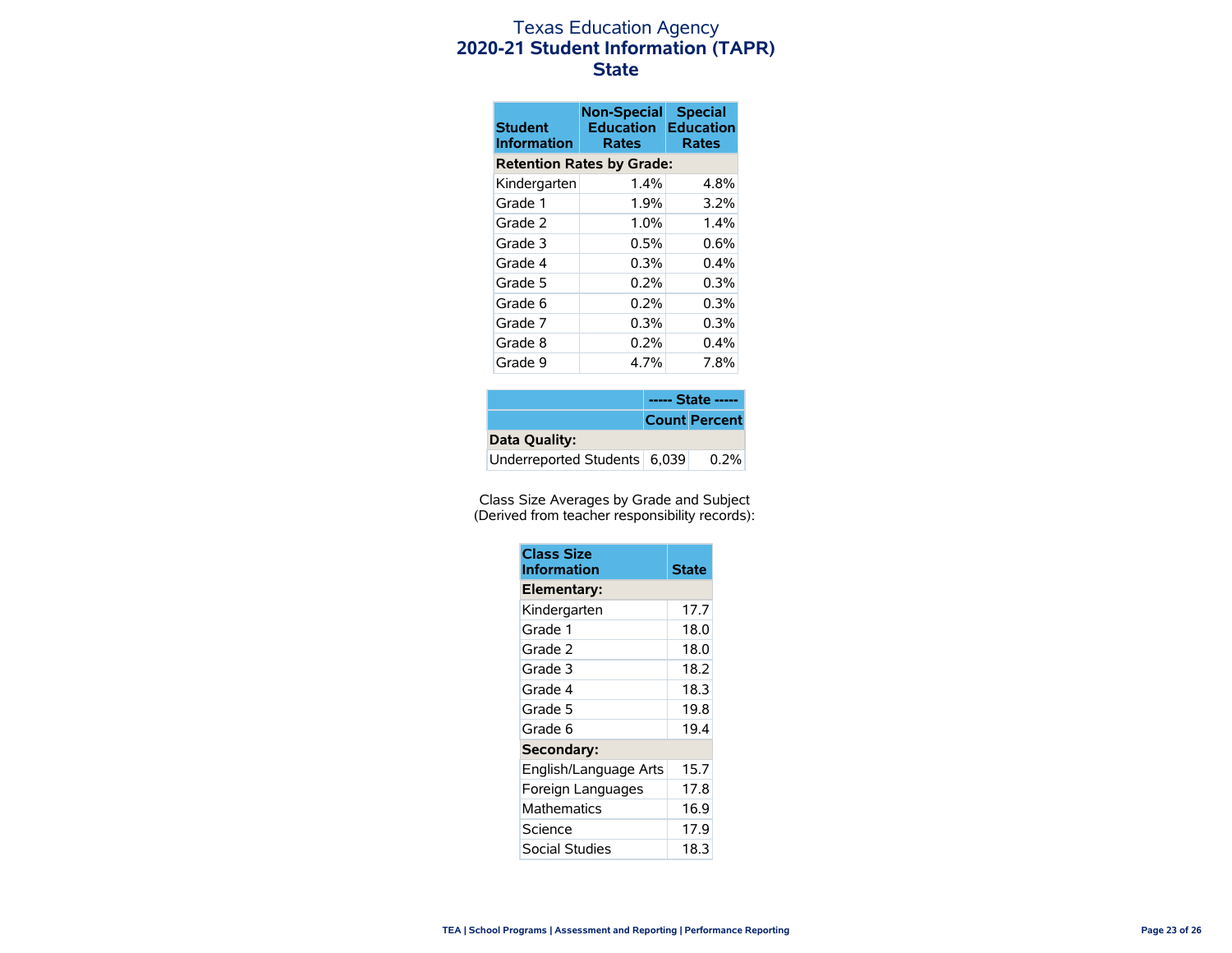### Texas Education Agency **2020-21 Student Information (TAPR) State**

| <b>Student</b><br><b>Information</b> | <b>Non-Special</b><br><b>Education</b><br>Rates | <b>Special</b><br><b>Education</b><br><b>Rates</b> |  |  |
|--------------------------------------|-------------------------------------------------|----------------------------------------------------|--|--|
|                                      | <b>Retention Rates by Grade:</b>                |                                                    |  |  |
| Kindergarten                         | 1.4%                                            | 4.8%                                               |  |  |
| Grade 1                              | 1.9%                                            | 3.2%                                               |  |  |
| Grade 2                              | 1.0%                                            | 1.4%                                               |  |  |
| Grade 3                              | $0.5\%$                                         | $0.6\%$                                            |  |  |
| Grade 4                              | 0.3%                                            | $0.4\%$                                            |  |  |
| Grade 5                              | $0.2\%$                                         | 0.3%                                               |  |  |
| Grade 6                              | 0.2%                                            | 0.3%                                               |  |  |
| Grade 7                              | 0.3%                                            | $0.3\%$                                            |  |  |
| Grade 8                              | $0.2\%$                                         | $0.4\%$                                            |  |  |
| Grade 9                              | 4.7%                                            | 7.8%                                               |  |  |

|                              | ----- State ----- |                      |  |  |  |  |
|------------------------------|-------------------|----------------------|--|--|--|--|
|                              |                   | <b>Count Percent</b> |  |  |  |  |
| Data Quality:                |                   |                      |  |  |  |  |
| Underreported Students 6,039 |                   | $0.2\%$              |  |  |  |  |

Class Size Averages by Grade and Subject (Derived from teacher responsibility records):

| <b>Class Size</b><br><b>Information</b> | State |  |  |
|-----------------------------------------|-------|--|--|
| Elementary:                             |       |  |  |
| Kindergarten                            | 17.7  |  |  |
| Grade 1                                 | 18.0  |  |  |
| Grade 2                                 | 18.0  |  |  |
| Grade 3                                 | 18.2  |  |  |
| Grade 4                                 | 18.3  |  |  |
| Grade 5                                 | 19.8  |  |  |
| Grade 6                                 | 19.4  |  |  |
| Secondary:                              |       |  |  |
| English/Language Arts                   | 15.7  |  |  |
| Foreign Languages                       | 17.8  |  |  |
| Mathematics                             | 16.9  |  |  |
| Science                                 | 17.9  |  |  |
| Social Studies                          | 18.3  |  |  |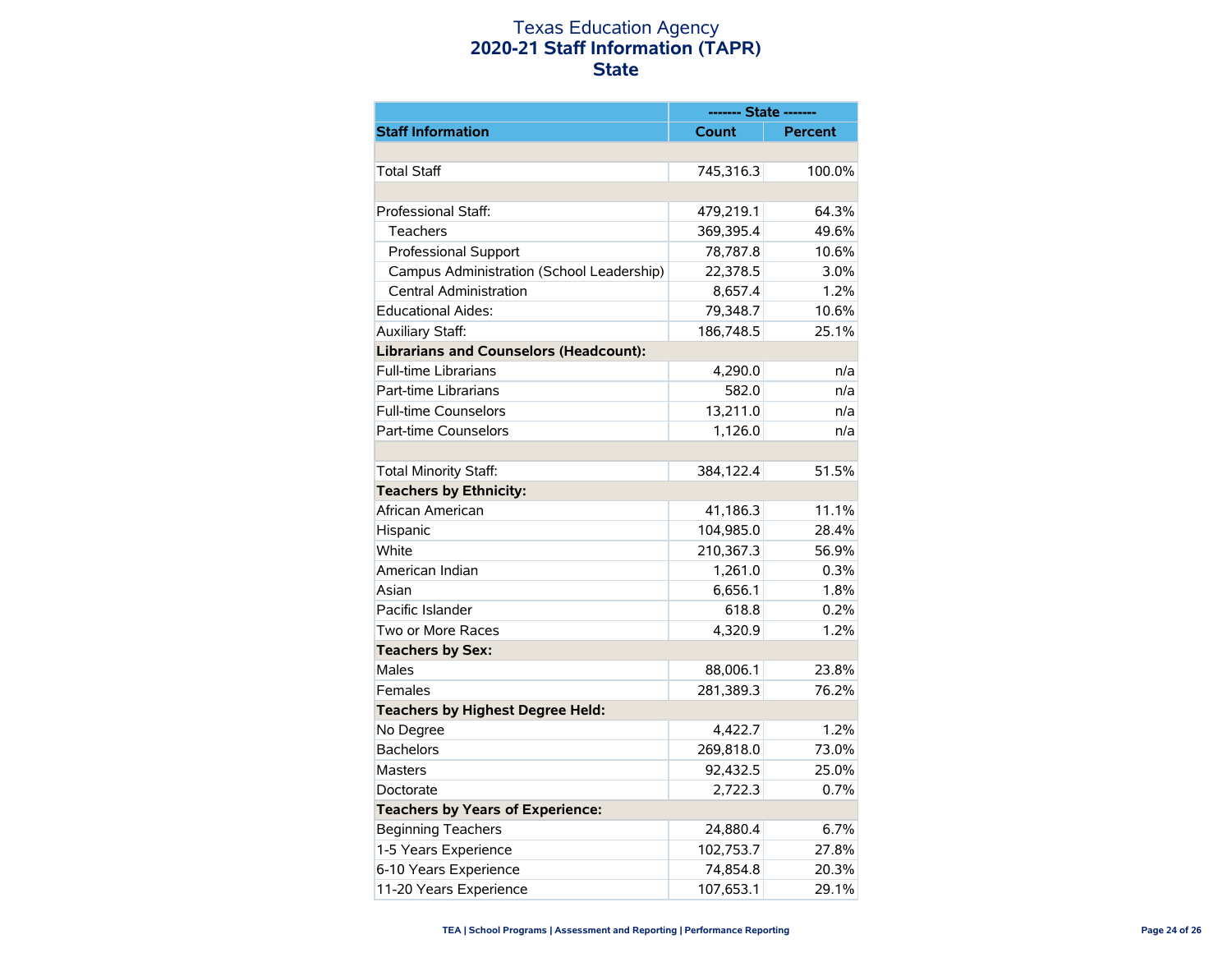## Texas Education Agency **2020-21 Staff Information (TAPR) State**

|                                               | ------- State ------- |                |
|-----------------------------------------------|-----------------------|----------------|
| <b>Staff Information</b>                      | Count                 | <b>Percent</b> |
|                                               |                       |                |
| <b>Total Staff</b>                            | 745,316.3             | 100.0%         |
|                                               |                       |                |
| Professional Staff:                           | 479,219.1             | 64.3%          |
| Teachers                                      | 369,395.4             | 49.6%          |
| <b>Professional Support</b>                   | 78,787.8              | 10.6%          |
| Campus Administration (School Leadership)     | 22,378.5              | 3.0%           |
| <b>Central Administration</b>                 | 8,657.4               | 1.2%           |
| <b>Educational Aides:</b>                     | 79,348.7              | 10.6%          |
| Auxiliary Staff:                              | 186,748.5             | 25.1%          |
| <b>Librarians and Counselors (Headcount):</b> |                       |                |
| <b>Full-time Librarians</b>                   | 4,290.0               | n/a            |
| Part-time Librarians                          | 582.0                 | n/a            |
| <b>Full-time Counselors</b>                   | 13,211.0              | n/a            |
| Part-time Counselors                          | 1,126.0               | n/a            |
|                                               |                       |                |
| <b>Total Minority Staff:</b>                  | 384,122.4             | 51.5%          |
| <b>Teachers by Ethnicity:</b>                 |                       |                |
| African American                              | 41,186.3              | 11.1%          |
| Hispanic                                      | 104,985.0             | 28.4%          |
| White                                         | 210,367.3             | 56.9%          |
| American Indian                               | 1,261.0               | 0.3%           |
| Asian                                         | 6,656.1               | 1.8%           |
| Pacific Islander                              | 618.8                 | 0.2%           |
| Two or More Races                             | 4,320.9               | 1.2%           |
| <b>Teachers by Sex:</b>                       |                       |                |
| Males                                         | 88,006.1              | 23.8%          |
| Females                                       | 281,389.3             | 76.2%          |
| <b>Teachers by Highest Degree Held:</b>       |                       |                |
| No Degree                                     | 4,422.7               | 1.2%           |
| <b>Bachelors</b>                              | 269,818.0             | 73.0%          |
| <b>Masters</b>                                | 92,432.5              | 25.0%          |
| Doctorate                                     | 2,722.3               | 0.7%           |
| <b>Teachers by Years of Experience:</b>       |                       |                |
| <b>Beginning Teachers</b>                     | 24,880.4              | 6.7%           |
| 1-5 Years Experience                          | 102,753.7             | 27.8%          |
| 6-10 Years Experience                         | 74,854.8              | 20.3%          |
| 11-20 Years Experience                        | 107,653.1             | 29.1%          |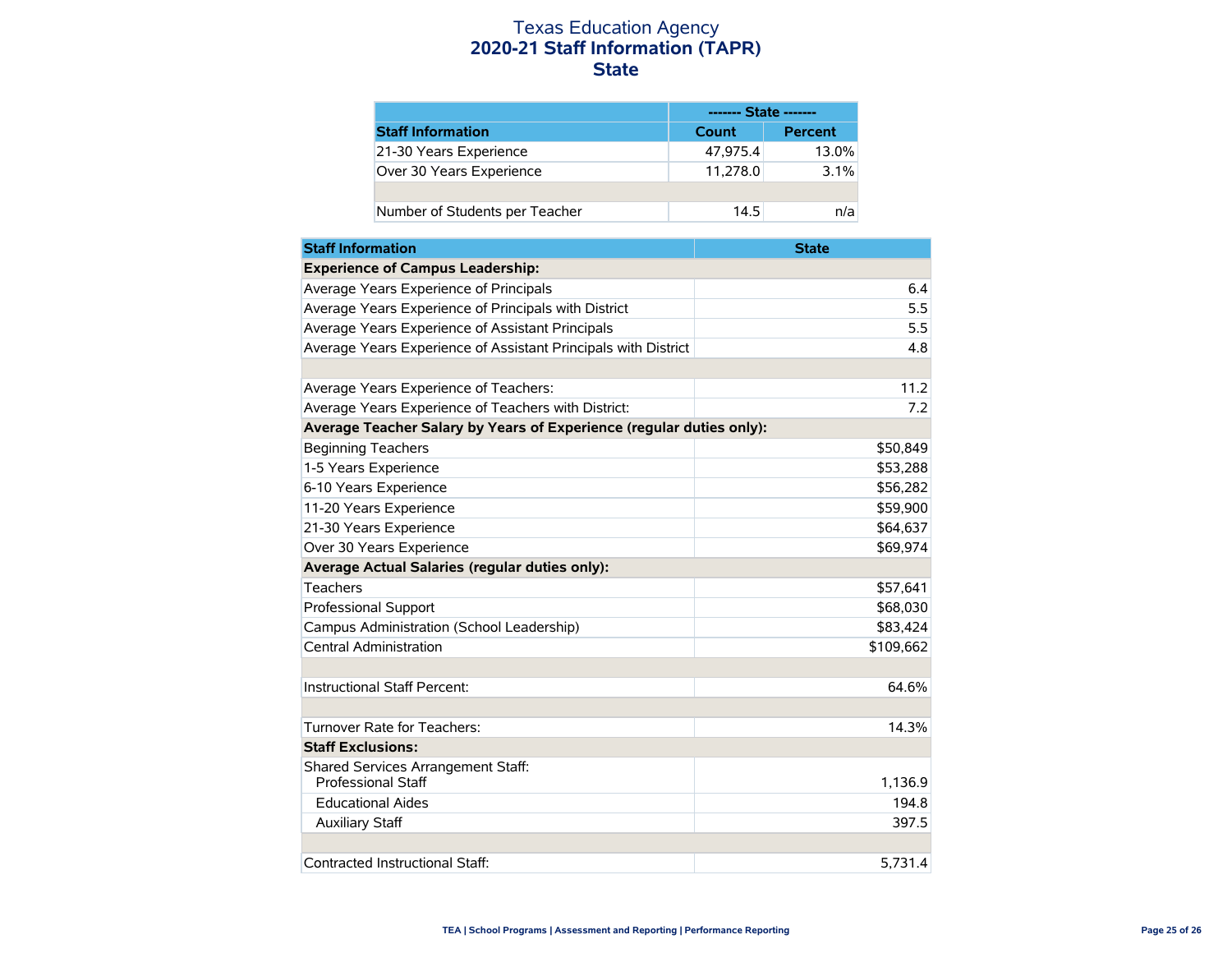### Texas Education Agency **2020-21 Staff Information (TAPR) State**

|                                | ------- State ------- |                |
|--------------------------------|-----------------------|----------------|
| <b>Staff Information</b>       | Count                 | <b>Percent</b> |
| 21-30 Years Experience         | 47.975.4              | 13.0%          |
| Over 30 Years Experience       | 11,278.0              | $3.1\%$        |
|                                |                       |                |
| Number of Students per Teacher | 14.5                  | n/a            |

| <b>Staff Information</b>                                             | <b>State</b> |
|----------------------------------------------------------------------|--------------|
| <b>Experience of Campus Leadership:</b>                              |              |
| Average Years Experience of Principals                               | 6.4          |
| Average Years Experience of Principals with District                 | 5.5          |
| Average Years Experience of Assistant Principals                     | 5.5          |
| Average Years Experience of Assistant Principals with District       | 4.8          |
|                                                                      |              |
| Average Years Experience of Teachers:                                | 11.2         |
| Average Years Experience of Teachers with District:                  | 7.2          |
| Average Teacher Salary by Years of Experience (regular duties only): |              |
| <b>Beginning Teachers</b>                                            | \$50,849     |
| 1-5 Years Experience                                                 | \$53,288     |
| 6-10 Years Experience                                                | \$56,282     |
| 11-20 Years Experience                                               | \$59,900     |
| 21-30 Years Experience                                               | \$64,637     |
| Over 30 Years Experience                                             | \$69,974     |
| Average Actual Salaries (regular duties only):                       |              |
| Teachers                                                             | \$57,641     |
| Professional Support                                                 | \$68,030     |
| Campus Administration (School Leadership)                            | \$83,424     |
| <b>Central Administration</b>                                        | \$109,662    |
|                                                                      |              |
| Instructional Staff Percent:                                         | 64.6%        |
|                                                                      |              |
| Turnover Rate for Teachers:                                          | 14.3%        |
| <b>Staff Exclusions:</b>                                             |              |
| Shared Services Arrangement Staff:<br><b>Professional Staff</b>      | 1,136.9      |
| <b>Educational Aides</b>                                             | 194.8        |
| <b>Auxiliary Staff</b>                                               | 397.5        |
|                                                                      |              |
| Contracted Instructional Staff:                                      | 5.731.4      |